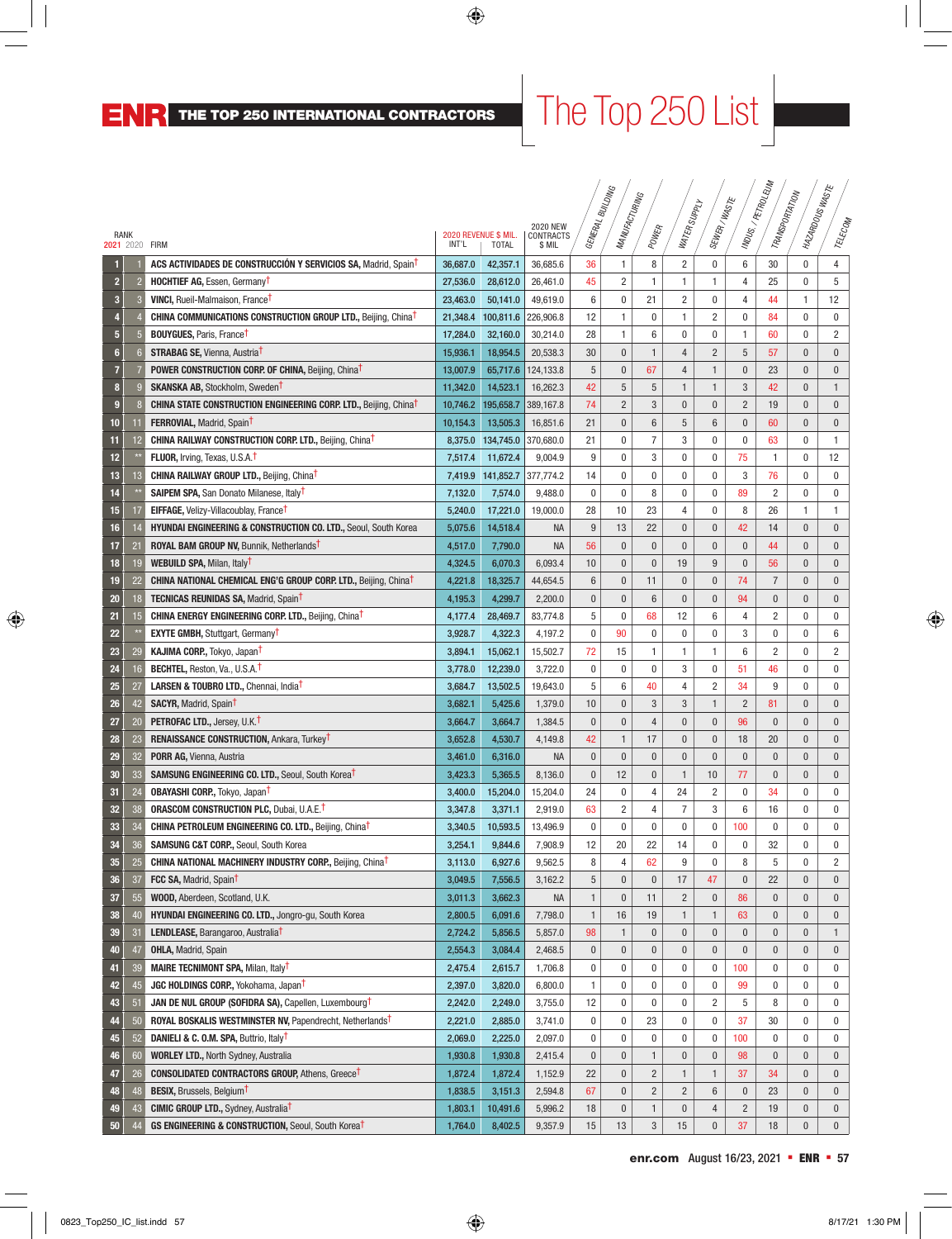# $\vert$  The Top 250 List  $\vert$

|                         |                |                                                                                   |          |                                      |                                        |              | <b>SNICTING</b><br>MANUFACTURING |                | WATER SUPPLY   | SEWER/WASTE    |                | INDUS / PETROLEUM<br>TRANSPORTATION | I MAZARDOUSWASTE |                |
|-------------------------|----------------|-----------------------------------------------------------------------------------|----------|--------------------------------------|----------------------------------------|--------------|----------------------------------|----------------|----------------|----------------|----------------|-------------------------------------|------------------|----------------|
| RANK<br>2021 2020 FIRM  |                |                                                                                   | INT'L    | 2020 REVENUE \$ MIL.<br><b>TOTAL</b> | <b>2020 NEW</b><br>CONTRACTS<br>\$ MIL | GENERAL I    |                                  | POWER          |                |                |                |                                     |                  | TELECOM        |
| н                       |                | <b>ACS ACTIVIDADES DE CONSTRUCCIÓN Y SERVICIOS SA, Madrid, Spain<sup>t</sup></b>  | 36.687.0 | 42,357.1                             | 36,685.6                               | 36           | 1                                | 8              | 2              | 0              | 6              | 30                                  | $\bf{0}$         | $\overline{4}$ |
| $\overline{2}$          | 2              | <b>HOCHTIEF AG, Essen, Germany<sup>T</sup></b>                                    | 27,536.0 | 28,612.0                             | 26,461.0                               | 45           | $\overline{c}$                   | 1              | 1              | 1              | $\overline{4}$ | 25                                  | $\mathbf 0$      | 5              |
| $\overline{\mathbf{3}}$ | -3             | <b>VINCI, Rueil-Malmaison, FranceT</b>                                            | 23,463.0 | 50,141.0                             | 49,619.0                               | 6            | 0                                | 21             | $\overline{c}$ | 0              | 4              | 44                                  | 1                | 12             |
| 4                       |                | <b>CHINA COMMUNICATIONS CONSTRUCTION GROUP LTD., Beijing, ChinaT</b>              |          | 21,348.4 100,811.6                   | 226,906.8                              | 12           | 1                                | 0              | 1              | $\overline{c}$ | 0              | 84                                  | 0                | $\mathbf 0$    |
| 5                       | 5              | <b>BOUYGUES, Paris, France<sup>T</sup></b>                                        | 17,284.0 | 32,160.0                             | 30,214.0                               | 28           | 1                                | 6              | 0              | 0              | 1              | 60                                  | 0                | $\overline{2}$ |
| $6\phantom{1}$          | $\overline{6}$ | <b>STRABAG SE, Vienna, Austria<sup>1</sup></b>                                    | 15,936.1 | 18,954.5                             | 20,538.3                               | 30           | 0                                | 1              | $\overline{4}$ | $\overline{c}$ | 5              | 57                                  | $\bf{0}$         | $\bf{0}$       |
| 7                       |                | <b>POWER CONSTRUCTION CORP. OF CHINA, Beijing, ChinaT</b>                         | 13,007.9 | 65,717.6                             | 124,133.8                              | 5            | 0                                | 67             | 4              | 1              | $\bf{0}$       | 23                                  | $\bf{0}$         | $\bf{0}$       |
| $\bf{8}$                | <b>C</b>       | <b>SKANSKA AB, Stockholm, Sweden<sup>1</sup></b>                                  | 11,342.0 | 14,523.1                             | 16,262.3                               | 42           | 5                                | 5              | 1              | $\mathbf{1}$   | 3              | 42                                  | $\pmb{0}$        | $\mathbf{1}$   |
| $\boldsymbol{9}$        |                | <b>CHINA STATE CONSTRUCTION ENGINEERING CORP. LTD., Beijing, ChinaT</b>           |          | 10,746.2 195,658.7                   | 389,167.8                              | 74           | $\overline{2}$                   | 3              | $\pmb{0}$      | $\pmb{0}$      | $\overline{2}$ | 19                                  | $\bf{0}$         | $\mathbf 0$    |
| 10                      | 11             | <b>FERROVIAL, Madrid, SpainT</b>                                                  | 10,154.3 | 13,505.3                             | 16,851.6                               | 21           | 0                                | 6              | 5              | 6              | $\pmb{0}$      | 60                                  | $\bf{0}$         | $\bf{0}$       |
| 11                      | 12             | <b>CHINA RAILWAY CONSTRUCTION CORP. LTD., Beijing, ChinaT</b>                     |          | 8,375.0 134,745.0                    | 370,680.0                              | 21           | 0                                | 7              | 3              | 0              | 0              | 63                                  | 0                | $\mathbf{1}$   |
| 12                      |                | <b>FLUOR, Irving, Texas, U.S.A.</b>                                               | 7,517.4  | 11,672.4                             | 9,004.9                                | 9            | 0                                | 3              | 0              | 0              | 75             | $\mathbf{1}$                        | 0                | 12             |
| 13                      | 13             | <b>CHINA RAILWAY GROUP LTD., Beijing, ChinaT</b>                                  |          | 7,419.9 141,852.7                    | 377,774.2                              | 14           | 0                                | 0              | 0              | 0              | 3              | 76                                  | 0                | $\mathbf 0$    |
| 14                      |                | <b>SAIPEM SPA, San Donato Milanese, ItalyT</b>                                    | 7,132.0  | 7,574.0                              | 9,488.0                                | 0            | 0                                | 8              | 0              | 0              | 89             | 2                                   | 0                | 0              |
| 15                      | 17             | <b>EIFFAGE, Velizy-Villacoublay, France<sup>T</sup></b>                           | 5,240.0  | 17,221.0                             | 19,000.0                               | 28           | 10                               | 23             | 4              | 0              | 8              | 26                                  | 1                | $\mathbf{1}$   |
| 16                      | 14             | <b>HYUNDAI ENGINEERING &amp; CONSTRUCTION CO. LTD., Seoul, South Korea</b>        | 5,075.6  | 14,518.4                             | <b>NA</b>                              | 9            | 13                               | 22             | $\pmb{0}$      | $\pmb{0}$      | 42             | 14                                  | $\mathbf{0}$     | $\bf{0}$       |
| 17                      | 21             | <b>ROYAL BAM GROUP NV, Bunnik, Netherlands<sup>T</sup></b>                        | 4,517.0  | 7,790.0                              | <b>NA</b>                              | 56           | 0                                | $\mathbf{0}$   | $\pmb{0}$      | $\mathbf{0}$   | $\pmb{0}$      | 44                                  | 0                | $\pmb{0}$      |
| 18                      | 19             | WEBUILD SPA, Milan, Italy <sup>T</sup>                                            | 4,324.5  | 6,070.3                              | 6,093.4                                | 10           | 0                                | 0              | 19             | 9              | $\bf{0}$       | 56                                  | $\bf{0}$         | $\bf{0}$       |
| 19                      | 22             | <b>CHINA NATIONAL CHEMICAL ENG'G GROUP CORP. LTD., Beijing, China<sup>t</sup></b> | 4,221.8  | 18,325.7                             | 44,654.5                               | 6            | 0                                | 11             | $\pmb{0}$      | $\pmb{0}$      | 74             | $\overline{7}$                      | $\pmb{0}$        | $\mathbf{0}$   |
| 20                      | 18             | <b>TECNICAS REUNIDAS SA, Madrid, SpainT</b>                                       | 4,195.3  | 4,299.7                              | 2,200.0                                | $\bf{0}$     | $\pmb{0}$                        | 6              | $\pmb{0}$      | $\mathbf{0}$   | 94             | $\mathbf{0}$                        | $\pmb{0}$        | $\mathbf{0}$   |
| 21                      | 15             | <b>CHINA ENERGY ENGINEERING CORP. LTD., Beijing, ChinaT</b>                       | 4,177.4  | 28,469.7                             | 83,774.8                               | 5            | 0                                | 68             | 12             | 6              | 4              | 2                                   | 0                | 0              |
| 22                      |                | <b>EXYTE GMBH, Stuttgart, GermanyT</b>                                            | 3,928.7  | 4,322.3                              | 4,197.2                                | 0            | 90                               | 0              | 0              | 0              | 3              | 0                                   | 0                | 6              |
| 23                      | 29             | KAJIMA CORP., Tokyo, Japan <sup>T</sup>                                           | 3,894.1  | 15,062.1                             | 15,502.7                               | 72           | 15                               | 1              | 1              | 1              | 6              | 2                                   | 0                | 2              |
| 24                      | 16             | <b>BECHTEL, Reston, Va., U.S.A.T</b>                                              | 3,778.0  | 12,239.0                             | 3,722.0                                | 0            | 0                                | 0              | 3              | 0              | 51             | 46                                  | 0                | 0              |
| 25                      | 27             | LARSEN & TOUBRO LTD., Chennai, India <sup>t</sup>                                 | 3,684.7  | 13,502.5                             | 19,643.0                               | 5            | 6                                | 40             | 4              | 2              | 34             | 9                                   | $\mathbf 0$      | 0              |
| 26                      | 42             | <b>SACYR, Madrid, Spain<sup>t</sup></b>                                           | 3,682.1  | 5,425.6                              | 1,379.0                                | 10           | 0                                | 3              | 3              | $\mathbf{1}$   | $\overline{2}$ | 81                                  | $\mathbf{0}$     | $\bf{0}$       |
| 27                      | 20             | <b>PETROFAC LTD., Jersey, U.K.T</b>                                               | 3,664.7  | 3,664.7                              | 1,384.5                                | $\bf{0}$     | $\pmb{0}$                        | 4              | $\mathbf{0}$   | $\mathbf{0}$   | 96             | $\mathbf{0}$                        | $\mathbf{0}$     | $\mathbf 0$    |
| 28                      | 23             | <b>RENAISSANCE CONSTRUCTION, Ankara, TurkeyT</b>                                  | 3,652.8  | 4,530.7                              | 4,149.8                                | 42           | 1                                | 17             | $\pmb{0}$      | $\mathbf{0}$   | 18             | 20                                  | $\bf{0}$         | $\bf{0}$       |
| 29                      | 32             | <b>PORR AG, Vienna, Austria</b>                                                   | 3,461.0  | 6,316.0                              | <b>NA</b>                              | $\bf{0}$     | $\pmb{0}$                        | $\mathbf{0}$   | $\mathbf{0}$   | $\mathbf{0}$   | $\bf{0}$       | $\bf{0}$                            | $\bf{0}$         | $\bf{0}$       |
| 30                      | 33             | <b>SAMSUNG ENGINEERING CO. LTD., Seoul, South Korea<sup>T</sup></b>               | 3,423.3  | 5,365.5                              | 8,136.0                                | $\bf{0}$     | 12                               | $\bf{0}$       | 1              | 10             | 77             | $\mathbf{0}$                        | $\mathbf{0}$     | $\mathbf 0$    |
| 31                      | 24             | <b>OBAYASHI CORP., Tokyo, JapanT</b>                                              | 3,400.0  | 15,204.0                             | 15,204.0                               | 24           | 0                                | 4              | 24             | $\overline{c}$ | 0              | 34                                  | $\mathbf 0$      | $\mathbf 0$    |
| 32                      | 38             | <b>ORASCOM CONSTRUCTION PLC, Dubai, U.A.E.T</b>                                   | 3,347.8  | 3,371.1                              | 2,919.0                                | 63           | 2                                | 4              | 7              | 3              | 6              | 16                                  | $\mathbf 0$      | $\mathbf 0$    |
| 33                      | 34             | <b>CHINA PETROLEUM ENGINEERING CO. LTD., Beijing, Chinat</b>                      | 3,340.5  | 10,593.5                             | 13,496.9                               | 0            | 0                                | 0              | $\mathbf 0$    | 0              | 100            | $\mathbf{0}$                        | $\mathbf 0$      | $\mathbf 0$    |
| 34                      | 36             | <b>SAMSUNG C&amp;T CORP., Seoul, South Korea</b>                                  | 3,254.1  | 9,844.6                              | 7,908.9                                | 12           | 20                               | 22             | 14             | 0              | 0              | 32                                  | 0                | 0              |
| 35                      | 25             | CHINA NATIONAL MACHINERY INDUSTRY CORP., Beijing, China <sup>t</sup>              | 3,113.0  | 6,927.6                              | 9,562.5                                | 8            | 4                                | 62             | 9              | 0              | 8              | 5                                   | 0                | $\overline{c}$ |
| 36                      | 37             | FCC SA, Madrid, Spain <sup>t</sup>                                                | 3,049.5  | 7,556.5                              | 3,162.2                                | 5            | 0                                | 0              | 17             | 47             | $\bf{0}$       | 22                                  | $\bf{0}$         | $\mathbf 0$    |
| 37                      | 55             | WOOD, Aberdeen, Scotland, U.K.                                                    | 3,011.3  | 3,662.3                              | <b>NA</b>                              | $\mathbf{1}$ | 0                                | 11             | $\overline{c}$ | $\pmb{0}$      | 86             | $\pmb{0}$                           | $\pmb{0}$        | $\mathbf 0$    |
| 38                      | 40             | HYUNDAI ENGINEERING CO. LTD., Jongro-gu, South Korea                              | 2,800.5  | 6,091.6                              | 7,798.0                                | $\mathbf{1}$ | 16                               | 19             | 1              | $\mathbf{1}$   | 63             | $\pmb{0}$                           | $\pmb{0}$        | $\mathbf 0$    |
| 39                      | 31             | LENDLEASE, Barangaroo, Australia <sup>T</sup>                                     | 2,724.2  | 5,856.5                              | 5,857.0                                | 98           | $\mathbf{1}$                     | 0              | $\pmb{0}$      | $\pmb{0}$      | $\bf{0}$       | 0                                   | $\bf{0}$         | $\mathbf{1}$   |
| 40                      | 47             | <b>OHLA, Madrid, Spain</b>                                                        | 2,554.3  | 3,084.4                              | 2,468.5                                | $\pmb{0}$    | 0                                | $\bf{0}$       | $\pmb{0}$      | $\pmb{0}$      | $\pmb{0}$      | $\pmb{0}$                           | $\pmb{0}$        | $\mathbf 0$    |
| 41                      | 39             | <b>MAIRE TECNIMONT SPA, Milan, Italy<sup>t</sup></b>                              | 2,475.4  | 2,615.7                              | 1,706.8                                | 0            | 0                                | 0              | 0              | 0              | 100            | 0                                   | 0                | 0              |
| 42                      | 45             | <b>JGC HOLDINGS CORP., Yokohama, Japan<sup>t</sup></b>                            | 2,397.0  | 3,820.0                              | 6,800.0                                | 1            | 0                                | 0              | 0              | 0              | 99             | 0                                   | 0                | $\bf{0}$       |
| 43                      | 51             | JAN DE NUL GROUP (SOFIDRA SA), Capellen, Luxembourg <sup>†</sup>                  | 2,242.0  | 2,249.0                              | 3,755.0                                | 12           | 0                                | 0              | 0              | $\overline{c}$ | 5              | 8                                   | 0                | 0              |
| 44                      | 50             | ROYAL BOSKALIS WESTMINSTER NV, Papendrecht, Netherlands <sup>†</sup>              | 2,221.0  | 2,885.0                              | 3,741.0                                | 0            | 0                                | 23             | 0              | 0              | 37             | 30                                  | 0                | 0              |
| 45                      | 52             | DANIELI & C. O.M. SPA, Buttrio, Italy <sup>†</sup>                                | 2,069.0  | 2,225.0                              | 2,097.0                                | 0            | 0                                | 0              | 0              | 0              | 100            | $\bf{0}$                            | 0                | 0              |
| 46                      | 60             | <b>WORLEY LTD., North Sydney, Australia</b>                                       | 1,930.8  | 1,930.8                              | 2,415.4                                | $\pmb{0}$    | 0                                | 1              | $\pmb{0}$      | $\pmb{0}$      | 98             | $\pmb{0}$                           | $\bf{0}$         | $\mathbf 0$    |
| 47                      | 26             | <b>CONSOLIDATED CONTRACTORS GROUP, Athens, GreeceT</b>                            | 1,872.4  | 1,872.4                              | 1,152.9                                | 22           | 0                                | $\overline{c}$ | $\mathbf{1}$   | 1              | 37             | 34                                  | $\pmb{0}$        | $\mathbf 0$    |
| 48                      | 48             | <b>BESIX, Brussels, Belgium<sup>T</sup></b>                                       | 1,838.5  | 3,151.3                              | 2,594.8                                | 67           | 0                                | $\overline{c}$ | $\overline{c}$ | $6\,$          | $\pmb{0}$      | 23                                  | $\pmb{0}$        | $\mathbf 0$    |
| 49                      | 43             | <b>CIMIC GROUP LTD., Sydney, Australia<sup>T</sup></b>                            | 1,803.1  | 10,491.6                             | 5,996.2                                | 18           | $\pmb{0}$                        | $\mathbf{1}$   | $\pmb{0}$      | $\overline{4}$ | $\overline{2}$ | 19                                  | $\pmb{0}$        | $\mathbf 0$    |
| 50                      | 44             | GS ENGINEERING & CONSTRUCTION, Seoul, South Korea <sup>t</sup>                    | 1,764.0  | 8,402.5                              | 9,357.9                                | 15           | 13                               | 3              | 15             | $\pmb{0}$      | 37             | 18                                  | $\bf{0}$         | $\mathbf{0}$   |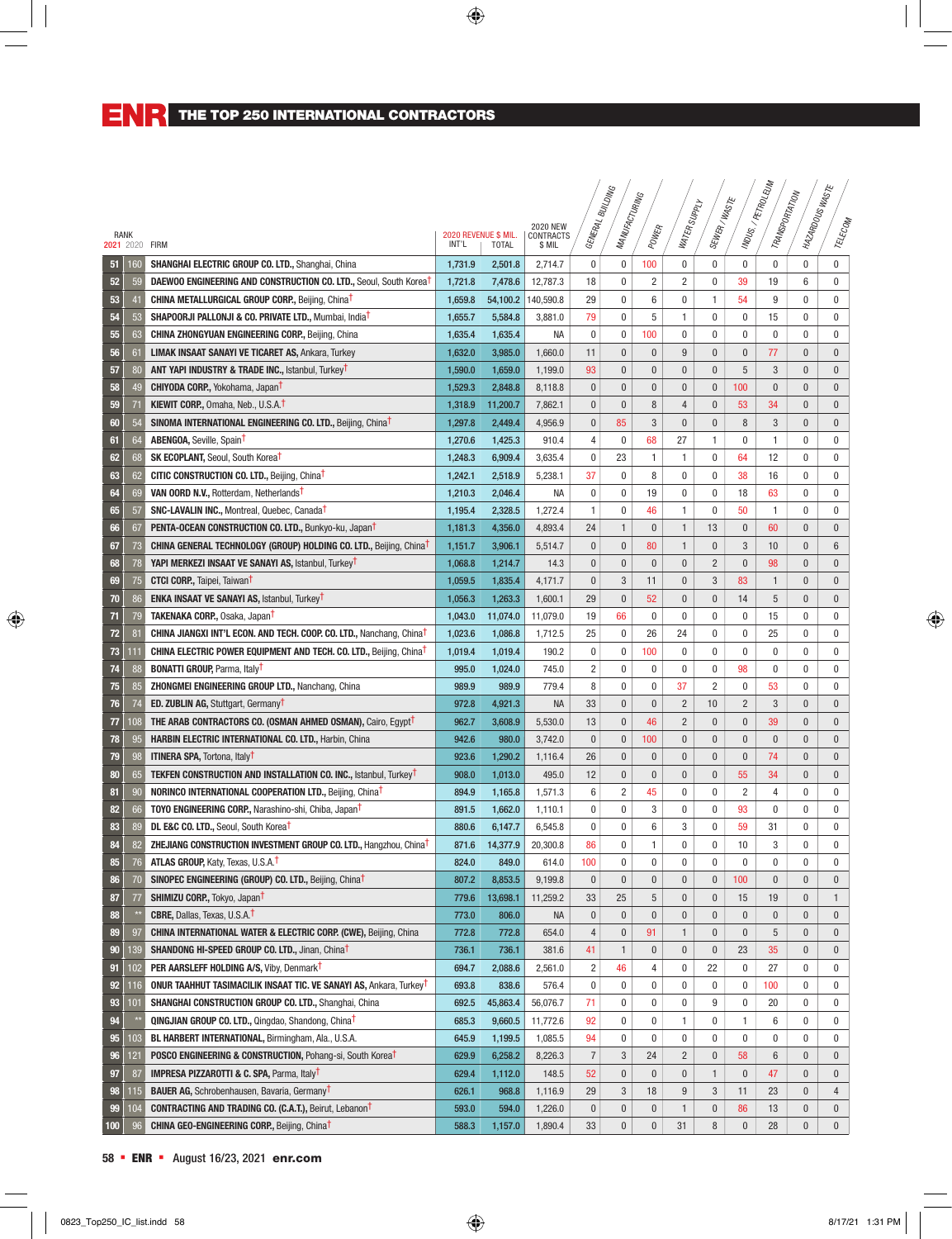|      |            |                                                                                                                     |                |                                      |                     |                | <b>SNICTING</b>  |              |                  |                 |                |                                    |                  |                  |
|------|------------|---------------------------------------------------------------------------------------------------------------------|----------------|--------------------------------------|---------------------|----------------|------------------|--------------|------------------|-----------------|----------------|------------------------------------|------------------|------------------|
|      |            |                                                                                                                     |                |                                      | <b>2020 NEW</b>     | GENERAL I      | MANUFACTURING    |              | WATER SUPPLY     | SEWER/WASTE     |                | MDUS./ PETROLEUM<br>TRANSPORTATION | I MAZARDOUSWASTE | TELECOM          |
| RANK |            | 2021 2020 FIRM                                                                                                      | INT'L          | 2020 REVENUE \$ MIL.<br><b>TOTAL</b> | CONTRACTS<br>\$ MIL |                |                  | POWER        |                  |                 |                |                                    |                  |                  |
|      |            |                                                                                                                     |                |                                      |                     |                |                  |              |                  |                 |                |                                    |                  |                  |
| 51   | 160        | SHANGHAI ELECTRIC GROUP CO. LTD., Shanghai, China                                                                   | 1,731.9        | 2.501.8                              | 2,714.7             | 0              | 0                | 100          | 0                | 0               | $\mathbf{0}$   | $\mathbf{0}$                       | $\mathbf 0$      | $\pmb{0}$        |
| 52   | 59         | DAEWOO ENGINEERING AND CONSTRUCTION CO. LTD., Seoul, South Korea <sup>T</sup>                                       | 1,721.8        | 7,478.6                              | 12,787.3            | 18             | 0                | 2            | 2                | $\mathbf 0$     | 39             | 19                                 | 6                | $\mathbf 0$      |
| 53   | 41         | <b>CHINA METALLURGICAL GROUP CORP., Beijing, ChinaT</b>                                                             | 1,659.8        | 54,100.2                             | 140,590.8           | 29             | 0                | 6            | 0                | 1               | 54             | 9                                  | 0                | $\mathbf 0$      |
| 54   | 53         | <b>SHAPOORJI PALLONJI &amp; CO. PRIVATE LTD., Mumbai, India<sup>T</sup></b>                                         | 1,655.7        | 5,584.8                              | 3,881.0             | 79             | 0                | 5            | 1                | $\mathbf 0$     | 0              | 15                                 | 0                | $\mathbf 0$      |
| 55   | 63         | <b>CHINA ZHONGYUAN ENGINEERING CORP., Beijing, China</b>                                                            | 1,635.4        | 1,635.4                              | NA                  | 0              | 0                | 100          | 0                | $\mathbf 0$     | $\mathbf{0}$   | $\bf{0}$                           | $\mathbf 0$      | $\mathbf 0$      |
| 56   | 61         | <b>LIMAK INSAAT SANAYI VE TICARET AS, Ankara, Turkey</b>                                                            | 1,632.0        | 3,985.0                              | 1,660.0             | 11             | 0                | $\pmb{0}$    | 9                | $\mathbf{0}$    | $\pmb{0}$      | 77                                 | $\bf{0}$         | $\bf{0}$         |
| 57   | 80         | <b>ANT YAPI INDUSTRY &amp; TRADE INC., Istanbul, Turkey<sup>t</sup></b>                                             | 1,590.0        | 1,659.0                              | 1,199.0             | 93             | 0                | 0            | 0                | $\bf{0}$        | 5              | 3                                  | $\bf{0}$         | $\bf{0}$         |
| 58   | 49         | <b>CHIYODA CORP.</b> , Yokohama, Japan <sup>t</sup>                                                                 | 1,529.3        | 2,848.8                              | 8,118.8             | 0              | 0                | $\pmb{0}$    | 0                | $\mathbf{0}$    | 100            | $\pmb{0}$                          | $\pmb{0}$        | $\mathbf 0$      |
| 59   | 71         | KIEWIT CORP., Omaha, Neb., U.S.A. <sup>†</sup>                                                                      | 1,318.9        | 11,200.7                             | 7,862.1             | 0              | 0                | 8            | 4                | $\mathbf{0}$    | 53             | 34                                 | $\bf{0}$         | $\mathbf 0$      |
| 60   | 54         | SINOMA INTERNATIONAL ENGINEERING CO. LTD., Beijing, China <sup>t</sup>                                              | 1,297.8        | 2,449.4                              | 4,956.9             | 0              | 85               | 3            | $\pmb{0}$        | $\mathbf{0}$    | 8              | 3                                  | 0                | $\mathbf 0$      |
| 61   | 64         | <b>ABENGOA, Seville, Spain1</b>                                                                                     | 1,270.6        | 1,425.3                              | 910.4               | 4              | 0                | 68           | 27               | 1               | 0              | 1                                  | 0                | 0                |
| 62   | 68         | <b>SK ECOPLANT, Seoul, South Korea<sup>t</sup></b>                                                                  | 1,248.3        | 6,909.4                              | 3,635.4             | 0              | 23               | 1            | 1                | $\mathbf 0$     | 64             | 12                                 | $\mathbf 0$      | $\mathbf 0$      |
| 63   | 62         | CITIC CONSTRUCTION CO. LTD., Beijing, China <sup>T</sup>                                                            | 1,242.1        | 2,518.9                              | 5,238.1             | 37             | 0                | 8            | 0                | $\mathbf 0$     | 38             | 16                                 | $\mathbf 0$      | $\mathbf 0$      |
| 64   | 69         | VAN OORD N.V., Rotterdam, Netherlands <sup>T</sup>                                                                  | 1,210.3        | 2,046.4                              | NA                  | 0              | 0                | 19           | 0                | $\mathbf 0$     | 18             | 63                                 | $\mathbf 0$      | $\mathbf 0$      |
| 65   | 57         | <b>SNC-LAVALIN INC., Montreal, Quebec, Canada<sup>t</sup></b>                                                       | 1,195.4        | 2,328.5                              | 1,272.4             | 1              | 0                | 46           | 1                | $\mathbf 0$     | 50             | $\mathbf{1}$                       | 0                | $\mathbf 0$      |
| 66   | 67         | <b>PENTA-OCEAN CONSTRUCTION CO. LTD., Bunkyo-ku, Japan<sup>†</sup></b>                                              | 1,181.3        | 4,356.0                              | 4,893.4             | 24             | $\mathbf{1}$     | $\pmb{0}$    | $\mathbf{1}$     | 13              | $\bf{0}$       | 60                                 | $\mathbf{0}$     | $\bf{0}$         |
| 67   | 73         | <b>CHINA GENERAL TECHNOLOGY (GROUP) HOLDING CO. LTD., Beijing, Chinat</b>                                           | 1,151.7        | 3,906.1                              | 5,514.7             | 0              | 0                | 80           | $\mathbf{1}$     | $\mathbf{0}$    | 3              | 10                                 | $\pmb{0}$        | 6                |
| 68   | 78         | YAPI MERKEZI INSAAT VE SANAYI AS, Istanbul, Turkey <sup>T</sup>                                                     | 1,068.8        | 1,214.7                              | 14.3                | 0              | 0                | 0            | $\pmb{0}$        | $\overline{2}$  | $\bf{0}$       | 98                                 | 0                | $\bf{0}$         |
| 69   | 75         | <b>CTCI CORP.</b> , Taipei, Taiwan <sup>†</sup>                                                                     | 1,059.5        | 1,835.4                              | 4,171.7             | 0              | 3                | 11           | $\pmb{0}$        | $\mathbf{3}$    | 83             | $\mathbf{1}$                       | $\pmb{0}$        | $\mathbf{0}$     |
| 70   | 86         | <b>ENKA INSAAT VE SANAYI AS, Istanbul, TurkeyT</b>                                                                  | 1,056.3        | 1,263.3                              | 1,600.1             | 29             | 0                | 52           | $\pmb{0}$        | $\mathbf{0}$    | 14             | 5                                  | $\pmb{0}$        | $\mathbf{0}$     |
| 71   | 79         | <b>TAKENAKA CORP., Osaka, JapanT</b>                                                                                | 1,043.0        | 11,074.0                             | 11,079.0            | 19             | 66               | 0            | 0                | $\mathbf 0$     | 0              | 15                                 | 0                | 0                |
| 72   | 81         | <b>CHINA JIANGXI INT'L ECON. AND TECH. COOP. CO. LTD., Nanchang, China<sup>T</sup></b>                              | 1,023.6        | 1,086.8                              | 1,712.5             | 25             | 0                | 26           | 24               | 0               | 0              | 25                                 | 0                | 0                |
| 73   | 111        | <b>CHINA ELECTRIC POWER EQUIPMENT AND TECH. CO. LTD., Beijing, Chinat</b>                                           | 1,019.4        | 1,019.4                              | 190.2               | 0              | 0                | 100          | 0                | $\mathbf 0$     | $\bf{0}$       | $\mathbf 0$                        | 0                | 0                |
| 74   | 88         | <b>BONATTI GROUP, Parma, Italy<sup>t</sup></b>                                                                      | 995.0          | 1,024.0                              | 745.0               | 2              | 0                | 0            | 0                | $\mathbf 0$     | 98             | $\mathbf{0}$                       | 0                | 0                |
| 75   | 85         | ZHONGMEI ENGINEERING GROUP LTD., Nanchang, China                                                                    | 989.9          | 989.9                                | 779.4               | 8              | 0                | 0            | 37               | $\overline{2}$  | 0              | 53                                 | 0                | 0                |
| 76   | 74         | <b>ED. ZUBLIN AG, Stuttgart, Germany<sup>T</sup></b>                                                                | 972.8          | 4,921.3                              | <b>NA</b>           | 33             | $\mathbf{0}$     | $\mathbf{0}$ | $\overline{c}$   | 10              | $\overline{2}$ | 3                                  | $\mathbf{0}$     | $\bf{0}$         |
| 77   | 108        | <b>THE ARAB CONTRACTORS CO. (OSMAN AHMED OSMAN), Cairo, Egypt<sup>†</sup></b>                                       | 962.7          | 3,608.9                              | 5,530.0             | 13             | $\mathbf{0}$     | 46           | $\overline{c}$   | $\mathbf{0}$    | $\bf{0}$       | 39                                 | $\mathbf{0}$     | $\mathbf 0$      |
| 78   | 95         | <b>HARBIN ELECTRIC INTERNATIONAL CO. LTD., Harbin, China</b>                                                        | 942.6          | 980.0                                | 3,742.0             | 0              | $\mathbf{0}$     | 100          | $\mathbf{0}$     | $\mathbf{0}$    | $\mathbf{0}$   | $\mathbf{0}$                       | $\mathbf{0}$     | $\bf{0}$         |
| 79   | 98         | <b>ITINERA SPA, Tortona, Italy<sup>T</sup></b>                                                                      | 923.6          | 1,290.2                              | 1,116.4             | 26             | $\mathbf{0}$     | 0            | $\pmb{0}$        | $\mathbf{0}$    | $\bf{0}$       | 74                                 | $\bf{0}$         | $\bf{0}$         |
| 80   | 65         | <b>TEKFEN CONSTRUCTION AND INSTALLATION CO. INC., Istanbul, TurkeyT</b>                                             | 908.0          | 1,013.0                              | 495.0               | 12             | $\mathbf{0}$     | $\pmb{0}$    | $\pmb{0}$        | $\mathbf{0}$    | 55             | 34                                 | $\mathbf{0}$     | $\mathbf{0}$     |
| 81   | 90         | <b>NORINCO INTERNATIONAL COOPERATION LTD., Beijing, ChinaT</b>                                                      | 894.9          | 1,165.8                              | 1,571.3             | 6              | $\overline{2}$   | 45           | 0                | $\mathbf 0$     | $\overline{2}$ | $\overline{4}$                     | 0                | $\mathbf 0$      |
| 82   | 66         | <b>TOYO ENGINEERING CORP., Narashino-shi, Chiba, Japant</b>                                                         | 891.5          | 1,662.0                              | 1,110.1             | 0              | 0                | 3            | 0                | $\mathbf 0$     | 93             | $\mathbf 0$                        | $\mathbf 0$      | $\mathbf 0$      |
| 83   | 89         | DL E&C CO. LTD., Seoul, South Korea <sup>T</sup>                                                                    | 880.6          | 6,147.7                              | 6,545.8             | 0              | 0                | 6            | 3                | $\mathbf 0$     | 59             | 31                                 | 0                | $\mathbf 0$      |
| 84   | 82         | <b>ZHEJIANG CONSTRUCTION INVESTMENT GROUP CO. LTD., Hangzhou, Chinat</b>                                            | 871.6          | 14,377.9                             | 20,300.8            | 86             | 0                | 1            | 0                | 0               | 10             | 3                                  | 0                | 0                |
|      | 76         | ATLAS GROUP, Katy, Texas, U.S.A. <sup>†</sup>                                                                       | 824.0          | 849.0                                | 614.0               | 100            | 0                | 0            | 0                | 0               | 0              | 0                                  | 0                | 0                |
| 86   | 70         | SINOPEC ENGINEERING (GROUP) CO. LTD., Beijing, ChinaT                                                               | 807.2          | 8,853.5                              | 9,199.8             | 0              | 0                | 0            | 0                | $\bf{0}$        | 100            | $\bf{0}$                           | $\bf{0}$         | $\mathbf 0$      |
| 87   | 77         | SHIMIZU CORP., Tokyo, Japan <sup>t</sup>                                                                            | 779.6          | 13,698.1                             | 11,259.2            | 33             | 25               | 5            | $\pmb{0}$        | $\pmb{0}$       | 15             | 19                                 | $\pmb{0}$        | $\mathbf{1}$     |
| 88   |            | <b>CBRE, Dallas, Texas, U.S.A.<sup>T</sup></b>                                                                      | 773.0          | 806.0                                | <b>NA</b>           | 0              | 0                | 0            | $\pmb{0}$        | $\bf{0}$        | $\pmb{0}$      | $\pmb{0}$                          | $\bf{0}$         | $\mathbf 0$      |
| 89   | 97         | <b>CHINA INTERNATIONAL WATER &amp; ELECTRIC CORP. (CWE), Beijing, China</b>                                         | 772.8          | 772.8                                | 654.0               | 4              | 0                | 91           | 1                | $\bf{0}$        | $\mathbf 0$    | 5                                  | $\bf{0}$         | $\mathbf 0$      |
|      |            |                                                                                                                     |                |                                      |                     |                |                  |              |                  |                 |                |                                    |                  |                  |
| 90   | 139<br>102 | SHANDONG HI-SPEED GROUP CO. LTD., Jinan, China <sup>T</sup><br>PER AARSLEFF HOLDING A/S, Viby, Denmark <sup>†</sup> | 736.1<br>694.7 | 736.1<br>2,088.6                     | 381.6               | 41<br>2        | 1<br>46          | 0<br>4       | 0<br>0           | $\pmb{0}$<br>22 | 23<br>0        | 35<br>27                           | $\bf{0}$<br>0    | $\mathbf 0$<br>0 |
| 91   |            | <b>ONUR TAAHHUT TASIMACILIK INSAAT TIC. VE SANAYI AS, Ankara, Turkey<sup>†</sup></b>                                |                |                                      | 2,561.0             |                |                  |              |                  |                 |                |                                    |                  |                  |
| 92   | 116        |                                                                                                                     | 693.8          | 838.6                                | 576.4               | 0              | 0                | 0            | 0                | 0               | $\bf{0}$       | 100                                | 0                | $\bf{0}$         |
| 93   | 101        | SHANGHAI CONSTRUCTION GROUP CO. LTD., Shanghai, China                                                               | 692.5          | 45,863.4                             | 56,076.7            | 71             | 0                | 0            | 0                | 9               | 0              | 20                                 | 0                | 0                |
| 94   |            | QINGJIAN GROUP CO. LTD., Qingdao, Shandong, China <sup>t</sup>                                                      | 685.3          | 9,660.5                              | 11,772.6            | 92             | 0                | 0            | 1                | 0               | 1              | 6                                  | 0                | 0                |
| 95   | 103        | BL HARBERT INTERNATIONAL, Birmingham, Ala., U.S.A.                                                                  | 645.9          | 1,199.5                              | 1,085.5             | 94             | 0                | 0            | 0                | 0               | $\bf{0}$       | $\mathbf 0$                        | 0                | 0                |
| 96   | 121        | <b>POSCO ENGINEERING &amp; CONSTRUCTION, Pohang-si, South Korea<sup>t</sup></b>                                     | 629.9          | 6,258.2                              | 8,226.3             | $\overline{7}$ | 3                | 24           | $\overline{c}$   | $\pmb{0}$       | 58             | $6\,$                              | $\pmb{0}$        | $\mathbf 0$      |
| 97   | 87         | <b>IMPRESA PIZZAROTTI &amp; C. SPA, Parma, Italy<sup>T</sup></b>                                                    | 629.4          | 1,112.0                              | 148.5               | 52             | 0                | $\pmb{0}$    | $\pmb{0}$        | $\mathbf{1}$    | $\pmb{0}$      | 47                                 | $\pmb{0}$        | $\mathbf 0$      |
| 98   | 115        | <b>BAUER AG, Schrobenhausen, Bavaria, Germany<sup>t</sup></b>                                                       | 626.1          | 968.8                                | 1,116.9             | 29             | 3                | 18           | $\boldsymbol{9}$ | $\mathbf{3}$    | 11             | 23                                 | $\pmb{0}$        | $\overline{4}$   |
| 99   | 104        | <b>CONTRACTING AND TRADING CO. (C.A.T.), Beirut, LebanonT</b>                                                       | 593.0          | 594.0                                | 1,226.0             | 0              | 0                | 0            | $\mathbf{1}$     | $\bf{0}$        | 86             | 13                                 | $\pmb{0}$        | $\mathbf 0$      |
| 100  | 96         | <b>CHINA GEO-ENGINEERING CORP., Beijing, Chinat</b>                                                                 | 588.3          | 1,157.0                              | 1,890.4             | 33             | $\boldsymbol{0}$ | $\mathbf 0$  | 31               | $\, 8$          | $\bf{0}$       | 28                                 | $\bf{0}$         | $\mathbf{0}$     |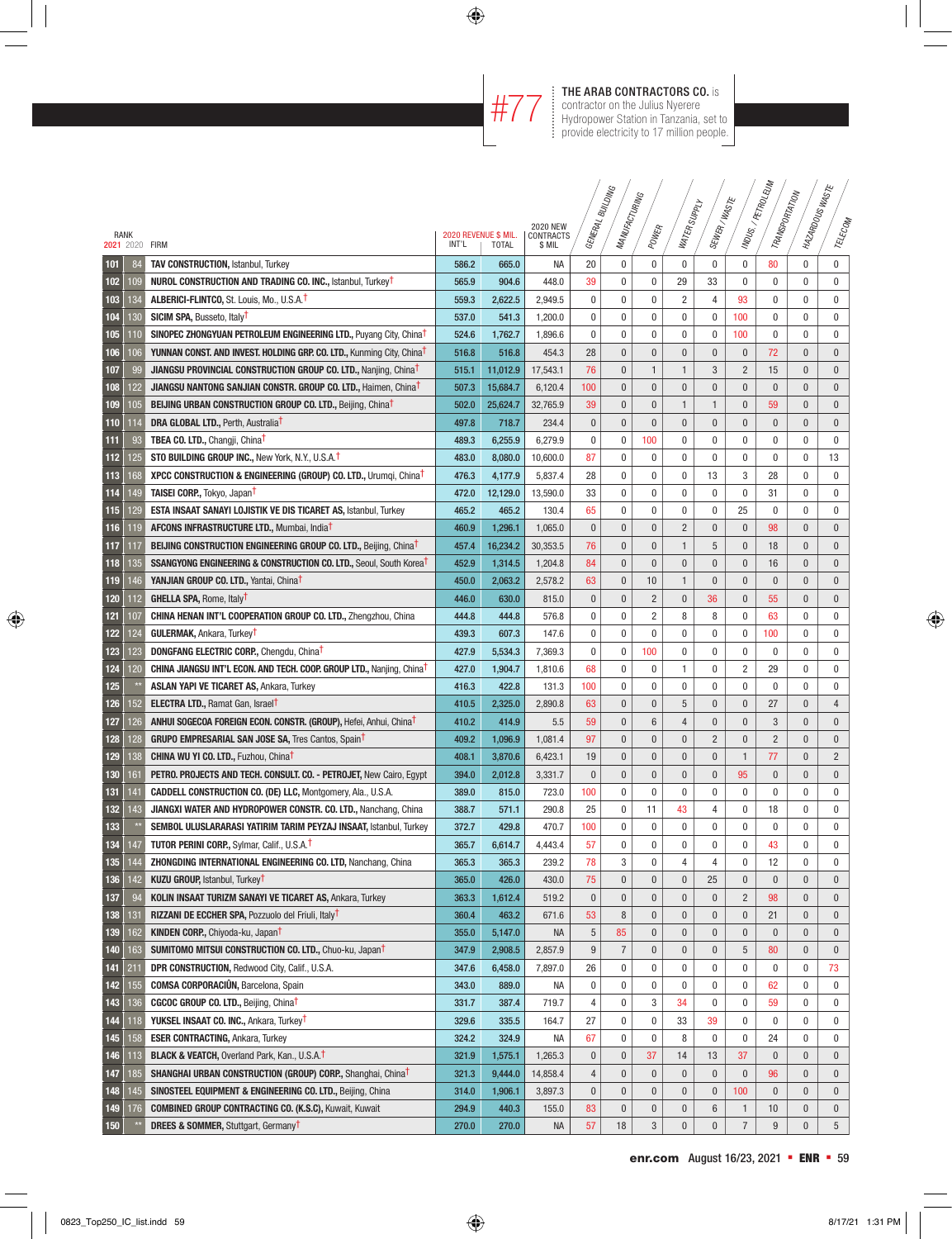### **THE ARAB CONTRACTORS CO.** is<br>
contractor on the Julius Nyerere<br>
HTTT: Hydropower Station in Tanzania, set t contractor on the Julius Nyerere Hydropower Station in Tanzania, set to provide electricity to 17 million people.

|            |                |                                                                                                                                   |                |                      |                              |           | <b>SNICTING</b> |                |                  |                |                       | MDUS./ PETROLEUM<br>TRANSPORTATION | I MAZARDOUSWASTE |                |
|------------|----------------|-----------------------------------------------------------------------------------------------------------------------------------|----------------|----------------------|------------------------------|-----------|-----------------|----------------|------------------|----------------|-----------------------|------------------------------------|------------------|----------------|
|            |                |                                                                                                                                   |                |                      |                              |           | MANUFACTURING   |                | WATER SUPPLY     | SEWER/WASTE    |                       |                                    |                  |                |
|            | RANK           |                                                                                                                                   |                | 2020 REVENUE \$ MIL. | <b>2020 NEW</b><br>CONTRACTS | GENERAL I |                 | POWER          |                  |                |                       |                                    |                  | TELECOM        |
|            | 2021 2020 FIRM |                                                                                                                                   | INT'L          | <b>TOTAL</b>         | \$ MIL                       |           |                 |                |                  |                |                       |                                    |                  |                |
| 101        | 84             | <b>TAV CONSTRUCTION, Istanbul, Turkey</b>                                                                                         | 586.2          | 665.0                | NA                           | 20        | 0               | 0              | 0                | $\mathbf 0$    | $\bf{0}$              | 80                                 | 0                | $\pmb{0}$      |
| 102        | 109            | <b>NUROL CONSTRUCTION AND TRADING CO. INC., Istanbul, Turkey<sup>t</sup></b>                                                      | 565.9          | 904.6                | 448.0                        | 39        | 0               | 0              | 29               | 33             | $\mathbf{0}$          | $\mathbf{0}$                       | $\mathbf 0$      | $\mathbf 0$    |
| 103        | 134            | ALBERICI-FLINTCO, St. Louis, Mo., U.S.A. <sup>1</sup>                                                                             | 559.3          | 2,622.5              | 2,949.5                      | 0         | 0               | 0              | 2                | $\overline{4}$ | 93                    | $\mathbf 0$                        | 0                | $\mathbf 0$    |
| 104        | 130            | <b>SICIM SPA, Busseto, Italy<sup>T</sup></b>                                                                                      | 537.0          | 541.3                | 1,200.0                      | 0         | 0               | 0              | 0                | $\mathbf 0$    | 100                   | $\mathbf{0}$                       | 0                | $\mathbf 0$    |
| 105        | 110            | SINOPEC ZHONGYUAN PETROLEUM ENGINEERING LTD., Puyang City, China <sup>t</sup>                                                     | 524.6          | 1,762.7              | 1,896.6                      | 0         | 0               | 0              | 0                | 0              | 100                   | $\mathbf{0}$                       | $\mathbf 0$      | $\mathbf 0$    |
| 106        | 106            | <b>YUNNAN CONST. AND INVEST. HOLDING GRP. CO. LTD., Kunming City, ChinaT</b>                                                      | 516.8          | 516.8                | 454.3                        | 28        | 0               | $\pmb{0}$      | $\pmb{0}$        | $\mathbf{0}$   | $\pmb{0}$             | 72                                 | $\pmb{0}$        | $\bf{0}$       |
| 107        | 99             | <b>JIANGSU PROVINCIAL CONSTRUCTION GROUP CO. LTD., Nanjing, ChinaT</b>                                                            | 515.1          | 11,012.9             | 17,543.1                     | 76        | 0               | $\mathbf{1}$   | $\mathbf{1}$     | $\mathbf{3}$   | $\overline{2}$        | 15                                 | $\bf{0}$         | $\bf{0}$       |
| 108        | 22             | <b>JIANGSU NANTONG SANJIAN CONSTR. GROUP CO. LTD., Haimen, China<sup>t</sup></b>                                                  | 507.3          | 15,684.7             | 6,120.4                      | 100       | 0               | 0              | 0                | $\bf{0}$       | $\bf{0}$              | $\pmb{0}$                          | $\bf{0}$         | $\pmb{0}$      |
| 109        | 105            | <b>BEIJING URBAN CONSTRUCTION GROUP CO. LTD., Beijing, Chinat</b>                                                                 | 502.0          | 25,624.7             | 32,765.9                     | 39        | 0               | 0              | 1                | $\mathbf{1}$   | $\bf{0}$              | 59                                 | $\bf{0}$         | $\mathbf 0$    |
| 110        | 14             | <b>DRA GLOBAL LTD., Perth, Australia<sup>t</sup></b>                                                                              | 497.8          | 718.7                | 234.4                        | 0         | 0               | $\mathbf{0}$   | 0                | $\mathbf{0}$   | $\pmb{0}$             | $\mathbf{0}$                       | $\pmb{0}$        | $\mathbf 0$    |
| 111        | 93             | <b>TBEA CO. LTD., Changji, China<sup>T</sup></b>                                                                                  | 489.3          | 6,255.9              | 6,279.9                      | 0         | 0               | 100            | 0                | $\mathbf 0$    | 0                     | $\mathbf 0$                        | 0                | 0              |
| 112        | 125            | STO BUILDING GROUP INC., New York, N.Y., U.S.A. <sup>†</sup>                                                                      | 483.0          | 8,080.0              | 10,600.0                     | 87        | 0               | 0              | 0                | $\mathbf 0$    | $\mathbf{0}$          | $\mathbf{0}$                       | $\mathbf 0$      | 13             |
| 113        | 168            | XPCC CONSTRUCTION & ENGINEERING (GROUP) CO. LTD., Urumqi, China <sup>T</sup>                                                      | 476.3          | 4,177.9              | 5,837.4                      | 28        | 0               | 0              | 0                | 13             | 3                     | 28                                 | $\mathbf 0$      | $\mathbf 0$    |
| 114        | 149            | <b>TAISEI CORP., Tokyo, JapanT</b>                                                                                                | 472.0          | 12,129.0             | 13,590.0                     | 33        | 0               | 0              | 0                | $\mathbf 0$    | $\bf{0}$              | 31                                 | $\mathbf 0$      | $\mathbf 0$    |
| 115        | 129            | ESTA INSAAT SANAYI LOJISTIK VE DIS TICARET AS, Istanbul, Turkey                                                                   | 465.2          | 465.2                | 130.4                        | 65        | 0               | 0              | 0                | $\mathbf{0}$   | 25                    | $\mathbf{0}$                       | $\mathbf 0$      | $\mathbf{0}$   |
| 116        | 119            | <b>AFCONS INFRASTRUCTURE LTD., Mumbai, India<sup>T</sup></b>                                                                      | 460.9          | 1,296.1              | 1,065.0                      | $\pmb{0}$ | $\mathbf{0}$    | 0              | $\overline{2}$   | $\mathbf{0}$   | $\bf{0}$              | 98                                 | $\mathbf{0}$     | $\bf{0}$       |
| 117        | 117            | <b>BEIJING CONSTRUCTION ENGINEERING GROUP CO. LTD., Beijing, ChinaT</b>                                                           | 457.4          | 16,234.2             | 30,353.5                     | 76        | $\mathbf{0}$    | $\mathbf{0}$   | $\mathbf{1}$     | 5              | $\bf{0}$              | 18                                 | $\pmb{0}$        | $\pmb{0}$      |
| 118        | 135            | <b>SSANGYONG ENGINEERING &amp; CONSTRUCTION CO. LTD., Seoul, South Korea<sup>T</sup></b>                                          | 452.9          | 1,314.5              | 1,204.8                      | 84        | 0               | $\pmb{0}$      | $\pmb{0}$        | $\pmb{0}$      | $\bf{0}$              | 16                                 | 0                | $\bf{0}$       |
| 119        | 146            | YANJIAN GROUP CO. LTD., Yantai, China <sup>T</sup>                                                                                | 450.0          | 2,063.2              | 2,578.2                      | 63        | 0               | 10             | $\mathbf{1}$     | $\mathbf{0}$   | $\pmb{0}$             | $\pmb{0}$                          | $\pmb{0}$        | $\mathbf{0}$   |
| 120        | 112            | <b>GHELLA SPA, Rome, Italy<sup>T</sup></b>                                                                                        | 446.0          | 630.0                | 815.0                        | 0         | 0               | $\overline{2}$ | $\pmb{0}$        | 36             | $\bf{0}$              | 55                                 | $\mathbf{0}$     | $\mathbf{0}$   |
| 121        | 107            | CHINA HENAN INT'L COOPERATION GROUP CO. LTD., Zhengzhou, China                                                                    | 444.8          | 444.8                | 576.8                        | 0         | 0               | 2              | 8                | 8              | $\pmb{0}$             | 63                                 | 0                | 0              |
| 122        | 124            | <b>GULERMAK, Ankara, Turkey<sup>T</sup></b>                                                                                       | 439.3          | 607.3                | 147.6                        | 0         | 0               | 0              | 0                | 0              | $\bf{0}$              | 100                                | 0                | 0              |
| 123        | 123            | <b>DONGFANG ELECTRIC CORP., Chengdu, Chinat</b>                                                                                   | 427.9          | 5,534.3              | 7,369.3                      | 0         | 0               | 100            | 0                | $\mathbf 0$    | $\bf{0}$              | $\mathbf{0}$                       | 0                | 0              |
| 124        | 120            | <b>CHINA JIANGSU INT'L ECON. AND TECH. COOP. GROUP LTD., Nanjing, Chinat</b>                                                      | 427.0          | 1,904.7              | 1,810.6                      | 68        | 0               | 0              | 1                | $\mathbf 0$    | 2                     | 29                                 | $\mathbf 0$      | 0              |
| 125        |                | <b>ASLAN YAPI VE TICARET AS, Ankara, Turkey</b>                                                                                   | 416.3          | 422.8                | 131.3                        | 100       | 0               | 0              | 0                | $\mathbf 0$    | $\mathbf 0$           | $\mathbf{0}$                       | $\mathbf 0$      | 0              |
| 126        | 152            | <b>ELECTRA LTD., Ramat Gan, Israel<sup>T</sup></b>                                                                                | 410.5          | 2,325.0              | 2,890.8                      | 63        | $\mathbf{0}$    | $\pmb{0}$      | 5                | $\mathbf{0}$   | $\bf{0}$              | 27                                 | $\mathbf{0}$     | $\overline{4}$ |
| 127        | 126            | <b>ANHUI SOGECOA FOREIGN ECON. CONSTR. (GROUP), Hefei, Anhui, ChinaT</b>                                                          | 410.2          | 414.9                | 5.5                          | 59        | $\mathbf{0}$    | 6              | 4                | $\mathbf{0}$   | $\mathbf{0}$          | 3                                  | $\mathbf{0}$     | $\mathbf 0$    |
| 128        | 128            | <b>GRUPO EMPRESARIAL SAN JOSE SA, Tres Cantos, SpainT</b>                                                                         | 409.2          | 1,096.9              | 1,081.4                      | 97        | $\mathbf{0}$    | $\mathbf{0}$   | $\mathbf{0}$     | $\overline{2}$ | $\mathbf{0}$          | $\overline{2}$                     | $\mathbf{0}$     | $\mathbf 0$    |
| 129        | 138            | <b>CHINA WU YI CO. LTD., Fuzhou, ChinaT</b>                                                                                       | 408.1          | 3,870.6              | 6,423.1                      | 19        | $\mathbf{0}$    | $\mathbf{0}$   | $\pmb{0}$        | $\mathbf{0}$   | $\mathbf{1}$          | 77                                 | $\mathbf{0}$     | $\overline{2}$ |
| 130        | 161            | PETRO. PROJECTS AND TECH. CONSULT. CO. - PETROJET, New Cairo, Eqypt                                                               | 394.0          | 2,012.8              | 3,331.7                      | $\pmb{0}$ | $\mathbf{0}$    | $\pmb{0}$      | $\mathbf{0}$     | $\mathbf{0}$   | 95                    | $\mathbf{0}$                       | $\mathbf{0}$     | $\mathbf{0}$   |
| 131        | 141            | <b>CADDELL CONSTRUCTION CO. (DE) LLC, Montgomery, Ala., U.S.A.</b>                                                                | 389.0          | 815.0                | 723.0                        | 100       | 0               | 0              | 0                | $\mathbf 0$    | $\mathbf{0}$          | $\mathbf{0}$                       | $\mathbf 0$      | $\mathbf{0}$   |
| 132        | 143            | <b>JIANGXI WATER AND HYDROPOWER CONSTR. CO. LTD., Nanchang, China</b>                                                             | 388.7          | 571.1                | 290.8                        | 25        | 0               | 11             | 43               | 4              | 0                     | 18                                 | $\mathbf 0$      | $\mathbf 0$    |
| 133        |                | <b>SEMBOL ULUSLARARASI YATIRIM TARIM PEYZAJ INSAAT, Istanbul, Turkey</b>                                                          | 372.7          | 429.8                | 470.7                        | 100       | 0               | 0              | 0                | $\mathbf 0$    | $\mathbf{0}$          | $\mathbf{0}$                       | 0                | $\mathbf 0$    |
| 134        | 147            | <b>TUTOR PERINI CORP., Sylmar, Calif., U.S.A.T</b>                                                                                | 365.7          | 6,614.7              | 4,443.4                      | 57        | 0               | 0              | 0                | 0              | $\bf{0}$              | 43                                 | 0                | 0              |
| 135        | 144            | ZHONGDING INTERNATIONAL ENGINEERING CO. LTD, Nanchang, China                                                                      | 365.3          | 365.3                | 239.2                        | 78        | 3               | 0              | 4                | 4              | $\pmb{0}$             | 12                                 | 0                | 0              |
| 136        | 142            | <b>KUZU GROUP, Istanbul, Turkey<sup>†</sup></b>                                                                                   | 365.0          | 426.0                | 430.0                        | 75        | 0               | 0              | 0                | 25             | $\mathbf 0$           | $\bf{0}$                           | $\bf{0}$         | $\mathbf 0$    |
| 137        | 94             | KOLIN INSAAT TURIZM SANAYI VE TICARET AS, Ankara, Turkey                                                                          | 363.3          | 1,612.4              | 519.2                        | 0         | 0               | 0              | $\pmb{0}$        | $\bf{0}$       | $\overline{c}$        | 98                                 | $\pmb{0}$        | $\mathbf 0$    |
| 138        | 131            | RIZZANI DE ECCHER SPA, Pozzuolo del Friuli, Italy <sup>t</sup>                                                                    | 360.4          | 463.2                | 671.6                        | 53        | 8               | 0              | $\pmb{0}$        | $\bf{0}$       | $\pmb{0}$             | 21                                 | $\pmb{0}$        | $\mathbf 0$    |
| 139        | 162            | <b>KINDEN CORP., Chiyoda-ku, Japan<sup>T</sup></b>                                                                                | 355.0          | 5,147.0              | <b>NA</b>                    | 5         | 85              | 0              | 0                | $\bf{0}$       | $\mathbf 0$           | $\bf{0}$                           | $\bf{0}$         | $\mathbf 0$    |
| 140        | 163            | <b>SUMITOMO MITSUI CONSTRUCTION CO. LTD., Chuo-ku, Japan<sup>T</sup></b>                                                          | 347.9          | 2,908.5              | 2,857.9                      | 9         | 7               | 0              | 0                | $\bf{0}$       | $\sqrt{5}$            | 80                                 | $\bf{0}$         | $\mathbf 0$    |
| 141        | 211            | DPR CONSTRUCTION, Redwood City, Calif., U.S.A.                                                                                    | 347.6          | 6,458.0              | 7,897.0                      | 26        | 0               | 0              | 0                | 0              | $\pmb{0}$             | 0                                  | 0                | 73             |
| 142        | 155            | <b>COMSA CORPORACIÚN, Barcelona, Spain</b>                                                                                        | 343.0          | 889.0                | NА                           | 0         | 0               | 0              | 0                | 0              | $\bf{0}$              | 62                                 | 0                | 0              |
| 143<br>144 | 136<br>118     | <b>CGCOC GROUP CO. LTD., Beijing, Chinat</b>                                                                                      | 331.7          | 387.4                | 719.7                        | 4         | 0               | 3              | 34               | 0              | 0                     | 59<br>$\bf{0}$                     | 0                | 0<br>0         |
|            |                | YUKSEL INSAAT CO. INC., Ankara, Turkey <sup>†</sup>                                                                               | 329.6          | 335.5                | 164.7                        | 27<br>67  | 0<br>0          | 0<br>0         | 33<br>8          | 39<br>0        | $\pmb{0}$<br>$\bf{0}$ |                                    | 0<br>0           | 0              |
| 145        | 158            | ESER CONTRACTING, Ankara, Turkey                                                                                                  | 324.2          | 324.9                | ΝA                           | 0         | 0               | 37             |                  | 13             | 37                    | 24<br>$\pmb{0}$                    | $\bf{0}$         | $\mathbf 0$    |
| 146        | 113<br>185     | <b>BLACK &amp; VEATCH, Overland Park, Kan., U.S.A.<sup>†</sup></b><br>SHANGHAI URBAN CONSTRUCTION (GROUP) CORP., Shanghai, ChinaT | 321.9<br>321.3 | 1,575.1<br>9,444.0   | 1,265.3                      | 4         | 0               | $\pmb{0}$      | 14<br>$\pmb{0}$  | $\pmb{0}$      | $\pmb{0}$             | 96                                 | $\pmb{0}$        | $\mathbf 0$    |
| 147<br>148 | 145            | SINOSTEEL EQUIPMENT & ENGINEERING CO. LTD., Beijing, China                                                                        | 314.0          | 1,906.1              | 14,858.4<br>3,897.3          | 0         | 0               | $\pmb{0}$      | $\pmb{0}$        | $\pmb{0}$      | 100                   | $\pmb{0}$                          | $\pmb{0}$        | $\bf{0}$       |
| 149        | 176            | <b>COMBINED GROUP CONTRACTING CO. (K.S.C), Kuwait, Kuwait</b>                                                                     | 294.9          | 440.3                | 155.0                        | 83        | 0               | $\pmb{0}$      | 0                | $6\,$          | $\mathbf{1}$          | 10                                 | $\pmb{0}$        | $\mathbf 0$    |
| 150        |                | <b>DREES &amp; SOMMER, Stuttgart, GermanyT</b>                                                                                    | 270.0          | 270.0                | NA                           | 57        | 18              | 3              | $\boldsymbol{0}$ | $\pmb{0}$      | $\overline{7}$        | 9                                  | $\pmb{0}$        | 5 <sup>5</sup> |
|            |                |                                                                                                                                   |                |                      |                              |           |                 |                |                  |                |                       |                                    |                  |                |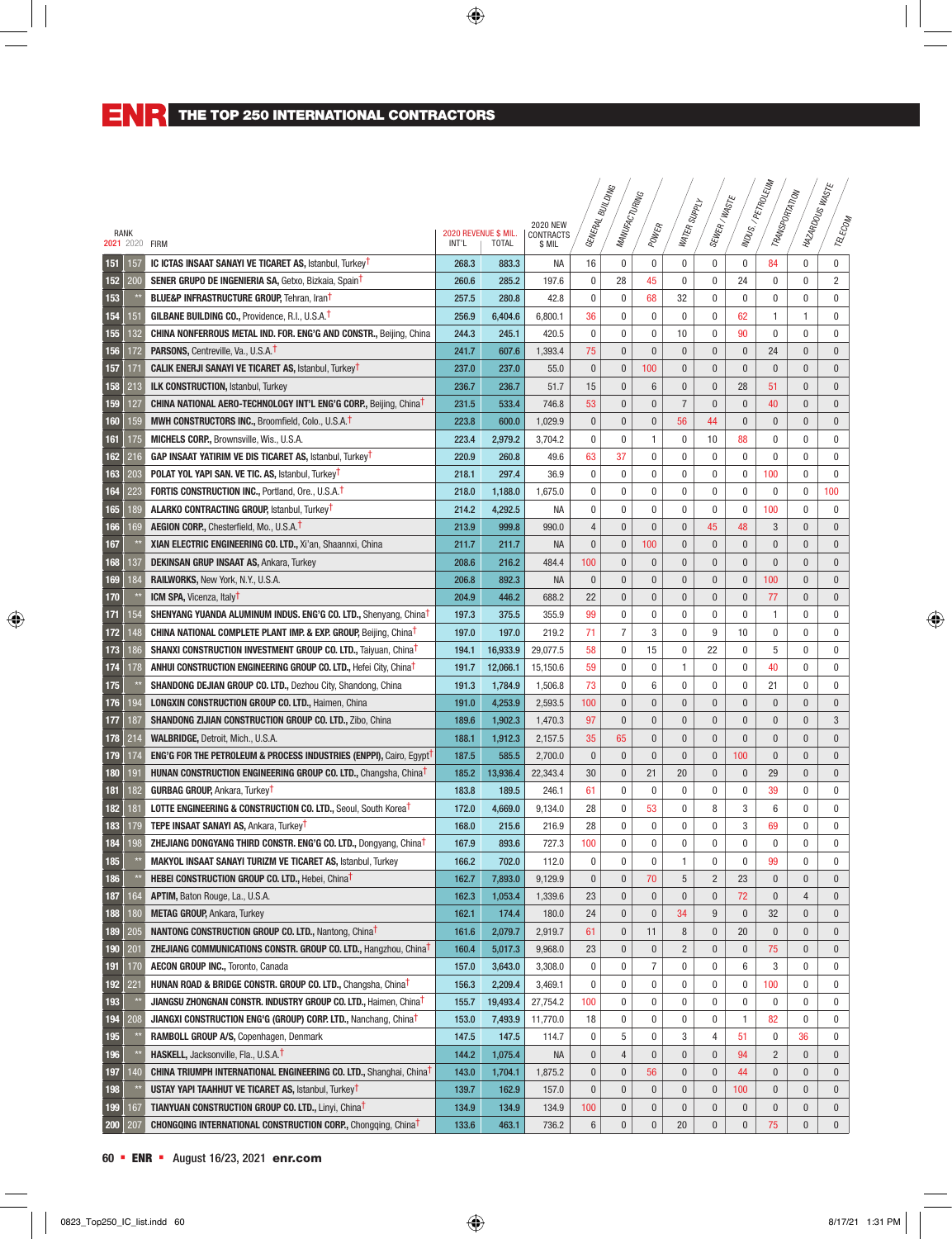|             |              |                                                                                           |       |                                      |                     |                | - <sup>BUILDING</sup> |                  |                |                   |                | INDUS./PETROLEUM           | <b>HAZARDOUSWASTE</b>      |                  |
|-------------|--------------|-------------------------------------------------------------------------------------------|-------|--------------------------------------|---------------------|----------------|-----------------------|------------------|----------------|-------------------|----------------|----------------------------|----------------------------|------------------|
|             |              |                                                                                           |       |                                      |                     |                | MANUFACTURING         |                  | WATER SUPPLY   | SEWER/WASTE       |                | TRANSPORTATION             |                            |                  |
|             |              |                                                                                           |       |                                      | <b>2020 NEW</b>     | GENERAL E      |                       |                  |                |                   |                |                            |                            |                  |
| <b>RANK</b> |              | 2021 2020 FIRM                                                                            | INT'L | 2020 REVENUE \$ MIL.<br><b>TOTAL</b> | CONTRACTS<br>\$ MIL |                |                       | POWER            |                |                   |                |                            |                            | TELECOM          |
| 151         | 157          | <b>IC ICTAS INSAAT SANAYI VE TICARET AS, Istanbul, Turkey<sup>T</sup></b>                 | 268.3 | 883.3                                | <b>NA</b>           | 16             | 0                     | 0                | 0              | $\mathbf 0$       | $\bf{0}$       | 84                         | 0                          | $\bf{0}$         |
| 152         | 200          | <b>SENER GRUPO DE INGENIERIA SA, Getxo, Bizkaia, SpainT</b>                               | 260.6 | 285.2                                | 197.6               | 0              | 28                    | 45               | $\mathbf{0}$   | $\mathbf 0$       | 24             | $\mathbf{0}$               | $\mathbf 0$                | $\overline{2}$   |
| 153         |              | <b>BLUE&amp;P INFRASTRUCTURE GROUP, Tehran, IranT</b>                                     | 257.5 | 280.8                                | 42.8                | 0              | 0                     | 68               | 32             | $\mathbf 0$       | 0              | $\mathbf 0$                | $\mathbf 0$                | $\mathbf 0$      |
| 154         | 151          | <b>GILBANE BUILDING CO., Providence, R.I., U.S.A.T</b>                                    | 256.9 | 6,404.6                              | 6,800.1             | 36             | 0                     | $\mathbf 0$      | 0              | $\mathbf 0$       | 62             | $\mathbf{1}$               | 1                          | $\mathbf 0$      |
| 155         | 132          | CHINA NONFERROUS METAL IND. FOR. ENG'G AND CONSTR., Beijing, China                        | 244.3 | 245.1                                | 420.5               | 0              | 0                     | 0                | 10             | $\mathbf 0$       | 90             | $\mathbf{0}$               | $\mathbf 0$                | $\mathbf 0$      |
| 156         | 172          | <b>PARSONS, Centreville, Va., U.S.A.T</b>                                                 | 241.7 | 607.6                                | 1,393.4             | 75             | $\pmb{0}$             | $\pmb{0}$        | $\pmb{0}$      | $\mathbf{0}$      | $\bf{0}$       | 24                         | $\bf{0}$                   | $\bf{0}$         |
| 157         | 171          | <b>CALIK ENERJI SANAYI VE TICARET AS, Istanbul, Turkey<sup>†</sup></b>                    | 237.0 | 237.0                                | 55.0                | 0              | $\bf{0}$              | 100              | $\bf{0}$       | $\bf{0}$          | $\bf{0}$       | $\bf{0}$                   | $\bf{0}$                   | $\mathbf 0$      |
| 158         | 213          | <b>ILK CONSTRUCTION, Istanbul, Turkey</b>                                                 | 236.7 | 236.7                                | 51.7                | 15             | $\pmb{0}$             | 6                | $\bf{0}$       | $\bf{0}$          | 28             | 51                         | $\bf{0}$                   | $\mathbf 0$      |
| 159         | 127          | <b>CHINA NATIONAL AERO-TECHNOLOGY INT'L ENG'G CORP., Beijing, ChinaT</b>                  | 231.5 | 533.4                                | 746.8               | 53             | $\pmb{0}$             | $\pmb{0}$        | $\overline{7}$ | $\mathbf{0}$      | $\bf{0}$       | 40                         | $\bf{0}$                   | $\mathbf 0$      |
|             | 159          |                                                                                           |       |                                      |                     |                | $\pmb{0}$             |                  | 56             | 44                |                | $\mathbf{0}$               |                            | $\mathbf 0$      |
| 160         |              | MWH CONSTRUCTORS INC., Broomfield, Colo., U.S.A. <sup>T</sup>                             | 223.8 | 600.0                                | 1,029.9             | 0<br>0         | 0                     | $\bf{0}$         |                |                   | $\bf{0}$       |                            | $\bf{0}$                   |                  |
| 161<br>162  | 175<br>216   | MICHELS CORP., Brownsville, Wis., U.S.A.                                                  | 223.4 | 2,979.2                              | 3,704.2             | 63             | 37                    | 1<br>$\mathbf 0$ | 0<br>0         | 10<br>$\mathbf 0$ | 88<br>$\bf{0}$ | $\mathbf 0$<br>$\mathbf 0$ | $\mathbf 0$<br>$\mathbf 0$ | 0<br>$\mathbf 0$ |
|             |              | <b>GAP INSAAT YATIRIM VE DIS TICARET AS, Istanbul, Turkey<sup>†</sup></b>                 | 220.9 | 260.8                                | 49.6                |                |                       |                  |                |                   |                |                            |                            |                  |
| 163         | 203          | <b>POLAT YOL YAPI SAN. VE TIC. AS, Istanbul, Turkey<sup>t</sup></b>                       | 218.1 | 297.4                                | 36.9                | 0              | 0                     | 0                | $\mathbf{0}$   | $\mathbf 0$       | $\bf{0}$       | 100                        | $\mathbf 0$                | $\mathbf 0$      |
| 164         | 223          | <b>FORTIS CONSTRUCTION INC., Portland, Ore., U.S.A.T</b>                                  | 218.0 | 1,188.0                              | 1,675.0             | 0              | 0                     | 0                | 0              | $\mathbf 0$       | 0              | 0                          | 0                          | 100              |
| 165         | 189          | <b>ALARKO CONTRACTING GROUP, Istanbul, Turkey<sup>t</sup></b>                             | 214.2 | 4,292.5                              | <b>NA</b>           | 0              | 0                     | $\mathbf 0$      | $\pmb{0}$      | $\mathbf 0$       | $\bf{0}$       | 100                        | $\mathbf 0$                | $\mathbf 0$      |
| 166         | 169          | <b>AEGION CORP., Chesterfield, Mo., U.S.A.T</b>                                           | 213.9 | 999.8                                | 990.0               | $\overline{4}$ | $\mathbf{0}$          | $\mathbf{0}$     | $\bf{0}$       | 45                | 48             | 3                          | $\mathbf{0}$               | $\bf{0}$         |
| 167         |              | XIAN ELECTRIC ENGINEERING CO. LTD., Xi'an, Shaannxi, China                                | 211.7 | 211.7                                | <b>NA</b>           | $\pmb{0}$      | $\pmb{0}$             | 100              | $\mathbf{0}$   | $\mathbf{0}$      | $\mathbf{0}$   | $\mathbf{0}$               | $\pmb{0}$                  | $\pmb{0}$        |
| 168         | 137          | <b>DEKINSAN GRUP INSAAT AS, Ankara, Turkey</b>                                            | 208.6 | 216.2                                | 484.4               | 100            | $\mathbf{0}$          | $\bf{0}$         | $\bf{0}$       | $\mathbf{0}$      | $\mathbf{0}$   | $\bf{0}$                   | 0                          | $\bf{0}$         |
| 169         | 184          | <b>RAILWORKS, New York, N.Y., U.S.A.</b>                                                  | 206.8 | 892.3                                | <b>NA</b>           | $\pmb{0}$      | $\pmb{0}$             | $\pmb{0}$        | $\pmb{0}$      | $\mathbf{0}$      | $\pmb{0}$      | 100                        | $\mathbf{0}$               | $\mathbf{0}$     |
| 170         |              | <b>ICM SPA, Vicenza, Italy<sup>t</sup></b>                                                | 204.9 | 446.2                                | 688.2               | 22             | $\pmb{0}$             | $\pmb{0}$        | $\pmb{0}$      | $\mathbf{0}$      | $\bf{0}$       | 77                         | $\mathbf{0}$               | $\mathbf{0}$     |
| 171         | 154          | <b>SHENYANG YUANDA ALUMINUM INDUS. ENG'G CO. LTD., Shenyang, ChinaT</b>                   | 197.3 | 375.5                                | 355.9               | 99             | 0                     | 0                | 0              | $\mathbf 0$       | 0              | 1                          | 0                          | 0                |
| 172         | 148          | <b>CHINA NATIONAL COMPLETE PLANT IMP. &amp; EXP. GROUP, Beijing, Chinat</b>               | 197.0 | 197.0                                | 219.2               | 71             | 7                     | 3                | 0              | 9                 | 10             | 0                          | 0                          | 0                |
| 173         | 186          | <b>SHANXI CONSTRUCTION INVESTMENT GROUP CO. LTD., Taiyuan, ChinaT</b>                     | 194.1 | 16,933.9                             | 29,077.5            | 58             | 0                     | 15               | 0              | 22                | $\mathbf{0}$   | 5                          | $\mathbf 0$                | 0                |
| 174         | 178          | ANHUI CONSTRUCTION ENGINEERING GROUP CO. LTD., Hefei City, China <sup>t</sup>             | 191.7 | 12,066.1                             | 15,150.6            | 59             | 0                     | 0                | 1              | $\mathbf 0$       | $\mathbf{0}$   | 40                         | 0                          | 0                |
| 175         |              | <b>SHANDONG DEJIAN GROUP CO. LTD., Dezhou City, Shandong, China</b>                       | 191.3 | 1,784.9                              | 1,506.8             | 73             | 0                     | 6                | 0              | $\mathbf 0$       | 0              | 21                         | 0                          | 0                |
| 176         | 194          | <b>LONGXIN CONSTRUCTION GROUP CO. LTD., Haimen, China</b>                                 | 191.0 | 4,253.9                              | 2,593.5             | 100            | $\pmb{0}$             | $\pmb{0}$        | $\bf{0}$       | $\mathbf{0}$      | $\bf{0}$       | $\mathbf{0}$               | $\mathbf{0}$               | $\mathbf 0$      |
| 177         | 187          | <b>SHANDONG ZIJIAN CONSTRUCTION GROUP CO. LTD., Zibo, China</b>                           | 189.6 | 1,902.3                              | 1,470.3             | 97             | $\mathbf{0}$          | $\mathbf{0}$     | $\mathbf{0}$   | $\mathbf{0}$      | $\bf{0}$       | $\mathbf{0}$               | $\mathbf{0}$               | 3                |
| 178         | 214          | WALBRIDGE, Detroit, Mich., U.S.A.                                                         | 188.1 | 1,912.3                              | 2,157.5             | 35             | 65                    | $\mathbf{0}$     | $\mathbf{0}$   | $\mathbf{0}$      | $\mathbf{0}$   | $\mathbf{0}$               | $\mathbf{0}$               | $\mathbf 0$      |
| 179         | 174          | <b>ENG'G FOR THE PETROLEUM &amp; PROCESS INDUSTRIES (ENPPI), Cairo, Egypt<sup>1</sup></b> | 187.5 | 585.5                                | 2,700.0             | $\pmb{0}$      | $\pmb{0}$             | $\mathbf{0}$     | $\mathbf{0}$   | $\mathbf{0}$      | 100            | $\mathbf{0}$               | $\bf{0}$                   | $\bf{0}$         |
| 180         | 191          | <b>HUNAN CONSTRUCTION ENGINEERING GROUP CO. LTD., Changsha, ChinaT</b>                    | 185.2 | 13,936.4                             | 22,343.4            | 30             | $\pmb{0}$             | 21               | 20             | $\mathbf{0}$      | $\mathbf 0$    | 29                         | $\mathbf{0}$               | $\bf{0}$         |
| 181         | 182          | <b>GURBAG GROUP, Ankara, Turkey<sup>T</sup></b>                                           | 183.8 | 189.5                                | 246.1               | 61             | 0                     | $\mathbf 0$      | $\mathbf{0}$   | $\mathbf 0$       | $\mathbf 0$    | 39                         | 0                          | $\mathbf 0$      |
| 182         | 181          | <b>LOTTE ENGINEERING &amp; CONSTRUCTION CO. LTD., Seoul, South Korea<sup>t</sup></b>      | 172.0 | 4,669.0                              | 9,134.0             | 28             | 0                     | 53               | 0              | 8                 | 3              | 6                          | 0                          | $\mathbf 0$      |
| 183         | 179          | <b>TEPE INSAAT SANAYI AS, Ankara, Turkey<sup>†</sup></b>                                  | 168.0 | 215.6                                | 216.9               | 28             | 0                     | $\mathbf 0$      | 0              | $\mathbf 0$       | 3              | 69                         | 0                          | $\mathbf 0$      |
| 184         | 198          | ZHEJIANG DONGYANG THIRD CONSTR. ENG'G CO. LTD., Dongyang, ChinaT                          | 167.9 | 893.6                                | 727.3               | 100            | 0                     | 0                | 0              | 0                 | 0              | 0                          | 0                          | 0                |
| 185         | $\star\star$ | MAKYOL INSAAT SANAYI TURIZM VE TICARET AS, Istanbul, Turkey                               | 166.2 | 702.0                                | 112.0               | 0              | 0                     | $\pmb{0}$        | 1              | $\pmb{0}$         | 0              | 99                         | 0                          | 0                |
| 186         |              | <b>HEBEI CONSTRUCTION GROUP CO. LTD., Hebei, ChinaT</b>                                   | 162.7 | 7,893.0                              | 9,129.9             | 0              | $\bf{0}$              | 70               | 5              | $\overline{2}$    | 23             | $\bf{0}$                   | $\bf{0}$                   | $\mathbf 0$      |
| 187         | 164          | APTIM, Baton Rouge, La., U.S.A.                                                           | 162.3 | 1,053.4                              | 1,339.6             | 23             | $\pmb{0}$             | $\pmb{0}$        | $\pmb{0}$      | $\pmb{0}$         | 72             | $\pmb{0}$                  | $\overline{4}$             | $\mathbf 0$      |
| 188         | 180          | <b>METAG GROUP, Ankara, Turkey</b>                                                        | 162.1 | 174.4                                | 180.0               | 24             | $\pmb{0}$             | $\pmb{0}$        | 34             | 9                 | $\pmb{0}$      | 32                         | $\bf{0}$                   | $\mathbf 0$      |
| 189         | 205          | <b>NANTONG CONSTRUCTION GROUP CO. LTD., Nantong, ChinaT</b>                               | 161.6 | 2,079.7                              | 2,919.7             | 61             | 0                     | 11               | 8              | $\bf{0}$          | 20             | $\bf{0}$                   | $\bf{0}$                   | $\mathbf 0$      |
| 190         | 201          | <b>ZHEJIANG COMMUNICATIONS CONSTR. GROUP CO. LTD., Hangzhou, China<sup>t</sup></b>        | 160.4 | 5,017.3                              | 9,968.0             | 23             | $\pmb{0}$             | $\pmb{0}$        | $\overline{c}$ | $\bf{0}$          | $\bf{0}$       | 75                         | $\pmb{0}$                  | $\mathbf 0$      |
| 191         | 170          | AECON GROUP INC., Toronto, Canada                                                         | 157.0 | 3,643.0                              | 3,308.0             | 0              | 0                     | 7                | 0              | 0                 | 6              | 3                          | 0                          | 0                |
| 192         | 221          | HUNAN ROAD & BRIDGE CONSTR. GROUP CO. LTD., Changsha, China <sup>t</sup>                  | 156.3 | 2,209.4                              | 3,469.1             | $\pmb{0}$      | 0                     | 0                | 0              | 0                 | $\bf{0}$       | 100                        | 0                          | 0                |
| 193         |              | <b>JIANGSU ZHONGNAN CONSTR. INDUSTRY GROUP CO. LTD., Haimen, China<sup>t</sup></b>        | 155.7 | 19,493.4                             | 27,754.2            | 100            | 0                     | 0                | 0              | 0                 | 0              | 0                          | 0                          | 0                |
| 194         | 208          | <b>JIANGXI CONSTRUCTION ENG'G (GROUP) CORP. LTD., Nanchang, China<sup>t</sup></b>         | 153.0 | 7,493.9                              | 11,770.0            | 18             | $\pmb{0}$             | 0                | 0              | 0                 | 1              | 82                         | 0                          | 0                |
| 195         |              | RAMBOLL GROUP A/S, Copenhagen, Denmark                                                    | 147.5 | 147.5                                | 114.7               | 0              | 5                     | 0                | 3              | 4                 | 51             | $\bf{0}$                   | 36                         | 0                |
| 196         |              | HASKELL, Jacksonville, Fla., U.S.A. <sup>T</sup>                                          | 144.2 | 1,075.4                              | <b>NA</b>           | $\pmb{0}$      | $\overline{4}$        | $\pmb{0}$        | $\bf{0}$       | $\bf{0}$          | 94             | $\overline{2}$             | $\bf{0}$                   | $\mathbf 0$      |
| 197         | 140          | <b>CHINA TRIUMPH INTERNATIONAL ENGINEERING CO. LTD., Shanghai, China1</b>                 | 143.0 | 1,704.1                              | 1,875.2             | $\pmb{0}$      | $\pmb{0}$             | 56               | $\pmb{0}$      | $\pmb{0}$         | 44             | $\pmb{0}$                  | $\pmb{0}$                  | $\mathbf 0$      |
| 198         |              | <b>USTAY YAPI TAAHHUT VE TICARET AS, Istanbul, Turkey<sup>T</sup></b>                     | 139.7 | 162.9                                | 157.0               | $\pmb{0}$      | $\pmb{0}$             | $\pmb{0}$        | $\pmb{0}$      | $\pmb{0}$         | 100            | $\pmb{0}$                  | $\pmb{0}$                  | $\bf{0}$         |
| 199         | 167          | <b>TIANYUAN CONSTRUCTION GROUP CO. LTD., Linyi, ChinaT</b>                                | 134.9 | 134.9                                | 134.9               | 100            | $\pmb{0}$             | $\pmb{0}$        | $\pmb{0}$      | $\bf{0}$          | $\bf{0}$       | $\pmb{0}$                  | $\pmb{0}$                  | $\mathbf 0$      |
| 200         | 207          | <b>CHONGQING INTERNATIONAL CONSTRUCTION CORP., Chongqing, Chinat</b>                      | 133.6 | 463.1                                | 736.2               | 6              | $\boldsymbol{0}$      | $\pmb{0}$        | 20             | $\pmb{0}$         | $\pmb{0}$      | 75                         | $\pmb{0}$                  | $\mathbf{0}$     |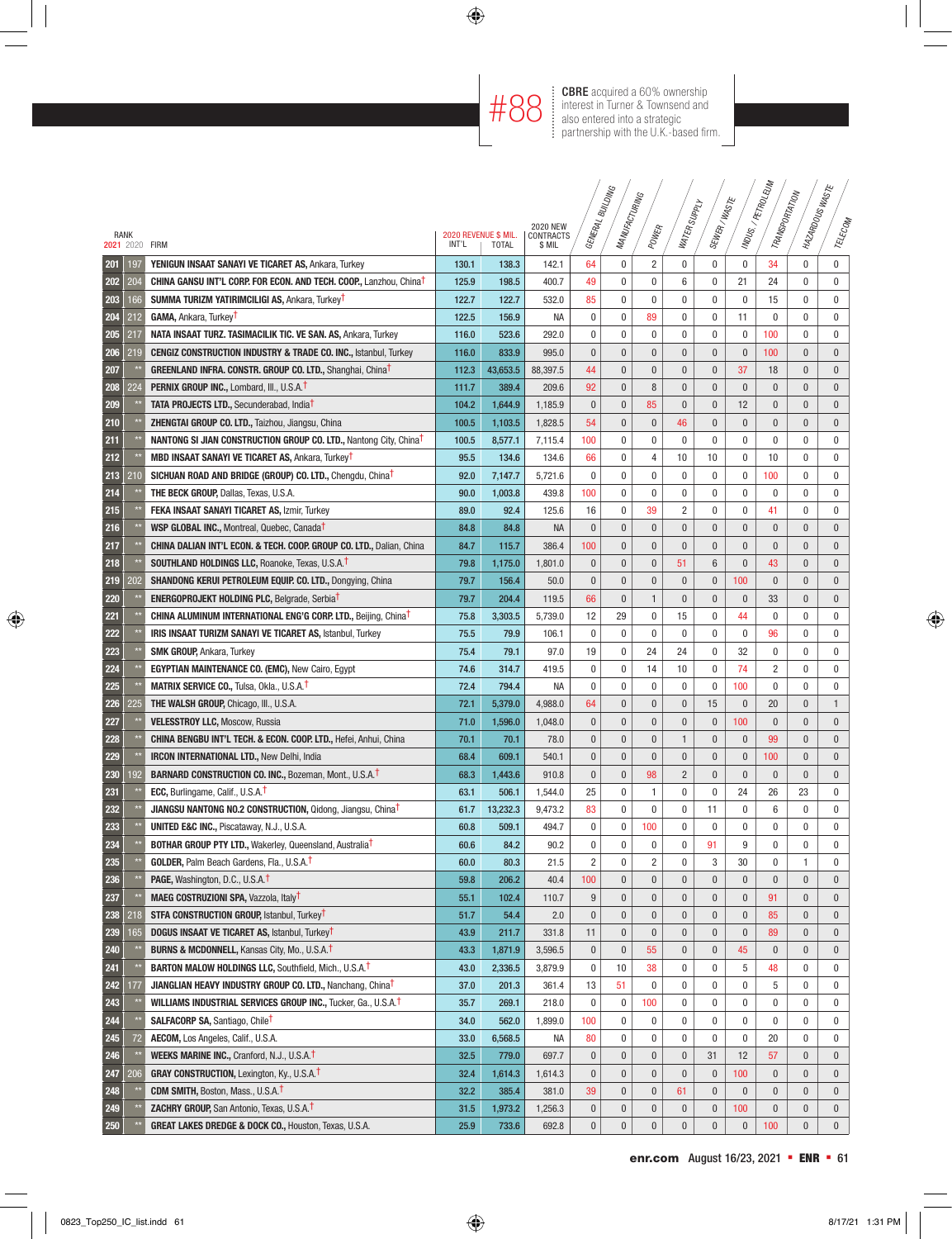**#88 CBRE** acquired a 60% ownership<br>  $\text{H}$  88  $\text{F}$  interest in Turner & Townsend and<br>
also entered into a strategic interest in Turner & Townsend and also entered into a strategic partnership with the U.K.-based firm.

|     |                |                                                                                                                          |       |                      |                              |                        | <b>SNICTING</b>  |                        |                  |                        |              | MDUS./ PETROLEUM<br>TRANSPORTATION | I MAZARDOUSWASTE |                             |
|-----|----------------|--------------------------------------------------------------------------------------------------------------------------|-------|----------------------|------------------------------|------------------------|------------------|------------------------|------------------|------------------------|--------------|------------------------------------|------------------|-----------------------------|
|     |                |                                                                                                                          |       |                      |                              |                        | MANUFACTURING    |                        | WATER SUPPLY     | SEWER/WASTE            |              |                                    |                  |                             |
|     | RANK           |                                                                                                                          |       | 2020 REVENUE \$ MIL. | <b>2020 NEW</b><br>CONTRACTS | GENERAL F              |                  | POWER                  |                  |                        |              |                                    |                  | TELECOM                     |
|     | 2021 2020 FIRM |                                                                                                                          | INT'L | <b>TOTAL</b>         | \$ MIL                       |                        |                  |                        |                  |                        |              |                                    |                  |                             |
| 201 | 197            | YENIGUN INSAAT SANAYI VE TICARET AS, Ankara, Turkey                                                                      | 130.1 | 138.3                | 142.1                        | 64                     | 0                | 2                      | 0                | 0                      | 0            | 34                                 | $\mathbf 0$      | $\pmb{0}$                   |
| 202 | 204            | <b>CHINA GANSU INT'L CORP. FOR ECON. AND TECH. COOP., Lanzhou, China<sup>t</sup></b>                                     | 125.9 | 198.5                | 400.7                        | 49                     | 0                | 0                      | 6                | 0                      | 21           | 24                                 | $\mathbf 0$      | $\mathbf 0$                 |
| 203 | 166            | SUMMA TURIZM YATIRIMCILIGI AS, Ankara, Turkey <sup>T</sup>                                                               | 122.7 | 122.7                | 532.0                        | 85                     | 0                | 0                      | 0                | 0                      | 0            | 15                                 | $\mathbf 0$      | $\mathbf 0$                 |
| 204 | 212            | GAMA, Ankara, Turkey <sup>T</sup>                                                                                        | 122.5 | 156.9                | <b>NA</b>                    | 0                      | 0                | 89                     | 0                | 0                      | 11           | $\mathbf{0}$                       | 0                | $\mathbf 0$                 |
| 205 | 217            | NATA INSAAT TURZ. TASIMACILIK TIC. VE SAN. AS, Ankara, Turkey                                                            | 116.0 | 523.6                | 292.0                        | 0                      | 0                | 0                      | 0                | 0                      | 0            | 100                                | 0                | 0                           |
| 206 | 219            | <b>CENGIZ CONSTRUCTION INDUSTRY &amp; TRADE CO. INC., Istanbul, Turkey</b>                                               | 116.0 | 833.9                | 995.0                        | $\pmb{0}$              | 0                | $\bf{0}$               | $\pmb{0}$        | $\mathbf{0}$           | $\pmb{0}$    | 100                                | $\bf{0}$         | $\bf{0}$                    |
| 207 |                | GREENLAND INFRA. CONSTR. GROUP CO. LTD., Shanghai, China <sup>t</sup>                                                    | 112.3 | 43,653.5             | 88,397.5                     | 44                     | 0                | 0                      | 0                | 0                      | 37           | 18                                 | $\bf{0}$         | $\bf{0}$                    |
| 208 | 224            | <b>PERNIX GROUP INC., Lombard, III., U.S.A.1</b>                                                                         | 111.7 | 389.4                | 209.6                        | 92                     | 0                | 8                      | $\pmb{0}$        | $\mathbf{0}$           | $\pmb{0}$    | $\mathbf{0}$                       | $\bf{0}$         | $\mathbf 0$                 |
| 209 |                | <b>TATA PROJECTS LTD., Secunderabad, India<sup>t</sup></b>                                                               | 104.2 | 1,644.9              | 1,185.9                      | $\pmb{0}$              | 0                | 85                     | $\pmb{0}$        | $\mathbf{0}$           | 12           | $\mathbf{0}$                       | $\bf{0}$         | $\mathbf 0$                 |
| 210 |                | ZHENGTAI GROUP CO. LTD., Taizhou, Jiangsu, China                                                                         | 100.5 | 1,103.5              | 1,828.5                      | 54                     | 0                | $\pmb{0}$              | 46               | $\mathbf{0}$           | $\pmb{0}$    | $\mathbf{0}$                       | $\bf{0}$         | $\mathbf 0$                 |
| 211 |                | <b>NANTONG SI JIAN CONSTRUCTION GROUP CO. LTD., Nantong City, ChinaT</b>                                                 | 100.5 | 8,577.1              | 7,115.4                      | 100                    | 0                | 0                      | 0                | 0                      | 0            | $\mathbf 0$                        | $\mathbf 0$      | 0                           |
| 212 |                | <b>MBD INSAAT SANAYI VE TICARET AS, Ankara, Turkey<sup>T</sup></b>                                                       | 95.5  | 134.6                | 134.6                        | 66                     | 0                | 4                      | 10               | 10                     | $\mathbf 0$  | 10                                 | $\mathbf 0$      | $\mathbf 0$                 |
| 213 | 210            | SICHUAN ROAD AND BRIDGE (GROUP) CO. LTD., Chengdu, China <sup>T</sup>                                                    | 92.0  | 7,147.7              | 5,721.6                      | 0                      | 0                | 0                      | 0                | 0                      | 0            | 100                                | $\mathbf 0$      | $\mathbf 0$                 |
| 214 |                | <b>THE BECK GROUP, Dallas, Texas, U.S.A.</b>                                                                             | 90.0  | 1,003.8              | 439.8                        | 100                    | 0                | 0                      | 0                | 0                      | 0            | 0                                  | $\mathbf 0$      | 0                           |
| 215 |                | <b>FEKA INSAAT SANAYI TICARET AS, Izmir, Turkey</b>                                                                      | 89.0  | 92.4                 | 125.6                        | 16                     | 0                | 39                     | $\overline{c}$   | 0                      | 0            | 41                                 | $\mathbf 0$      | 0                           |
| 216 |                | WSP GLOBAL INC., Montreal, Quebec, Canada <sup>t</sup>                                                                   | 84.8  | 84.8                 | <b>NA</b>                    | $\pmb{0}$              | $\mathbf{0}$     | $\mathbf{0}$           | $\mathbf{0}$     | $\mathbf{0}$           | $\mathbf{0}$ | $\mathbf{0}$                       | $\mathbf{0}$     | $\bf{0}$                    |
| 217 |                | CHINA DALIAN INT'L ECON. & TECH. COOP. GROUP CO. LTD., Dalian, China                                                     | 84.7  | 115.7                | 386.4                        | 100                    | $\mathbf{0}$     | $\mathbf{0}$           | $\mathbf{0}$     | $\mathbf{0}$           | $\mathbf{0}$ | $\mathbf{0}$                       | $\mathbf{0}$     | $\pmb{0}$                   |
| 218 |                | <b>SOUTHLAND HOLDINGS LLC, Roanoke, Texas, U.S.A.T</b>                                                                   | 79.8  | 1,175.0              | 1,801.0                      | 0                      | 0                | $\bf{0}$               | 51               | 6                      | 0            | 43                                 | 0                | $\bf{0}$                    |
| 219 | 202            | SHANDONG KERUI PETROLEUM EQUIP. CO. LTD., Dongying, China                                                                | 79.7  | 156.4                | 50.0                         | $\pmb{0}$              | 0                | $\bf{0}$               | $\pmb{0}$        | $\mathbf{0}$           | 100          | $\mathbf{0}$                       | $\mathbf{0}$     | $\mathbf{0}$                |
| 220 |                | <b>ENERGOPROJEKT HOLDING PLC, Belgrade, SerbiaT</b>                                                                      | 79.7  | 204.4                | 119.5                        | 66                     | 0                | $\mathbf{1}$           | $\pmb{0}$        | $\mathbf{0}$           | $\pmb{0}$    | 33                                 | $\mathbf{0}$     | $\mathbf{0}$                |
| 221 |                | <b>CHINA ALUMINUM INTERNATIONAL ENG'G CORP. LTD., Beijing, ChinaT</b>                                                    | 75.8  | 3,303.5              | 5,739.0                      | 12                     | 29               | 0                      | 15               | 0                      | 44           | 0                                  | 0                | 0                           |
| 222 |                | IRIS INSAAT TURIZM SANAYI VE TICARET AS, Istanbul, Turkey                                                                | 75.5  | 79.9                 | 106.1                        | 0                      | 0                | 0                      | 0                | 0                      | 0            | 96                                 | 0                | 0                           |
| 223 |                | <b>SMK GROUP, Ankara, Turkey</b>                                                                                         | 75.4  | 79.1                 | 97.0                         | 19                     | 0                | 24                     | 24               | 0                      | 32           | $\mathbf 0$                        | 0                | 0                           |
| 224 |                | <b>EGYPTIAN MAINTENANCE CO. (EMC), New Cairo, Egypt</b>                                                                  | 74.6  | 314.7                | 419.5                        | 0                      | 0                | 14                     | 10               | 0                      | 74           | $\overline{2}$                     | $\mathbf 0$      | 0                           |
| 225 |                | <b>MATRIX SERVICE CO., Tulsa, Okla., U.S.A.T</b>                                                                         | 72.4  | 794.4                | <b>NA</b>                    | 0                      | 0                | 0                      | 0                | 0                      | 100          | $\mathbf{0}$                       | $\mathbf 0$      | 0                           |
| 226 | 225            | <b>THE WALSH GROUP, Chicago, III., U.S.A.</b>                                                                            | 72.1  | 5,379.0              | 4,988.0                      | 64                     | $\mathbf{0}$     | $\mathbf{0}$           | $\pmb{0}$        | 15                     | $\mathbf{0}$ | 20                                 | $\mathbf{0}$     | $\mathbf{1}$                |
| 227 |                | <b>VELESSTROY LLC, Moscow, Russia</b>                                                                                    | 71.0  | 1,596.0              | 1,048.0                      | $\pmb{0}$              | $\mathbf{0}$     | $\mathbf{0}$           | $\pmb{0}$        | $\mathbf{0}$           | 100          | $\mathbf{0}$                       | $\mathbf{0}$     | $\mathbf 0$                 |
| 228 |                | <b>CHINA BENGBU INT'L TECH. &amp; ECON. COOP. LTD., Hefei, Anhui, China</b>                                              | 70.1  | 70.1                 | 78.0                         | $\pmb{0}$              | $\mathbf{0}$     | $\mathbf{0}$           | $\mathbf{1}$     | $\mathbf{0}$           | $\bf{0}$     | 99                                 | $\mathbf{0}$     | $\mathbf{0}$                |
| 229 |                | <b>IRCON INTERNATIONAL LTD., New Delhi, India</b>                                                                        | 68.4  | 609.1                | 540.1                        | $\pmb{0}$              | $\mathbf{0}$     | $\mathbf{0}$           | $\mathbf{0}$     | $\mathbf{0}$           | $\bf{0}$     | 100                                | $\mathbf{0}$     | $\mathbf{0}$                |
| 230 | 192            | BARNARD CONSTRUCTION CO. INC., Bozeman, Mont., U.S.A.T                                                                   | 68.3  | 1,443.6              | 910.8                        | $\pmb{0}$              | $\mathbf{0}$     | 98                     | $\overline{2}$   | $\mathbf{0}$           | $\mathbf{0}$ | $\mathbf{0}$                       | $\mathbf{0}$     | $\mathbf{0}$                |
| 231 |                | <b>ECC, Burlingame, Calif., U.S.A.T</b>                                                                                  | 63.1  | 506.1                | 1,544.0                      | 25                     | 0                | 1                      | 0                | 0                      | 24           | 26                                 | 23               | $\mathbf 0$                 |
| 232 |                | <b>JIANGSU NANTONG NO.2 CONSTRUCTION, Qidong, Jiangsu, ChinaT</b>                                                        | 61.7  | 13,232.3             | 9,473.2                      | 83                     | 0                | 0                      | 0                | 11                     | 0            | 6                                  | $\mathbf 0$      | $\mathbf 0$                 |
| 233 |                | <b>UNITED E&amp;C INC., Piscataway, N.J., U.S.A.</b>                                                                     | 60.8  | 509.1                | 494.7                        | 0                      | 0                | 100                    | 0                | 0                      | $\mathbf 0$  | $\mathbf{0}$                       | $\mathbf 0$      | $\mathbf 0$                 |
| 234 | $\star$        | <b>BOTHAR GROUP PTY LTD., Wakerley, Queensland, Australia<sup>t</sup></b>                                                | 60.6  | 84.2                 | 90.2                         | 0                      | $\boldsymbol{0}$ | 0                      | 0                | 91                     | 9            | $\mathbf{0}$                       | 0                | 0                           |
| 235 | $\star\star$   | <b>GOLDER, Palm Beach Gardens, Fla., U.S.A.<sup>†</sup></b>                                                              | 60.0  | 80.3                 | 21.5                         | $\sqrt{2}$             | 0                | $\overline{c}$         | 0                | 3                      | 30           | 0                                  | 1                | $\pmb{0}$                   |
| 236 |                | <b>PAGE, Washington, D.C., U.S.A.T</b>                                                                                   | 59.8  | 206.2                | 40.4                         | 100                    | 0                | 0                      | 0                | 0                      | $\bf{0}$     | $\bf{0}$                           | $\bf{0}$         | $\mathbf 0$                 |
| 237 |                | <b>MAEG COSTRUZIONI SPA, Vazzola, Italy<sup>t</sup></b>                                                                  | 55.1  | 102.4                | 110.7                        | $\boldsymbol{9}$       | 0                | 0                      | $\pmb{0}$        | $\pmb{0}$              | $\pmb{0}$    | 91                                 | $\pmb{0}$        | $\mathbf 0$                 |
| 238 | 218            | <b>STFA CONSTRUCTION GROUP, Istanbul, Turkey<sup>t</sup></b>                                                             | 51.7  | 54.4                 | 2.0                          | $\pmb{0}$              | 0                | 0                      | $\pmb{0}$        | $\pmb{0}$              | $\pmb{0}$    | 85                                 | $\bf{0}$         | $\mathbf 0$                 |
| 239 | 165            | <b>DOGUS INSAAT VE TICARET AS, Istanbul, Turkey<sup>T</sup></b>                                                          | 43.9  | 211.7                | 331.8                        | 11                     | 0                | $\pmb{0}$              | 0                | $\pmb{0}$              | 0            | 89                                 | $\bf{0}$         | $\mathbf 0$                 |
| 240 |                | <b>BURNS &amp; MCDONNELL, Kansas City, Mo., U.S.A.<sup>†</sup></b>                                                       | 43.3  | 1,871.9              | 3,596.5                      | 0                      | 0                | 55                     | 0                | $\pmb{0}$              | 45           | $\pmb{0}$                          | $\bf{0}$         | $\mathbf 0$                 |
| 241 |                | <b>BARTON MALOW HOLDINGS LLC, Southfield, Mich., U.S.A.<sup>†</sup></b>                                                  | 43.0  | 2,336.5              | 3,879.9                      | 0                      | 10               | 38                     | 0                | 0                      | 5            | 48                                 | 0                | 0                           |
| 242 | 177            | JIANGLIAN HEAVY INDUSTRY GROUP CO. LTD., Nanchang, China <sup>t</sup>                                                    | 37.0  | 201.3                | 361.4                        | 13                     | 51               | 0                      | 0                | 0                      | 0            | 5                                  | 0                | 0                           |
| 243 |                |                                                                                                                          |       |                      |                              | 0                      | 0                | 100                    | 0                | 0                      | 0            | 0                                  | 0                | 0                           |
| 244 |                | <b>WILLIAMS INDUSTRIAL SERVICES GROUP INC., Tucker, Ga., U.S.A.T</b><br><b>SALFACORP SA, Santiago, Chile<sup>t</sup></b> | 35.7  | 269.1                | 218.0                        | 100                    |                  |                        | 0                | 0                      |              | $\bf{0}$                           | 0                | 0                           |
|     |                |                                                                                                                          | 34.0  | 562.0                | 1,899.0                      |                        | 0                | 0                      |                  |                        | 0            |                                    |                  |                             |
| 245 | 72             | AECOM, Los Angeles, Calif., U.S.A.                                                                                       | 33.0  | 6,568.5              | NA                           | 80                     | 0                | 0                      | 0                | 0                      | 0            | 20                                 | 0                | 0                           |
| 246 |                | WEEKS MARINE INC., Cranford, N.J., U.S.A.T                                                                               | 32.5  | 779.0                | 697.7                        | $\pmb{0}$              | 0                | $\pmb{0}$              | $\pmb{0}$        | 31                     | 12           | 57                                 | $\bf{0}$         | $\mathbf 0$                 |
| 247 | 206            | <b>GRAY CONSTRUCTION, Lexington, Ky., U.S.A.T</b>                                                                        | 32.4  | 1,614.3              | 1,614.3                      | $\pmb{0}$              | 0                | $\pmb{0}$              | $\pmb{0}$        | 0                      | 100          | $\bf{0}$                           | $\pmb{0}$        | $\mathbf 0$                 |
| 248 |                | <b>CDM SMITH, Boston, Mass., U.S.A.T</b>                                                                                 | 32.2  | 385.4                | 381.0                        | 39                     | 0                | $\pmb{0}$              | 61               | $\pmb{0}$              | $\pmb{0}$    | $\pmb{0}$                          | $\pmb{0}$        | $\mathbf 0$                 |
| 249 |                | <b>ZACHRY GROUP, San Antonio, Texas, U.S.A T</b>                                                                         | 31.5  | 1,973.2              | 1,256.3                      | $\pmb{0}$<br>$\pmb{0}$ | 0                | $\pmb{0}$<br>$\pmb{0}$ | $\pmb{0}$        | $\pmb{0}$<br>$\pmb{0}$ | 100          | $\bf{0}$                           | $\pmb{0}$        | $\mathbf 0$<br>$\mathbf{0}$ |
| 250 |                | GREAT LAKES DREDGE & DOCK CO., Houston, Texas, U.S.A.                                                                    | 25.9  | 733.6                | 692.8                        |                        | $\pmb{0}$        |                        | $\boldsymbol{0}$ |                        | $\pmb{0}$    | 100                                | $\bf{0}$         |                             |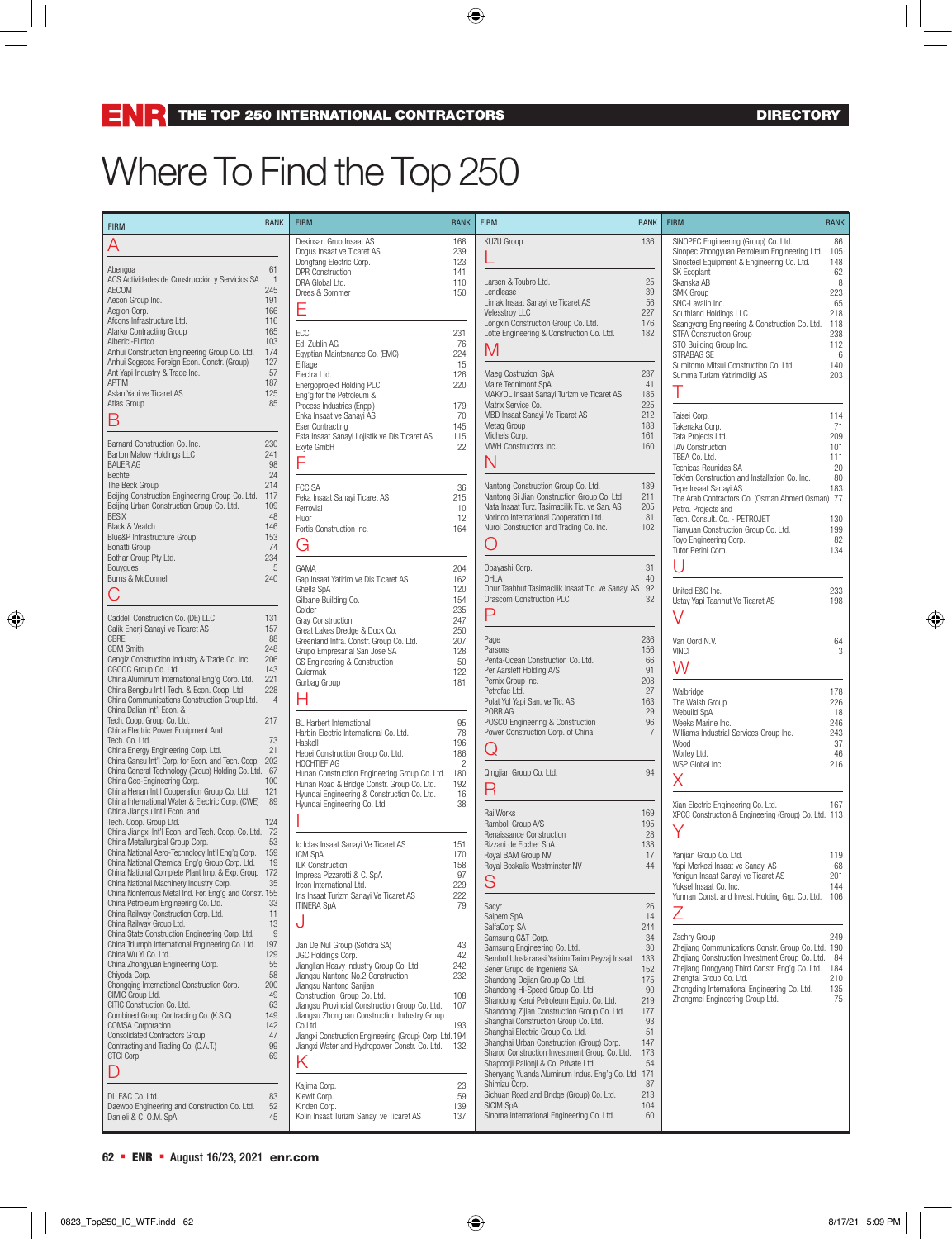## Where To Find the Top 250

| <b>FIRM</b>                                                                                                                                                                                                                                                                                                                                                                                                                                           | <b>RANK</b>                                                                    | <b>FIRM</b>                                                                                                                                                                                                                                                                                                                                                                                                                | <b>RANK</b>                                                      | <b>FIRM</b>                                                                                                                                                                                                                                                                                                                                                                                                                                                                                                                                                                    | <b>RANK</b>                                                                       | <b>FIRM</b>                                                                                                                                                                                                                                                                                                                                                                                     | <b>RANK</b>                                                                      |
|-------------------------------------------------------------------------------------------------------------------------------------------------------------------------------------------------------------------------------------------------------------------------------------------------------------------------------------------------------------------------------------------------------------------------------------------------------|--------------------------------------------------------------------------------|----------------------------------------------------------------------------------------------------------------------------------------------------------------------------------------------------------------------------------------------------------------------------------------------------------------------------------------------------------------------------------------------------------------------------|------------------------------------------------------------------|--------------------------------------------------------------------------------------------------------------------------------------------------------------------------------------------------------------------------------------------------------------------------------------------------------------------------------------------------------------------------------------------------------------------------------------------------------------------------------------------------------------------------------------------------------------------------------|-----------------------------------------------------------------------------------|-------------------------------------------------------------------------------------------------------------------------------------------------------------------------------------------------------------------------------------------------------------------------------------------------------------------------------------------------------------------------------------------------|----------------------------------------------------------------------------------|
| Α<br>Abengoa<br>ACS Actividades de Construcción y Servicios SA<br>AECOM<br>Aecon Group Inc.<br>Aegion Corp.<br>Afcons Infrastructure Ltd.<br>Alarko Contracting Group<br>Alberici-Flintco<br>Anhui Construction Engineering Group Co. Ltd.<br>Anhui Sogecoa Foreign Econ. Constr. (Group)                                                                                                                                                             | 61<br>$\overline{1}$<br>245<br>191<br>166<br>116<br>165<br>103<br>174<br>127   | Dekinsan Grup Insaat AS<br>Dogus Insaat ve Ticaret AS<br>Dongfang Electric Corp.<br><b>DPR Construction</b><br>DRA Global Ltd.<br>Drees & Sommer<br>Ε<br>ECC<br>Ed. Zublin AG<br>Egyptian Maintenance Co. (EMC)<br>Eiffage                                                                                                                                                                                                 | 168<br>239<br>123<br>141<br>110<br>150<br>231<br>76<br>224<br>15 | KUZU Group<br>Larsen & Toubro Ltd.<br>Lendlease<br>Limak Insaat Sanayi ve Ticaret AS<br><b>Velesstroy LLC</b><br>Longxin Construction Group Co. Ltd.<br>Lotte Engineering & Construction Co. Ltd.<br>M                                                                                                                                                                                                                                                                                                                                                                         | 136<br>25<br>39<br>56<br>227<br>176<br>182                                        | SINOPEC Engineering (Group) Co. Ltd.<br>Sinopec Zhongyuan Petroleum Engineering Ltd.<br>Sinosteel Equipment & Engineering Co. Ltd.<br>SK Ecoplant<br>Skanska AB<br>SMK Group<br>SNC-Lavalin Inc.<br>Southland Holdings LLC<br>Ssangyong Engineering & Construction Co. Ltd.<br><b>STFA Construction Group</b><br>STO Building Group Inc.<br>STRABAG SE<br>Sumitomo Mitsui Construction Co. Ltd. | 86<br>105<br>148<br>62<br>8<br>223<br>65<br>218<br>118<br>238<br>112<br>6<br>140 |
| Ant Yapi Industry & Trade Inc.<br><b>APTIM</b><br>Aslan Yapi ve Ticaret AS<br>Atlas Group<br>B<br>Barnard Construction Co. Inc.<br>Barton Malow Holdings LLC<br><b>BAUER AG</b><br>Bechtel                                                                                                                                                                                                                                                            | 57<br>187<br>125<br>85<br>230<br>241<br>98<br>24                               | Electra Ltd.<br>Energoprojekt Holding PLC<br>Eng'g for the Petroleum &<br>Process Industries (Enppi)<br>Enka Insaat ve Sanayi AS<br><b>Eser Contracting</b><br>Esta Insaat Sanayi Lojistik ve Dis Ticaret AS<br>Exyte GmbH<br>F                                                                                                                                                                                            | 126<br>220<br>179<br>70<br>145<br>115<br>22                      | Maeg Costruzioni SpA<br>Maire Tecnimont SpA<br>MAKYOL Insaat Sanayi Turizm ve Ticaret AS<br>Matrix Service Co.<br>MBD Insaat Sanayi Ve Ticaret AS<br>Metag Group<br>Michels Corp.<br>MWH Constructors Inc.<br>N                                                                                                                                                                                                                                                                                                                                                                | 237<br>41<br>185<br>225<br>212<br>188<br>161<br>160                               | Summa Turizm Yatirimciligi AS<br>Τ<br>Taisei Corp.<br>Takenaka Corp.<br>Tata Projects Ltd.<br><b>TAV Construction</b><br>TBEA Co. Ltd.<br>Tecnicas Reunidas SA<br>Tekfen Construction and Installation Co. Inc.                                                                                                                                                                                 | 203<br>114<br>71<br>209<br>101<br>111<br>20<br>80                                |
| The Beck Group<br>Beijing Construction Engineering Group Co. Ltd. 117<br>Beijing Urban Construction Group Co. Ltd.<br><b>BESIX</b><br>Black & Veatch<br>Blue&P Infrastructure Group<br>Bonatti Group<br>Bothar Group Pty Ltd.<br>Bouygues                                                                                                                                                                                                             | 214<br>109<br>48<br>146<br>153<br>74<br>234<br>$\,$ 5 $\,$                     | FCC SA<br>Feka Insaat Sanayi Ticaret AS<br>Ferrovial<br>Fluor<br>Fortis Construction Inc.<br>G<br>GAMA                                                                                                                                                                                                                                                                                                                     | 36<br>215<br>10<br>12<br>164<br>204                              | Nantong Construction Group Co. Ltd.<br>Nantong Si Jian Construction Group Co. Ltd.<br>Nata Insaat Turz. Tasimacilik Tic. ve San. AS<br>Norinco International Cooperation Ltd.<br>Nurol Construction and Trading Co. Inc.<br>( )<br>Obayashi Corp.                                                                                                                                                                                                                                                                                                                              | 189<br>211<br>205<br>81<br>102<br>31                                              | Tepe Insaat Sanayi AS<br>The Arab Contractors Co. (Osman Ahmed Osman) 77<br>Petro. Projects and<br>Tech. Consult. Co. - PETROJET<br>Tianyuan Construction Group Co. Ltd.<br>Toyo Engineering Corp.<br>Tutor Perini Corp.                                                                                                                                                                        | 183<br>130<br>199<br>82<br>134                                                   |
| Burns & McDonnell<br>Caddell Construction Co. (DE) LLC<br>Calik Enerji Sanayi ve Ticaret AS                                                                                                                                                                                                                                                                                                                                                           | 240<br>131<br>157                                                              | Gap Insaat Yatirim ve Dis Ticaret AS<br>Ghella SpA<br>Gilbane Building Co.<br>Golder<br>Gray Construction                                                                                                                                                                                                                                                                                                                  | 162<br>120<br>154<br>235<br>247<br>250                           | OHLA<br>Onur Taahhut Tasimacilik Insaat Tic. ve Sanayi AS 92<br>Orascom Construction PLC<br>P                                                                                                                                                                                                                                                                                                                                                                                                                                                                                  | 40<br>32                                                                          | United E&C Inc.<br>Ustay Yapi Taahhut Ve Ticaret AS<br>V                                                                                                                                                                                                                                                                                                                                        | 233<br>198                                                                       |
| CBRE<br><b>CDM Smith</b><br>Cengiz Construction Industry & Trade Co. Inc.<br>CGCOC Group Co. Ltd.<br>China Aluminum International Eng'g Corp. Ltd.<br>China Bengbu Int'l Tech. & Econ. Coop. Ltd.                                                                                                                                                                                                                                                     | 88<br>248<br>206<br>143<br>221<br>228                                          | Great Lakes Dredge & Dock Co.<br>Greenland Infra. Constr. Group Co. Ltd.<br>Grupo Empresarial San Jose SA<br>GS Engineering & Construction<br>Gulermak<br>Gurbag Group                                                                                                                                                                                                                                                     | 207<br>128<br>50<br>122<br>181                                   | Page<br>Parsons<br>Penta-Ocean Construction Co. Ltd.<br>Per Aarsleff Holding A/S<br>Pernix Group Inc.                                                                                                                                                                                                                                                                                                                                                                                                                                                                          | 236<br>156<br>66<br>91<br>208                                                     | Van Oord N.V.<br><b>VINCI</b><br>W                                                                                                                                                                                                                                                                                                                                                              | 64<br>3                                                                          |
| China Communications Construction Group Ltd.<br>China Dalian Int'l Econ. &<br>Tech. Coop. Group Co. Ltd.<br>China Electric Power Equipment And<br>Tech. Co. Ltd.<br>China Energy Engineering Corp. Ltd.<br>China Gansu Int'l Corp. for Econ. and Tech. Coop. 202                                                                                                                                                                                      | $\overline{4}$<br>217<br>73<br>21                                              | Н<br><b>BL</b> Harbert International<br>Harbin Electric International Co. Ltd.<br>Haskell<br>Hebei Construction Group Co. Ltd.<br>HOCHTIEF AG                                                                                                                                                                                                                                                                              | 95<br>78<br>196<br>186<br>$\overline{c}$                         | Petrofac Ltd.<br>Polat Yol Yapi San. ve Tic. AS<br>PORR AG<br>POSCO Engineering & Construction<br>Power Construction Corp. of China<br>Q                                                                                                                                                                                                                                                                                                                                                                                                                                       | 27<br>163<br>29<br>96<br>$\overline{7}$                                           | Walbridge<br>The Walsh Group<br>Webuild SpA<br>Weeks Marine Inc.<br>Williams Industrial Services Group Inc.<br>Wood<br>Worley Ltd.<br>WSP Global Inc.                                                                                                                                                                                                                                           | 178<br>226<br>18<br>246<br>243<br>37<br>46<br>216                                |
| China General Technology (Group) Holding Co. Ltd. 67<br>China Geo-Engineering Corp.<br>China Henan Int'l Cooperation Group Co. Ltd.<br>China International Water & Electric Corp. (CWE) 89<br>China Jiangsu Int'l Econ. and<br>Tech. Coop. Group Ltd.<br>China Jiangxi Int'l Econ. and Tech. Coop. Co. Ltd. 72                                                                                                                                        | 100<br>121<br>124                                                              | Hunan Construction Engineering Group Co. Ltd.<br>Hunan Road & Bridge Constr. Group Co. Ltd.<br>Hyundai Engineering & Construction Co. Ltd.<br>Hyundai Engineering Co. Ltd.                                                                                                                                                                                                                                                 | 180<br>192<br>16<br>38                                           | Qingjian Group Co. Ltd.<br>R<br>RailWorks<br>Ramboll Group A/S                                                                                                                                                                                                                                                                                                                                                                                                                                                                                                                 | 94<br>169<br>195                                                                  | Х<br>Xian Electric Engineering Co. Ltd.<br>XPCC Construction & Engineering (Group) Co. Ltd. 113<br>Υ                                                                                                                                                                                                                                                                                            | 167                                                                              |
| China Metallurgical Group Corp.<br>China National Aero-Technology Int'l Eng'g Corp. 159<br>China National Chemical Eng'g Group Corp. Ltd.<br>China National Complete Plant Imp. & Exp. Group 172<br>China National Machinery Industry Corp.<br>China Nonferrous Metal Ind. For. Eng'g and Constr. 155<br>China Petroleum Engineering Co. Ltd.<br>China Railway Construction Corp. Ltd.<br>China Railway Group Ltd.                                    | 53<br>19<br>35<br>33<br>11<br>13                                               | Ic Ictas Insaat Sanayi Ve Ticaret AS<br>ICM SpA<br>ILK Construction<br>Impresa Pizzarotti & C. SpA<br>Ircon International Ltd.<br>Iris Insaat Turizm Sanayi Ve Ticaret AS<br><b>ITINERA SpA</b><br>J                                                                                                                                                                                                                       | 151<br>170<br>158<br>97<br>229<br>222<br>79                      | Renaissance Construction<br>Rizzani de Eccher SpA<br>Royal BAM Group NV<br>Royal Boskalis Westminster NV<br>S<br>Sacyr<br>Saipem SpA<br>SalfaCorp SA                                                                                                                                                                                                                                                                                                                                                                                                                           | 28<br>138<br>17<br>44<br>26<br>14<br>244                                          | Yanjian Group Co. Ltd.<br>Yapi Merkezi Insaat ve Sanayi AS<br>Yenigun Insaat Sanayi ve Ticaret AS<br>Yuksel Insaat Co. Inc.<br>Yunnan Const. and Invest. Holding Grp. Co. Ltd. 106<br>Ζ                                                                                                                                                                                                         | 119<br>68<br>201<br>144                                                          |
| China State Construction Engineering Corp. Ltd.<br>China Triumph International Engineering Co. Ltd.<br>China Wu Yi Co. Ltd.<br>China Zhongyuan Engineering Corp.<br>Chivoda Corp.<br>Chongqing International Construction Corp.<br>CIMIC Group Ltd.<br>CITIC Construction Co. Ltd.<br>Combined Group Contracting Co. (K.S.C)<br>COMSA Corporacion<br><b>Consolidated Contractors Group</b><br>Contracting and Trading Co. (C.A.T.)<br>CTCI Corp.<br>D | 9<br>197<br>129<br>55<br>58<br>200<br>49<br>63<br>149<br>142<br>47<br>99<br>69 | Jan De Nul Group (Sofidra SA)<br>JGC Holdings Corp.<br>Jianglian Heavy Industry Group Co. Ltd.<br>Jiangsu Nantong No.2 Construction<br>Jiangsu Nantong Sanjian<br>Construction Group Co. Ltd.<br>Jiangsu Provincial Construction Group Co. Ltd.<br>Jianosu Zhononan Construction Industry Group<br>Co.Ltd<br>Jiangxi Construction Engineering (Group) Corp. Ltd. 194<br>Jiangxi Water and Hydropower Constr. Co. Ltd.<br>Κ | 43<br>42<br>242<br>232<br>108<br>107<br>193<br>132               | Samsung C&T Corp.<br>Samsung Engineering Co. Ltd.<br>Sembol Uluslararasi Yatirim Tarim Peyzaj Insaat<br>Sener Grupo de Ingenieria SA<br>Shandong Dejian Group Co. Ltd.<br>Shandong Hi-Speed Group Co. Ltd.<br>Shandong Kerui Petroleum Equip. Co. Ltd.<br>Shandong Zijian Construction Group Co. Ltd.<br>Shanghai Construction Group Co. Ltd.<br>Shanghai Electric Group Co. Ltd.<br>Shanghai Urban Construction (Group) Corp.<br>Shanxi Construction Investment Group Co. Ltd.<br>Shapoorii Pallonii & Co. Private Ltd.<br>Shenyang Yuanda Aluminum Indus. Eng'g Co. Ltd. 171 | 34<br>30<br>133<br>152<br>175<br>90<br>219<br>177<br>93<br>51<br>147<br>173<br>54 | Zachry Group<br>Zhejiang Communications Constr. Group Co. Ltd. 190<br>Zhejiang Construction Investment Group Co. Ltd. 84<br>Zhejiang Dongyang Third Constr. Eng'g Co. Ltd.<br>Zhengtai Group Co. Ltd.<br>Zhongding International Engineering Co. Ltd.<br>Zhongmei Engineering Group Ltd.                                                                                                        | 249<br>184<br>210<br>135<br>75                                                   |
| DL E&C Co. Ltd.<br>Daewoo Engineering and Construction Co. Ltd.<br>Danieli & C. O.M. SpA                                                                                                                                                                                                                                                                                                                                                              | 83<br>52<br>45                                                                 | Kajima Corp.<br>Kiewit Corp.<br>Kinden Corp.<br>Kolin Insaat Turizm Sanayi ve Ticaret AS                                                                                                                                                                                                                                                                                                                                   | 23<br>59<br>139<br>137                                           | Shimizu Corp.<br>Sichuan Road and Bridge (Group) Co. Ltd.<br><b>SICIM SpA</b><br>Sinoma International Engineering Co. Ltd.                                                                                                                                                                                                                                                                                                                                                                                                                                                     | 87<br>213<br>104<br>60                                                            |                                                                                                                                                                                                                                                                                                                                                                                                 |                                                                                  |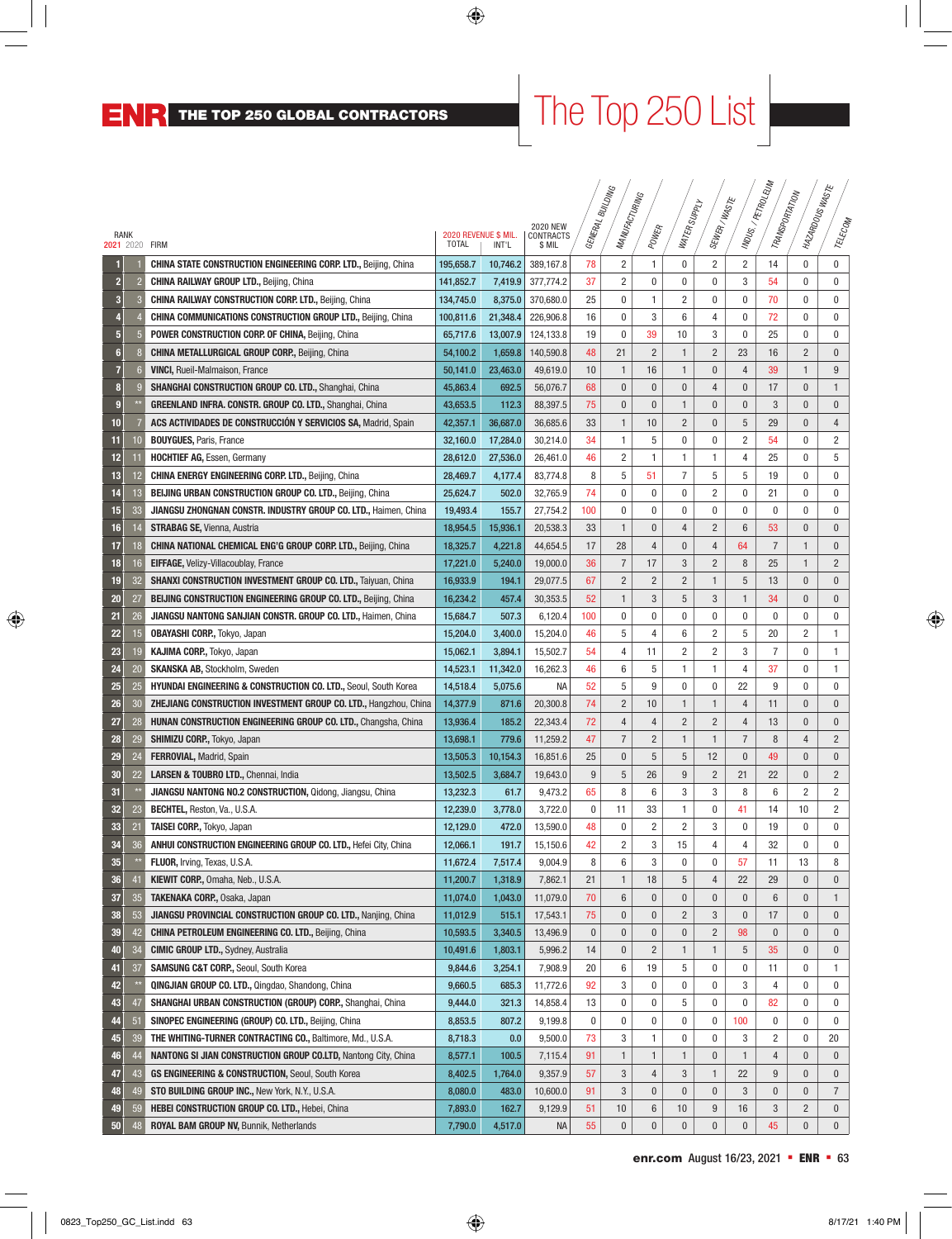## The Top 250 List

|                        |              |                                                                            |                                      |          | <b>2020 NEW</b>     |           | <b>SNICTING</b><br>MANUFACTURING |                | WATER SUPPLY   | SEWER/WASTE    |                | INDUS./PETROLEUM<br>TRANSPORTATION | MAZARDOUSWASTE |                |
|------------------------|--------------|----------------------------------------------------------------------------|--------------------------------------|----------|---------------------|-----------|----------------------------------|----------------|----------------|----------------|----------------|------------------------------------|----------------|----------------|
| RANK<br>2021 2020 FIRM |              |                                                                            | 2020 REVENUE \$ MIL.<br><b>TOTAL</b> | INT'L    | CONTRACTS<br>\$ MIL | GENERAL F |                                  | POWER          |                |                |                |                                    |                | TELECOM        |
|                        |              | <b>CHINA STATE CONSTRUCTION ENGINEERING CORP. LTD., Beijing, China</b>     | 195,658.7                            | 10.746.2 | 389,167.8           | 78        | 2                                | 1              | 0              | $\overline{c}$ | $\overline{c}$ | 14                                 | 0              | $\bf{0}$       |
| $\overline{2}$         |              | CHINA RAILWAY GROUP LTD., Beijing, China                                   | 141,852.7                            | 7,419.9  | 377,774.2           | 37        | 2                                | 0              | 0              | 0              | 3              | 54                                 | $\mathbf 0$    | $\mathbf 0$    |
| 3                      |              | <b>CHINA RAILWAY CONSTRUCTION CORP. LTD., Beijing, China</b>               | 134,745.0                            | 8,375.0  | 370,680.0           | 25        | 0                                | 1              | $\overline{c}$ | 0              | 0              | 70                                 | $\mathbf 0$    | $\mathbf 0$    |
| Д                      |              | <b>CHINA COMMUNICATIONS CONSTRUCTION GROUP LTD., Beijing, China</b>        | 100,811.6                            | 21,348.4 | 226,906.8           | 16        | 0                                | 3              | 6              | 4              | 0              | 72                                 | 0              | $\mathbf 0$    |
| 5                      | 5            | POWER CONSTRUCTION CORP. OF CHINA, Beijing, China                          | 65,717.6                             | 13,007.9 | 124,133.8           | 19        | 0                                | 39             | 10             | 3              | 0              | 25                                 | 0              | $\mathbf 0$    |
| $6\phantom{1}$         |              | <b>CHINA METALLURGICAL GROUP CORP., Beijing, China</b>                     | 54,100.2                             | 1,659.8  | 140,590.8           | 48        | 21                               | $\overline{2}$ | 1              | $\overline{c}$ | 23             | 16                                 | $\overline{c}$ | $\mathbf{0}$   |
| 7                      | 6            | <b>VINCI, Rueil-Malmaison, France</b>                                      | 50,141.0                             | 23,463.0 | 49,619.0            | 10        | 1                                | 16             | 1              | $\pmb{0}$      | 4              | 39                                 | $\mathbf{1}$   | 9              |
| 8                      | <b>i</b>     | SHANGHAI CONSTRUCTION GROUP CO. LTD., Shanghai, China                      | 45,863.4                             | 692.5    | 56,076.7            | 68        | 0                                | $\mathbf{0}$   | $\pmb{0}$      | $\overline{4}$ | $\bf{0}$       | 17                                 | $\bf{0}$       | $\mathbf{1}$   |
| 9                      |              | GREENLAND INFRA. CONSTR. GROUP CO. LTD., Shanghai, China                   | 43,653.5                             | 112.3    | 88,397.5            | 75        | 0                                | $\bf{0}$       | $\mathbf{1}$   | $\pmb{0}$      | $\bf{0}$       | 3                                  | $\bf{0}$       | $\mathbf 0$    |
| 10                     |              | ACS ACTIVIDADES DE CONSTRUCCIÓN Y SERVICIOS SA, Madrid, Spain              | 42,357.1                             | 36,687.0 | 36,685.6            | 33        | 1                                | 10             | $\overline{2}$ | $\mathbf{0}$   | 5              | 29                                 | $\bf{0}$       | $\overline{4}$ |
| 11                     | 10           | <b>BOUYGUES, Paris, France</b>                                             | 32,160.0                             | 17,284.0 | 30,214.0            | 34        | 1                                | 5              | 0              | 0              | 2              | 54                                 | $\mathbf 0$    | $\overline{c}$ |
| 12                     | í í          | <b>HOCHTIEF AG, Essen, Germany</b>                                         | 28,612.0                             | 27,536.0 | 26,461.0            | 46        | $\overline{\mathbf{c}}$          | 1              | 1              | 1              | 4              | 25                                 | 0              | 5              |
| 13                     | 12           | <b>CHINA ENERGY ENGINEERING CORP. LTD., Beijing, China</b>                 | 28,469.7                             | 4,177.4  | 83,774.8            | 8         | 5                                | 51             | 7              | 5              | 5              | 19                                 | $\mathbf 0$    | $\mathbf 0$    |
| 14                     | 13           | <b>BEIJING URBAN CONSTRUCTION GROUP CO. LTD., Beijing, China</b>           | 25,624.7                             | 502.0    | 32,765.9            | 74        | 0                                | 0              | 0              | $\overline{c}$ | 0              | 21                                 | 0              | 0              |
| 15                     | 33           | <b>JIANGSU ZHONGNAN CONSTR. INDUSTRY GROUP CO. LTD., Haimen, China</b>     | 19,493.4                             | 155.7    | 27,754.2            | 100       | 0                                | 0              | 0              | 0              | 0              | 0                                  | 0              | 0              |
| 16                     | 14           | <b>STRABAG SE, Vienna, Austria</b>                                         | 18,954.5                             | 15,936.1 | 20,538.3            | 33        | $\mathbf{1}$                     | $\mathbf{0}$   | $\overline{4}$ | $\overline{c}$ | $6\,$          | 53                                 | $\bf{0}$       | $\bf{0}$       |
| 17                     | 18           | <b>CHINA NATIONAL CHEMICAL ENG'G GROUP CORP. LTD., Beijing, China</b>      | 18,325.7                             | 4,221.8  | 44,654.5            | 17        | 28                               | $\overline{4}$ | $\mathbf{0}$   | $\overline{4}$ | 64             | $\overline{7}$                     | $\mathbf{1}$   | $\pmb{0}$      |
| 18                     | 16           | EIFFAGE, Velizy-Villacoublay, France                                       | 17,221.0                             | 5,240.0  | 19,000.0            | 36        | 7                                | 17             | 3              | $\overline{c}$ | 8              | 25                                 | $\mathbf{1}$   | $\overline{2}$ |
| 19                     | 32           | <b>SHANXI CONSTRUCTION INVESTMENT GROUP CO. LTD., Taiyuan, China</b>       | 16,933.9                             | 194.1    | 29,077.5            | 67        | $\overline{2}$                   | $\overline{2}$ | $\overline{c}$ | $\mathbf{1}$   | $\overline{5}$ | 13                                 | $\pmb{0}$      | $\mathbf{0}$   |
| 20                     | 27           | <b>BEIJING CONSTRUCTION ENGINEERING GROUP CO. LTD., Beijing, China</b>     | 16,234.2                             | 457.4    | 30,353.5            | 52        | 1                                | 3              | 5              | 3              | $\mathbf{1}$   | 34                                 | $\bf{0}$       | $\mathbf{0}$   |
| 21                     | 26           | JIANGSU NANTONG SANJIAN CONSTR. GROUP CO. LTD., Haimen, China              | 15,684.7                             | 507.3    | 6,120.4             | 100       | 0                                | 0              | 0              | 0              | 0              | 0                                  | 0              | 0              |
| 22                     | 15           | <b>OBAYASHI CORP., Tokyo, Japan</b>                                        | 15,204.0                             | 3,400.0  | 15,204.0            | 46        | 5                                | 4              | 6              | $\overline{c}$ | 5              | 20                                 | $\overline{2}$ | $\mathbf{1}$   |
| 23                     | 19           | KAJIMA CORP., Tokyo, Japan                                                 | 15,062.1                             | 3,894.1  | 15,502.7            | 54        | 4                                | 11             | 2              | $\overline{2}$ | 3              | $\overline{7}$                     | 0              | 1              |
| 24                     | 20           | <b>SKANSKA AB, Stockholm, Sweden</b>                                       | 14,523.1                             | 11,342.0 | 16,262.3            | 46        | 6                                | 5              | 1              | 1              | 4              | 37                                 | 0              | 1              |
| 25                     | 25           | <b>HYUNDAI ENGINEERING &amp; CONSTRUCTION CO. LTD., Seoul, South Korea</b> | 14,518.4                             | 5,075.6  | NА                  | 52        | 5                                | 9              | 0              | 0              | 22             | 9                                  | 0              | 0              |
| 26                     | 30           | <b>ZHEJIANG CONSTRUCTION INVESTMENT GROUP CO. LTD., Hangzhou, China</b>    | 14,377.9                             | 871.6    | 20,300.8            | 74        | $\overline{2}$                   | 10             | 1              | $\mathbf{1}$   | 4              | 11                                 | 0              | $\mathbf 0$    |
| 27                     | 28           | <b>HUNAN CONSTRUCTION ENGINEERING GROUP CO. LTD., Changsha, China</b>      | 13,936.4                             | 185.2    | 22,343.4            | 72        | 4                                | 4              | $\overline{2}$ | $\overline{c}$ | $\overline{4}$ | 13                                 | $\bf{0}$       | $\mathbf 0$    |
| 28                     | 29           | SHIMIZU CORP., Tokyo, Japan                                                | 13,698.1                             | 779.6    | 11,259.2            | 47        | $\overline{7}$                   | $\overline{2}$ | $\mathbf{1}$   | $\mathbf{1}$   | $\overline{7}$ | 8                                  | $\overline{4}$ | $\overline{2}$ |
| 29                     | 24           | <b>FERROVIAL, Madrid, Spain</b>                                            | 13,505.3                             | 10,154.3 | 16,851.6            | 25        | 0                                | 5              | 5              | 12             | $\pmb{0}$      | 49                                 | $\bf{0}$       | $\bf{0}$       |
| 30                     | 22           | LARSEN & TOUBRO LTD., Chennai, India                                       | 13,502.5                             | 3,684.7  | 19,643.0            | 9         | 5                                | 26             | $9\,$          | $\overline{2}$ | 21             | 22                                 | $\bf{0}$       | $\overline{2}$ |
| 31                     |              | JIANGSU NANTONG NO.2 CONSTRUCTION, Qidong, Jiangsu, China                  | 13,232.3                             | 61.7     | 9,473.2             | 65        | 8                                | 6              | 3              | 3              | 8              | 6                                  | $\overline{c}$ | $\overline{2}$ |
| 32                     | 23           | <b>BECHTEL, Reston, Va., U.S.A.</b>                                        | 12,239.0                             | 3,778.0  | 3,722.0             | 0         | 11                               | 33             | 1              | 0              | 41             | 14                                 | 10             | $\overline{2}$ |
| 33                     | 21           | <b>TAISEI CORP., Tokyo, Japan</b>                                          | 12,129.0                             | 472.0    | 13,590.0            | 48        | 0                                | $\overline{c}$ | $\overline{c}$ | 3              | 0              | 19                                 | 0              | $\mathbf{0}$   |
| 34                     | 36           | ANHUI CONSTRUCTION ENGINEERING GROUP CO. LTD., Hefei City, China           | 12,066.1                             | 191.7    | 15,150.6            | 42        | $\overline{c}$                   | 3              | 15             | 4              | 4              | 32                                 | 0              | 0              |
| 35                     | $\star\star$ | FLUOR, Irving, Texas, U.S.A.                                               | 11,672.4                             | 7,517.4  | 9,004.9             | 8         | 6                                | 3              | $\pmb{0}$      | $\pmb{0}$      | 57             | 11                                 | 13             | 8              |
| 36                     | 41           | KIEWIT CORP., Omaha, Neb., U.S.A.                                          | 11,200.7                             | 1,318.9  | 7,862.1             | 21        | 1                                | 18             | 5              | 4              | 22             | 29                                 | $\bf{0}$       | $\bf{0}$       |
| 37                     | 35           | <b>TAKENAKA CORP., Osaka, Japan</b>                                        | 11,074.0                             | 1,043.0  | 11,079.0            | 70        | 6                                | 0              | $\pmb{0}$      | $\pmb{0}$      | $\pmb{0}$      | 6                                  | 0              | $\mathbf{1}$   |
| 38                     | 53           | JIANGSU PROVINCIAL CONSTRUCTION GROUP CO. LTD., Nanjing, China             | 11,012.9                             | 515.1    | 17,543.1            | 75        | 0                                | 0              | $\overline{c}$ | 3              | 0              | 17                                 | 0              | $\mathbf 0$    |
| 39                     | 42           | <b>CHINA PETROLEUM ENGINEERING CO. LTD., Beijing, China</b>                | 10,593.5                             | 3,340.5  | 13,496.9            | 0         | 0                                | 0              | 0              | $\overline{c}$ | 98             | $\bf{0}$                           | 0              | $\mathbf 0$    |
| 40                     | 34           | <b>CIMIC GROUP LTD., Sydney, Australia</b>                                 | 10,491.6                             | 1,803.1  | 5,996.2             | 14        | 0                                | $\overline{2}$ | 1              | 1              | 5              | 35                                 | 0              | $\mathbf 0$    |
| 41                     | 37           | <b>SAMSUNG C&amp;T CORP., Seoul, South Korea</b>                           | 9,844.6                              | 3,254.1  | 7,908.9             | 20        | 6                                | 19             | 5              | 0              | 0              | 11                                 | 0              | $\mathbf{1}$   |
| 42                     |              | QINGJIAN GROUP CO. LTD., Qingdao, Shandong, China                          | 9,660.5                              | 685.3    | 11,772.6            | 92        | 3                                | 0              | 0              | 0              | 3              | 4                                  | 0              | 0              |
| 43                     | 47           | <b>SHANGHAI URBAN CONSTRUCTION (GROUP) CORP., Shanghai, China</b>          | 9,444.0                              | 321.3    | 14,858.4            | 13        | 0                                | 0              | 5              | 0              | 0              | 82                                 | 0              | 0              |
| 44                     | 51           | SINOPEC ENGINEERING (GROUP) CO. LTD., Beijing, China                       | 8,853.5                              | 807.2    | 9,199.8             | 0         | 0                                | 0              | 0              | 0              | 100            | 0                                  | 0              | 0              |
| 45                     | 39           | THE WHITING-TURNER CONTRACTING CO., Baltimore, Md., U.S.A.                 | 8,718.3                              | 0.0      | 9,500.0             | 73        | 3                                | 1              | 0              | 0              | 3              | 2                                  | 0              | 20             |
| 46                     | 44           | NANTONG SI JIAN CONSTRUCTION GROUP CO.LTD, Nantong City, China             | 8,577.1                              | 100.5    | 7,115.4             | 91        | 1                                | $\mathbf{1}$   | 1              | $\pmb{0}$      | $\mathbf{1}$   | $\overline{4}$                     | $\pmb{0}$      | $\mathbf 0$    |
| 47                     | 43           | GS ENGINEERING & CONSTRUCTION, Seoul, South Korea                          | 8,402.5                              | 1,764.0  | 9,357.9             | 57        | 3                                | 4              | 3              | 1              | 22             | 9                                  | $\bf{0}$       | $\mathbf 0$    |
| 48                     | 49           | <b>STO BUILDING GROUP INC., New York, N.Y., U.S.A.</b>                     | 8,080.0                              | 483.0    | 10,600.0            | 91        | 3                                | $\bf{0}$       | $\pmb{0}$      | $\pmb{0}$      | 3              | $\pmb{0}$                          | $\pmb{0}$      | $\overline{7}$ |
| 49                     | 59           | HEBEI CONSTRUCTION GROUP CO. LTD., Hebei, China                            | 7,893.0                              | 162.7    | 9,129.9             | 51        | 10                               | 6              | 10             | 9              | 16             | 3                                  | $\overline{c}$ | $\mathbf 0$    |
| 50                     | 48           | ROYAL BAM GROUP NV, Bunnik, Netherlands                                    | 7,790.0                              | 4,517.0  | <b>NA</b>           | 55        | 0                                | $\bf{0}$       | 0              | $\pmb{0}$      | $\bf{0}$       | 45                                 | $\bf{0}$       | $\mathbf 0$    |
|                        |              |                                                                            |                                      |          |                     |           |                                  |                |                |                |                |                                    |                |                |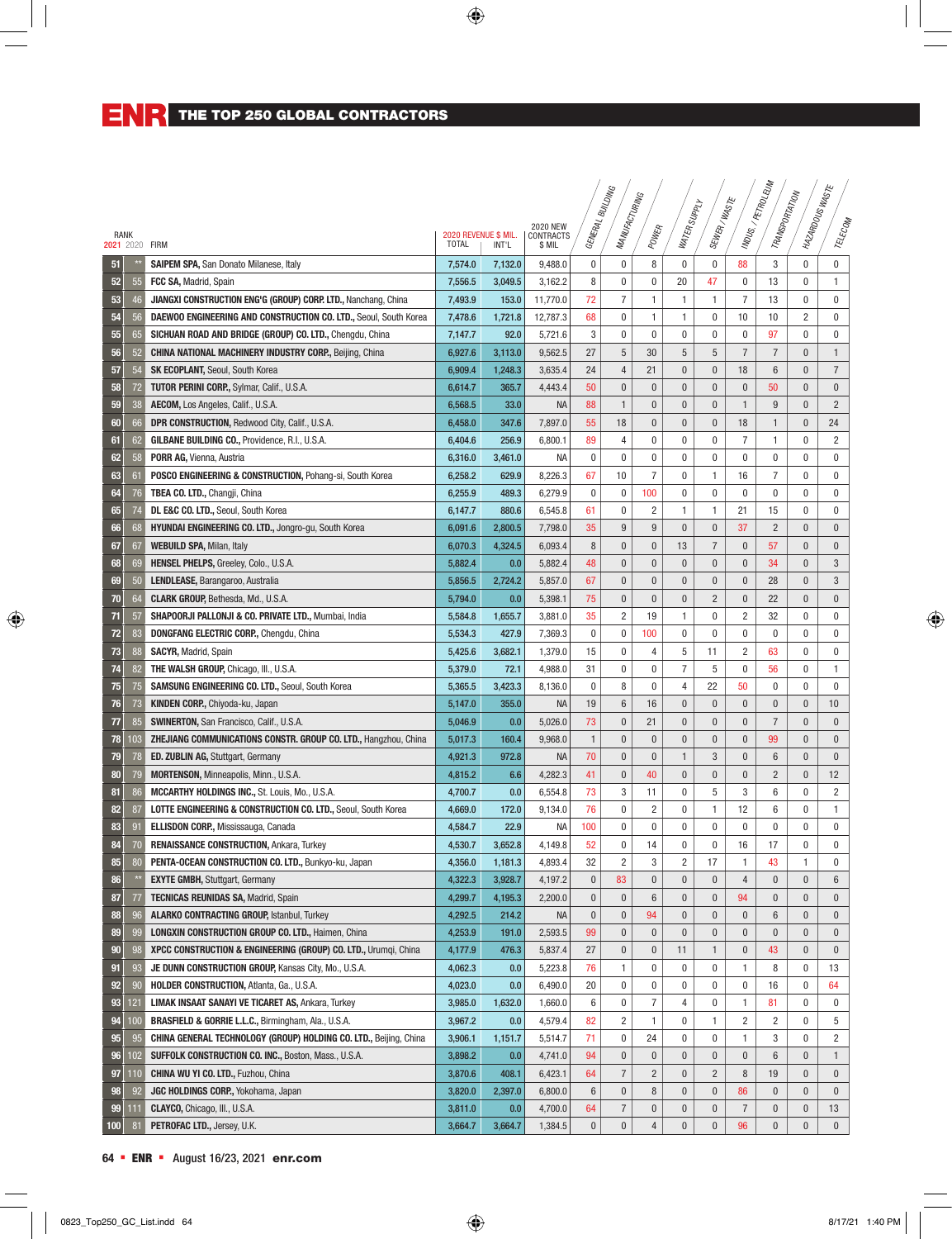|                |           |                                                                             |                      |                  |                              |              | <b>SNICTING</b>         |                     |                        |                             |                | MDUS./ PETROLEUM<br>TRANSPORTATION | I MAZARDOUSWASTE |                         |
|----------------|-----------|-----------------------------------------------------------------------------|----------------------|------------------|------------------------------|--------------|-------------------------|---------------------|------------------------|-----------------------------|----------------|------------------------------------|------------------|-------------------------|
|                |           |                                                                             |                      |                  |                              |              | MANUFACTURING           |                     | WATER SUPPLY           | SEWER/WASTE                 |                |                                    |                  |                         |
| RANK           |           |                                                                             | 2020 REVENUE \$ MIL. |                  | <b>2020 NEW</b><br>CONTRACTS | GENERAL F    |                         | POWER               |                        |                             |                |                                    |                  | TELECOM                 |
| 2021 2020 FIRM |           |                                                                             | <b>TOTAL</b>         | INT'L            | \$ MIL                       |              |                         |                     |                        |                             |                |                                    |                  |                         |
| 51             |           | <b>SAIPEM SPA, San Donato Milanese, Italy</b>                               | 7,574.0              | 7,132.0          | 9,488.0                      | 0            | 0                       | 8                   | 0                      | 0                           | 88             | $\mathbf 3$                        | $\mathbf 0$      | $\bf{0}$                |
| 52             | 55        | FCC SA, Madrid, Spain                                                       | 7,556.5              | 3,049.5          | 3,162.2                      | 8            | 0                       | 0                   | 20                     | 47                          | 0              | 13                                 | $\mathbf 0$      | $\mathbf{1}$            |
| 53             | 46        | JIANGXI CONSTRUCTION ENG'G (GROUP) CORP. LTD., Nanchang, China              | 7,493.9              | 153.0            | 11,770.0                     | 72           | $\overline{7}$          | 1                   | 1                      | 1                           | $\overline{7}$ | 13                                 | $\mathbf 0$      | $\mathbf 0$             |
| 54             | 56        | DAEWOO ENGINEERING AND CONSTRUCTION CO. LTD., Seoul, South Korea            | 7,478.6              | 1,721.8          | 12,787.3                     | 68           | 0                       | 1                   | 1                      | 0                           | 10             | 10                                 | 2                | $\mathbf 0$             |
| 55             | 65        | SICHUAN ROAD AND BRIDGE (GROUP) CO. LTD., Chengdu, China                    | 7,147.7              | 92.0             | 5,721.6                      | 3            | $\bf{0}$                | 0                   | 0                      | 0                           | 0              | 97                                 | 0                | 0                       |
| 56             | 52        | <b>CHINA NATIONAL MACHINERY INDUSTRY CORP., Beijing, China</b>              | 6,927.6              | 3,113.0          | 9,562.5                      | 27           | 5                       | 30                  | 5                      | 5                           | $\overline{7}$ | $\overline{7}$                     | $\pmb{0}$        | $\mathbf{1}$            |
| 57             | 54        | <b>SK ECOPLANT, Seoul, South Korea</b>                                      | 6,909.4              | 1,248.3          | 3,635.4                      | 24           | 4                       | 21                  | 0                      | 0                           | 18             | 6                                  | $\bf{0}$         | $\overline{7}$          |
| 58             | 72        | <b>TUTOR PERINI CORP., Sylmar, Calif., U.S.A.</b>                           | 6,614.7              | 365.7            | 4,443.4                      | 50           | $\pmb{0}$               | $\bf{0}$            | $\pmb{0}$              | $\pmb{0}$                   | $\pmb{0}$      | 50                                 | $\bf{0}$         | $\pmb{0}$               |
| 59             | 38        | AECOM, Los Angeles, Calif., U.S.A.                                          | 6,568.5              | 33.0             | <b>NA</b>                    | 88           | $\mathbf{1}$            | $\bf{0}$            | $\pmb{0}$              | $\mathbf{0}$                | $\mathbf{1}$   | 9                                  | $\bf{0}$         | $\overline{2}$          |
| 60             | 66        | DPR CONSTRUCTION, Redwood City, Calif., U.S.A.                              | 6,458.0              | 347.6            | 7,897.0                      | 55           | 18                      | $\mathbf{0}$        | $\pmb{0}$              | $\mathbf{0}$                | 18             | $\mathbf{1}$                       | $\bf{0}$         | 24                      |
| 61             | 62        | GILBANE BUILDING CO., Providence, R.I., U.S.A.                              | 6,404.6              | 256.9            | 6,800.1                      | 89           | 4                       | 0                   | 0                      | 0                           | $\overline{7}$ | 1                                  | 0                | $\overline{c}$          |
| 62             | 58        | PORR AG, Vienna, Austria                                                    | 6,316.0              | 3,461.0          | NA                           | $\mathbf{0}$ | $\bf{0}$                | 0                   | 0                      | 0                           | 0              | $\bf{0}$                           | $\mathbf 0$      | $\bf{0}$                |
| 63             | 61        | POSCO ENGINEERING & CONSTRUCTION, Pohang-si, South Korea                    | 6,258.2              | 629.9            | 8,226.3                      | 67           | 10                      | $\overline{7}$      | 0                      | 1                           | 16             | $\overline{7}$                     | $\mathbf 0$      | $\mathbf 0$             |
| 64             | 76        | TBEA CO. LTD., Changji, China                                               | 6,255.9              | 489.3            | 6,279.9                      | 0            | 0                       | 100                 | 0                      | 0                           | 0              | $\mathbf 0$                        | 0                | 0                       |
| 65             | 74        | DL E&C CO. LTD., Seoul, South Korea                                         | 6,147.7              | 880.6            | 6,545.8                      | 61           | 0                       | $\overline{2}$      | 1                      | 1                           | 21             | 15                                 | $\mathbf 0$      | $\mathbf 0$             |
| 66             | 68        | HYUNDAI ENGINEERING CO. LTD., Jongro-gu, South Korea                        | 6,091.6              | 2,800.5          | 7,798.0                      | 35           | 9                       | 9                   | $\mathbf{0}$           | $\pmb{0}$                   | 37             | $\overline{2}$                     | $\mathbf{0}$     | $\bf{0}$                |
| 67             | 67        | <b>WEBUILD SPA, Milan, Italy</b>                                            | 6,070.3              | 4,324.5          | 6,093.4                      | 8            | 0                       | $\bf{0}$            | 13                     | $\overline{7}$              | $\pmb{0}$      | 57                                 | 0                | $\pmb{0}$               |
| 68             | 69        | HENSEL PHELPS, Greeley, Colo., U.S.A.                                       | 5,882.4              | 0.0              | 5,882.4                      | 48           | 0                       | 0                   | 0                      | $\pmb{0}$                   | $\bf{0}$       | 34                                 | $\bf{0}$         | 3                       |
| 69             | 50        | LENDLEASE, Barangaroo, Australia                                            | 5,856.5              | 2,724.2          | 5,857.0                      | 67           | 0                       | $\bf{0}$            | $\pmb{0}$              | $\mathbf{0}$                | $\pmb{0}$      | 28                                 | $\pmb{0}$        | $\mathbf{3}$            |
| 70             | 64        | <b>CLARK GROUP, Bethesda, Md., U.S.A.</b>                                   | 5,794.0              | 0.0              | 5,398.1                      | 75           | $\pmb{0}$               | $\bf{0}$            | $\pmb{0}$              | $\overline{c}$              | $\pmb{0}$      | 22                                 | $\pmb{0}$        | $\mathbf{0}$            |
| 71             | 57        | SHAPOORJI PALLONJI & CO. PRIVATE LTD., Mumbai, India                        | 5,584.8              | 1,655.7          | 3,881.0                      | 35           | 2                       | 19                  | 1                      | 0                           | 2              | 32                                 | 0                | 0                       |
| 72             | 83        | DONGFANG ELECTRIC CORP., Chengdu, China                                     | 5,534.3              | 427.9            | 7,369.3                      | 0            | 0                       | 100                 | 0                      | 0                           | 0              | $\bf{0}$                           | 0                | 0                       |
| 73             | 88        | <b>SACYR, Madrid, Spain</b>                                                 | 5,425.6              | 3,682.1          | 1,379.0                      | 15           | 0                       | 4                   | 5                      | 11                          | 2              | 63                                 | 0                | 0                       |
| 74             | 82        | THE WALSH GROUP, Chicago, III., U.S.A.                                      | 5,379.0              | 72.1             | 4,988.0                      | 31           | 0                       | 0                   | 7                      | 5                           | 0              | 56                                 | 0                | 1                       |
| 75             | 75        | <b>SAMSUNG ENGINEERING CO. LTD., Seoul, South Korea</b>                     | 5,365.5              | 3,423.3          | 8,136.0                      | 0            | 8                       | 0                   | 4                      | 22                          | 50             | 0                                  | 0                | 0                       |
| 76             | 73        | KINDEN CORP., Chiyoda-ku, Japan                                             | 5,147.0              | 355.0            | <b>NA</b>                    | 19           | 6                       | 16                  | $\pmb{0}$              | $\mathbf{0}$                | $\pmb{0}$      | 0                                  | $\bf{0}$         | 10                      |
| 77             | 85        | <b>SWINERTON, San Francisco, Calif., U.S.A.</b>                             | 5,046.9              | 0.0              | 5,026.0                      | 73           | $\mathbf{0}$            | 21                  | $\mathbf{0}$           | $\mathbf{0}$                | $\mathbf{0}$   | $\overline{7}$                     | $\mathbf{0}$     | $\mathbf 0$             |
| 78             | 103       | ZHEJIANG COMMUNICATIONS CONSTR. GROUP CO. LTD., Hangzhou, China             | 5,017.3              | 160.4            | 9,968.0                      | $\mathbf{1}$ | $\mathbf{0}$            | $\mathbf{0}$        | $\pmb{0}$              | $\mathbf{0}$                | $\mathbf{0}$   | 99                                 | $\bf{0}$         | $\mathbf 0$             |
| 79             | 78        | <b>ED. ZUBLIN AG, Stuttgart, Germany</b>                                    | 4,921.3              | 972.8            | <b>NA</b>                    | 70           | $\mathbf{0}$            | $\bf{0}$            | $\mathbf{1}$           | 3                           | $\bf{0}$       | 6                                  | $\bf{0}$         | $\mathbf{0}$            |
| 80             | 79        | MORTENSON, Minneapolis, Minn., U.S.A.                                       | 4.815.2              | 6.6              | 4,282.3                      | 41           | $\pmb{0}$               | 40                  | $\pmb{0}$              | $\mathbf{0}$                | $\mathbf{0}$   | $\overline{2}$                     | $\mathbf{0}$     | 12                      |
| 81             | 86        | <b>MCCARTHY HOLDINGS INC., St. Louis, Mo., U.S.A.</b>                       | 4,700.7              | 0.0              | 6,554.8                      | 73           | 3                       | 11                  | 0                      | 5                           | 3              | 6                                  | $\mathbf 0$      | $\overline{2}$          |
| 82             | 87        | <b>LOTTE ENGINEERING &amp; CONSTRUCTION CO. LTD., Seoul, South Korea</b>    | 4,669.0              | 172.0            | 9,134.0                      | 76           | 0                       | 2                   | 0                      | 1                           | 12             | 6                                  | $\mathbf 0$      | 1                       |
| 83             | 91        | ELLISDON CORP., Mississauga, Canada                                         | 4,584.7              | 22.9             | NA                           | 100          | 0                       | $\mathbf{0}$        | 0                      | 0                           | $\mathbf 0$    | 0                                  | $\mathbf 0$      | $\mathbf 0$             |
| 84             | 70        | <b>RENAISSANCE CONSTRUCTION, Ankara, Turkey</b>                             | 4,530.7              | 3,652.8          | 4,149.8                      | 52           | $\bf{0}$                | 14                  | 0                      | 0                           | 16             | 17                                 | 0                | $\pmb{0}$               |
|                | $80\,$    | PENTA-OCEAN CONSTRUCTION CO. LTD., Bunkyo-ku, Japan                         | 4,356.0              | 1,181.3          | 4,893.4                      | 32           | $\overline{\mathbf{c}}$ | 3                   | $\overline{c}$         | 17                          | 1              | 43                                 | 1                | $\pmb{0}$               |
| 86             |           | <b>EXYTE GMBH, Stuttgart, Germany</b>                                       | 4,322.3              | 3,928.7          | 4,197.2                      | 0            | 83                      | 0                   | 0                      | 0                           | 4              | $\bf{0}$                           | $\bf{0}$         | 6                       |
| 87             | 77        | TECNICAS REUNIDAS SA, Madrid, Spain                                         | 4,299.7              | 4,195.3          | 2,200.0                      | 0            | 0                       | 6                   | $\pmb{0}$              | $\pmb{0}$                   | 94             | 0                                  | $\pmb{0}$        | $\mathbf 0$             |
| 88             | 96        | ALARKO CONTRACTING GROUP, Istanbul, Turkey                                  | 4,292.5              | 214.2            | <b>NA</b>                    | $\pmb{0}$    | $\bf{0}$                | 94                  | 0                      | $\pmb{0}$                   | 0              | 6                                  | $\bf{0}$         | $\mathbf 0$             |
| 89             | 99        | <b>LONGXIN CONSTRUCTION GROUP CO. LTD., Haimen, China</b>                   | 4,253.9              | 191.0            | 2,593.5                      | 99           | 0                       | 0                   | 0                      | 0                           | $\bf{0}$       | 0                                  | $\bf{0}$         | $\mathbf 0$             |
| 90             | 98        | XPCC CONSTRUCTION & ENGINEERING (GROUP) CO. LTD., Urumqi, China             | 4,177.9              | 476.3            | 5,837.4                      | 27           | 0                       | 0<br>0              | 11                     | $\mathbf{1}$                | $\bf{0}$       | 43                                 | $\bf{0}$         | $\mathbf 0$             |
| 91             | 93        | JE DUNN CONSTRUCTION GROUP, Kansas City, Mo., U.S.A.                        | 4,062.3              | 0.0              | 5,223.8                      | 76           | 1                       |                     | 0                      | 0                           | 1              | 8                                  | 0                | 13                      |
| 92             | 90        | HOLDER CONSTRUCTION, Atlanta, Ga., U.S.A.                                   | 4,023.0              | 0.0              | 6,490.0                      | 20           | 0                       | 0                   | 0                      | 0                           | 0              | 16                                 | 0                | 64                      |
| 93             | 121       | <b>LIMAK INSAAT SANAYI VE TICARET AS, Ankara, Turkey</b>                    | 3,985.0              | 1,632.0          | 1,660.0                      | 6            | 0                       | 7                   | 4                      | 0                           | 1              | 81                                 | 0                | 0                       |
| 94             | 100       | BRASFIELD & GORRIE L.L.C., Birmingham, Ala., U.S.A.                         | 3,967.2              | 0.0              | 4,579.4                      | 82           | $\overline{\mathbf{c}}$ | 1                   | 0                      | 1                           | $\overline{c}$ | 2                                  | 0                | 5                       |
| 95             | 95        | CHINA GENERAL TECHNOLOGY (GROUP) HOLDING CO. LTD., Beijing, China           | 3,906.1              | 1,151.7          | 5,514.7                      | 71           | 0                       | 24                  | 0                      | 0                           | 1              | 3                                  | 0                | 2                       |
| 96             | 102       | SUFFOLK CONSTRUCTION CO. INC., Boston, Mass., U.S.A.                        | 3,898.2              | 0.0              | 4,741.0                      | 94           | 0                       | $\bf{0}$            | $\pmb{0}$              | $\pmb{0}$                   | $\pmb{0}$      | 6                                  | 0                | $\mathbf{1}$            |
| 97             | 110<br>92 | <b>CHINA WU YI CO. LTD., Fuzhou, China</b>                                  | 3,870.6<br>3,820.0   | 408.1<br>2,397.0 | 6,423.1                      | 64<br>6      | 7<br>0                  | $\overline{c}$<br>8 | $\pmb{0}$<br>$\pmb{0}$ | $\overline{c}$<br>$\pmb{0}$ | 8<br>86        | 19<br>$\pmb{0}$                    | 0<br>0           | $\mathbf 0$<br>$\bf{0}$ |
| 98<br>99       | 111       | <b>JGC HOLDINGS CORP., Yokohama, Japan</b><br>CLAYCO, Chicago, III., U.S.A. | 3,811.0              | 0.0              | 6,800.0<br>4,700.0           | 64           | $\overline{7}$          | $\bf{0}$            | $\pmb{0}$              | $\pmb{0}$                   | $\sqrt{7}$     | $\pmb{0}$                          | $\pmb{0}$        | 13                      |
| 100            | 81        | PETROFAC LTD., Jersey, U.K.                                                 | 3,664.7              | 3,664.7          | 1,384.5                      | 0            | $\pmb{0}$               | 4                   | $\boldsymbol{0}$       | $\pmb{0}$                   | 96             | $\mathbf 0$                        | $\bf{0}$         | $\mathbf{0}$            |
|                |           |                                                                             |                      |                  |                              |              |                         |                     |                        |                             |                |                                    |                  |                         |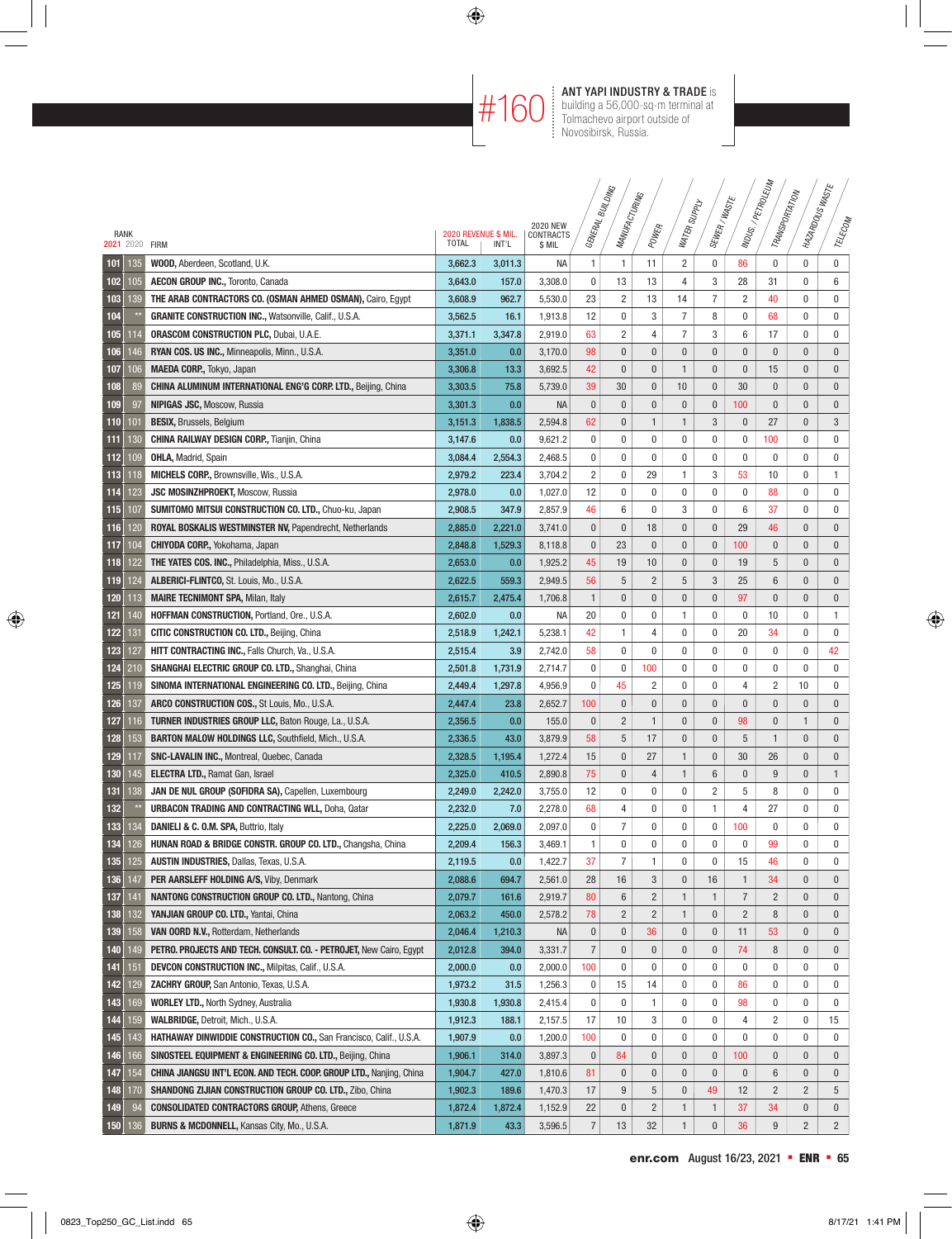$\#160$  MT YAPI INDUSTRY & TRADE is<br>  $\#160$  building a 56,000-sq-m terminal at<br>
Tolmachevo airport outside of building a 56,000-sq-m terminal at Tolmachevo airport outside of Novosibirsk, Russia.

 $\overline{a}$ 

|                        |     |                                                                             |                                      |         |                     |                | <b>SNICTING</b><br>MANUFACTURING |                |                |                |                | MDUS./PETROLEUM<br>TRANSPORTATION | I MAZARDOUSWASTE |              |
|------------------------|-----|-----------------------------------------------------------------------------|--------------------------------------|---------|---------------------|----------------|----------------------------------|----------------|----------------|----------------|----------------|-----------------------------------|------------------|--------------|
|                        |     |                                                                             |                                      |         | <b>2020 NEW</b>     |                |                                  |                | WATER SUPPLY   | SEWER/WASTE    |                |                                   |                  |              |
| RANK<br>2021 2020 FIRM |     |                                                                             | 2020 REVENUE \$ MIL.<br><b>TOTAL</b> | INT'L   | CONTRACTS<br>\$ MIL | GENERAL F      |                                  | POWER          |                |                |                |                                   |                  | TELECOM      |
| 101                    | 135 | WOOD, Aberdeen, Scotland, U.K.                                              | 3,662.3                              | 3.011.3 | NA                  | 1              | 1                                | 11             | 2              | 0              | 86             | $\bf{0}$                          | $\mathbf 0$      | $\pmb{0}$    |
| 102                    | 105 | <b>AECON GROUP INC., Toronto, Canada</b>                                    | 3,643.0                              | 157.0   | 3,308.0             | 0              | 13                               | 13             | $\overline{4}$ | 3              | 28             | 31                                | $\mathbf 0$      | 6            |
| 103                    | 139 | THE ARAB CONTRACTORS CO. (OSMAN AHMED OSMAN), Cairo, Egypt                  | 3,608.9                              | 962.7   | 5,530.0             | 23             | $\overline{c}$                   | 13             | 14             | $\overline{7}$ | $\overline{2}$ | 40                                | 0                | $\mathbf 0$  |
| 104                    |     | GRANITE CONSTRUCTION INC., Watsonville, Calif., U.S.A.                      | 3,562.5                              | 16.1    | 1,913.8             | 12             | 0                                | 3              | 7              | 8              | 0              | 68                                | 0                | $\mathbf 0$  |
| 105                    | 114 | <b>ORASCOM CONSTRUCTION PLC, Dubai, U.A.E.</b>                              | 3,371.1                              | 3,347.8 | 2,919.0             | 63             | $\overline{c}$                   | 4              | 7              | 3              | 6              | 17                                | 0                | 0            |
| 106                    | 146 | RYAN COS. US INC., Minneapolis, Minn., U.S.A.                               | 3,351.0                              | 0.0     | 3,170.0             | 98             | 0                                | $\bf{0}$       | $\pmb{0}$      | $\pmb{0}$      | $\pmb{0}$      | $\bf{0}$                          | $\bf{0}$         | $\bf{0}$     |
| 107                    | 106 | MAEDA CORP., Tokyo, Japan                                                   | 3,306.8                              | 13.3    | 3,692.5             | 42             | 0                                | 0              | 1              | 0              | $\bf{0}$       | 15                                | $\bf{0}$         | $\bf{0}$     |
| 108                    | 89  | CHINA ALUMINUM INTERNATIONAL ENG'G CORP. LTD., Beijing, China               | 3,303.5                              | 75.8    | 5,739.0             | 39             | 30                               | 0              | 10             | $\pmb{0}$      | 30             | $\bf{0}$                          | $\bf{0}$         | $\mathbf 0$  |
| 109                    | 97  | <b>NIPIGAS JSC, Moscow, Russia</b>                                          | 3,301.3                              | 0.0     | <b>NA</b>           | $\pmb{0}$      | $\bf{0}$                         | $\pmb{0}$      | $\pmb{0}$      | $\pmb{0}$      | 100            | $\mathbf{0}$                      | $\bf{0}$         | $\mathbf 0$  |
| 110                    | 101 | <b>BESIX, Brussels, Belgium</b>                                             | 3,151.3                              | 1,838.5 | 2,594.8             | 62             | 0                                | $\mathbf{1}$   | 1              | 3              | $\pmb{0}$      | 27                                | $\bf{0}$         | 3            |
| 111                    | 130 | <b>CHINA RAILWAY DESIGN CORP., Tianjin, China</b>                           | 3,147.6                              | 0.0     | 9,621.2             | 0              | 0                                | 0              | 0              | 0              | 0              | 100                               | 0                | 0            |
| 112                    | 109 | <b>OHLA, Madrid, Spain</b>                                                  | 3,084.4                              | 2,554.3 | 2,468.5             | 0              | 0                                | 0              | 0              | 0              | 0              | 0                                 | 0                | $\bf{0}$     |
| 113                    | 118 | MICHELS CORP., Brownsville, Wis., U.S.A.                                    | 2,979.2                              | 223.4   | 3,704.2             | $\overline{2}$ | 0                                | 29             | 1              | 3              | 53             | 10                                | $\mathbf 0$      | 1            |
| 114                    | 123 | <b>JSC MOSINZHPROEKT, Moscow, Russia</b>                                    | 2,978.0                              | 0.0     | 1,027.0             | 12             | 0                                | 0              | 0              | 0              | 0              | 88                                | $\mathbf 0$      | 0            |
| 115                    | 107 | SUMITOMO MITSUI CONSTRUCTION CO. LTD., Chuo-ku, Japan                       | 2,908.5                              | 347.9   | 2,857.9             | 46             | 6                                | 0              | 3              | 0              | 6              | 37                                | $\mathbf 0$      | 0            |
| 116                    | 120 | ROYAL BOSKALIS WESTMINSTER NV, Papendrecht, Netherlands                     | 2,885.0                              | 2,221.0 | 3,741.0             | $\pmb{0}$      | $\pmb{0}$                        | 18             | $\pmb{0}$      | $\mathbf{0}$   | 29             | 46                                | $\mathbf{0}$     | $\bf{0}$     |
| 117                    | 104 | <b>CHIYODA CORP., Yokohama, Japan</b>                                       | 2,848.8                              | 1,529.3 | 8,118.8             | $\pmb{0}$      | 23                               | $\bf{0}$       | $\pmb{0}$      | $\pmb{0}$      | 100            | 0                                 | 0                | $\pmb{0}$    |
| 118                    | 122 | THE YATES COS. INC., Philadelphia, Miss., U.S.A.                            | 2,653.0                              | 0.0     | 1,925.2             | 45             | 19                               | 10             | 0              | 0              | 19             | 5                                 | 0                | $\bf{0}$     |
| 119                    | 124 | ALBERICI-FLINTCO, St. Louis, Mo., U.S.A.                                    | 2,622.5                              | 559.3   | 2,949.5             | 56             | 5                                | $\overline{2}$ | 5              | 3              | 25             | 6                                 | $\pmb{0}$        | $\mathbf{0}$ |
| 120                    | 113 | <b>MAIRE TECNIMONT SPA, Milan, Italy</b>                                    | 2,615.7                              | 2.475.4 | 1,706.8             | $\mathbf{1}$   | $\pmb{0}$                        | $\bf{0}$       | $\pmb{0}$      | $\mathbf{0}$   | 97             | $\pmb{0}$                         | $\pmb{0}$        | $\bf{0}$     |
| 121                    | 140 | HOFFMAN CONSTRUCTION, Portland, Ore., U.S.A.                                | 2,602.0                              | 0.0     | NA                  | 20             | 0                                | 0              | 1              | 0              | 0              | 10                                | 0                | $\mathbf{1}$ |
| 122                    | 131 | <b>CITIC CONSTRUCTION CO. LTD., Beijing, China</b>                          | 2,518.9                              | 1,242.1 | 5,238.1             | 42             | 1                                | 4              | 0              | 0              | 20             | 34                                | 0                | 0            |
| 123                    | 127 | HITT CONTRACTING INC., Falls Church, Va., U.S.A.                            | 2,515.4                              | 3.9     | 2,742.0             | 58             | 0                                | 0              | 0              | 0              | 0              | 0                                 | 0                | 42           |
| 124                    | 210 | SHANGHAI ELECTRIC GROUP CO. LTD., Shanghai, China                           | 2,501.8                              | 1,731.9 | 2,714.7             | 0              | 0                                | 100            | 0              | 0              | 0              | 0                                 | 0                | 0            |
| 125                    | 119 | SINOMA INTERNATIONAL ENGINEERING CO. LTD., Beijing, China                   | 2,449.4                              | 1,297.8 | 4,956.9             | 0              | 45                               | 2              | 0              | 0              | 4              | 2                                 | 10               | 0            |
| 126                    | 137 | ARCO CONSTRUCTION COS., St Louis, Mo., U.S.A.                               | 2,447.4                              | 23.8    | 2,652.7             | 100            | 0                                | $\bf{0}$       | $\pmb{0}$      | $\mathbf{0}$   | $\mathbf{0}$   | $\mathbf{0}$                      | $\bf{0}$         | $\bf{0}$     |
| 127                    | 116 | <b>TURNER INDUSTRIES GROUP LLC, Baton Rouge, La., U.S.A.</b>                | 2,356.5                              | 0.0     | 155.0               | $\pmb{0}$      | $\overline{2}$                   | 1              | $\mathbf{0}$   | $\mathbf{0}$   | 98             | $\bf{0}$                          | 1                | $\mathbf 0$  |
| 128                    | 153 | <b>BARTON MALOW HOLDINGS LLC, Southfield, Mich., U.S.A.</b>                 | 2,336.5                              | 43.0    | 3,879.9             | 58             | 5                                | 17             | $\pmb{0}$      | $\mathbf{0}$   | 5              | $\mathbf{1}$                      | $\mathbf{0}$     | $\mathbf 0$  |
| 129                    | 117 | <b>SNC-LAVALIN INC., Montreal, Quebec, Canada</b>                           | 2,328.5                              | 1,195.4 | 1,272.4             | 15             | $\pmb{0}$                        | 27             | $\mathbf{1}$   | $\pmb{0}$      | 30             | 26                                | $\mathbf{0}$     | $\bf{0}$     |
| 130                    | 145 | <b>ELECTRA LTD., Ramat Gan, Israel</b>                                      | 2,325.0                              | 410.5   | 2,890.8             | 75             | 0                                | 4              | $\mathbf{1}$   | $6\phantom{1}$ | $\bf{0}$       | 9                                 | $\mathbf{0}$     | $\mathbf{1}$ |
| 131                    | 138 | JAN DE NUL GROUP (SOFIDRA SA), Capellen, Luxembourg                         | 2,249.0                              | 2,242.0 | 3,755.0             | 12             | 0                                | 0              | 0              | $\overline{c}$ | 5              | 8                                 | $\mathbf 0$      | $\mathbf 0$  |
| 132                    |     | <b>URBACON TRADING AND CONTRACTING WLL, Doha, Qatar</b>                     | 2,232.0                              | 7.0     | 2,278.0             | 68             | 4                                | 0              | 0              | 1              | 4              | 27                                | 0                | $\mathbf 0$  |
| 133                    | 134 | DANIELI & C. O.M. SPA, Buttrio, Italy                                       | 2,225.0                              | 2,069.0 | 2,097.0             | 0              | $\overline{7}$                   | 0              | 0              | 0              | 100            | $\mathbf{0}$                      | $\mathbf 0$      | $\mathbf 0$  |
| 134                    | 126 | HUNAN ROAD & BRIDGE CONSTR. GROUP CO. LTD., Changsha, China                 | 2,209.4                              | 156.3   | 3,469.1             | 1              | $\boldsymbol{0}$                 | $\bf{0}$       | 0              | 0              | 0              | 99                                | 0                | 0            |
| 135                    | 125 | AUSTIN INDUSTRIES, Dallas, Texas, U.S.A.                                    | 2,119.5                              | 0.0     | 1,422.7             | 37             | $\overline{7}$                   | 1              | 0              | 0              | 15             | 46                                | 0                | $\pmb{0}$    |
| 136                    | 147 | PER AARSLEFF HOLDING A/S, Viby, Denmark                                     | 2,088.6                              | 694.7   | 2,561.0             | 28             | 16                               | 3              | 0              | 16             | $\mathbf{1}$   | 34                                | $\bf{0}$         | $\mathbf 0$  |
| 137                    | 141 | NANTONG CONSTRUCTION GROUP CO. LTD., Nantong, China                         | 2,079.7                              | 161.6   | 2,919.7             | 80             | 6                                | $\overline{c}$ | $\mathbf{1}$   | 1              | $\overline{7}$ | $\overline{2}$                    | $\bf{0}$         | $\bf{0}$     |
| 138                    | 132 | YANJIAN GROUP CO. LTD., Yantai, China                                       | 2,063.2                              | 450.0   | 2,578.2             | 78             | $\overline{c}$                   | $\overline{2}$ | 1              | $\pmb{0}$      | $\overline{c}$ | 8                                 | $\bf{0}$         | $\mathbf 0$  |
| 139                    | 158 | VAN OORD N.V., Rotterdam, Netherlands                                       | 2,046.4                              | 1,210.3 | <b>NA</b>           | 0              | 0                                | 36             | 0              | 0              | 11             | 53                                | $\bf{0}$         | $\mathbf 0$  |
| 140                    | 149 | <b>PETRO. PROJECTS AND TECH. CONSULT. CO. - PETROJET, New Cairo, Egypt</b>  | 2,012.8                              | 394.0   | 3,331.7             | $\overline{7}$ | 0                                | 0              | $\pmb{0}$      | $\pmb{0}$      | 74             | 8                                 | $\bf{0}$         | $\mathbf 0$  |
| 141                    | 151 | <b>DEVCON CONSTRUCTION INC., Milpitas, Calif., U.S.A.</b>                   | 2,000.0                              | 0.0     | 2,000.0             | 100            | 0                                | 0              | 0              | 0              | 0              | 0                                 | 0                | 0            |
| 142                    | 129 | ZACHRY GROUP, San Antonio, Texas, U.S.A.                                    | 1,973.2                              | 31.5    | 1,256.3             | 0              | 15                               | 14             | 0              | 0              | 86             | $\bf{0}$                          | 0                | 0            |
| 143                    | 169 | <b>WORLEY LTD., North Sydney, Australia</b>                                 | 1,930.8                              | 1,930.8 | 2,415.4             | 0              | 0                                | 1              | 0              | 0              | 98             | 0                                 | 0                | 0            |
| 144                    | 159 | WALBRIDGE, Detroit, Mich., U.S.A.                                           | 1,912.3                              | 188.1   | 2,157.5             | 17             | 10                               | 3              | 0              | 0              | 4              | 2                                 | 0                | 15           |
| 145                    | 143 | HATHAWAY DINWIDDIE CONSTRUCTION CO., San Francisco, Calif., U.S.A.          | 1,907.9                              | 0.0     | 1,200.0             | 100            | 0                                | 0              | 0              | 0              | 0              | $\bf{0}$                          | 0                | 0            |
| 146                    | 166 | SINOSTEEL EQUIPMENT & ENGINEERING CO. LTD., Beijing, China                  | 1,906.1                              | 314.0   | 3,897.3             | $\pmb{0}$      | 84                               | $\bf{0}$       | $\pmb{0}$      | $\pmb{0}$      | 100            | $\pmb{0}$                         | 0                | $\mathbf 0$  |
| 147                    | 154 | <b>CHINA JIANGSU INT'L ECON. AND TECH. COOP. GROUP LTD., Nanjing, China</b> | 1,904.7                              | 427.0   | 1,810.6             | 81             | 0                                | 0              | $\pmb{0}$      | $\pmb{0}$      | $\pmb{0}$      | 6                                 | 0                | $\mathbf 0$  |
| 148                    | 170 | SHANDONG ZIJIAN CONSTRUCTION GROUP CO. LTD., Zibo, China                    | 1,902.3                              | 189.6   | 1,470.3             | 17             | 9                                | 5              | $\pmb{0}$      | 49             | 12             | $\overline{c}$                    | $\overline{c}$   | 5            |
| 149                    | 94  | <b>CONSOLIDATED CONTRACTORS GROUP, Athens, Greece</b>                       | 1,872.4                              | 1,872.4 | 1,152.9             | 22             | $\pmb{0}$                        | $\overline{2}$ | $\mathbf{1}$   | $\mathbf{1}$   | 37             | 34                                | $\pmb{0}$        | $\mathbf 0$  |
| 150                    | 136 | <b>BURNS &amp; MCDONNELL, Kansas City, Mo., U.S.A.</b>                      | 1,871.9                              | 43.3    | 3,596.5             | $\overline{7}$ | 13                               | 32             | 1              | $\pmb{0}$      | 36             | 9                                 | $\overline{c}$   | $2^{\circ}$  |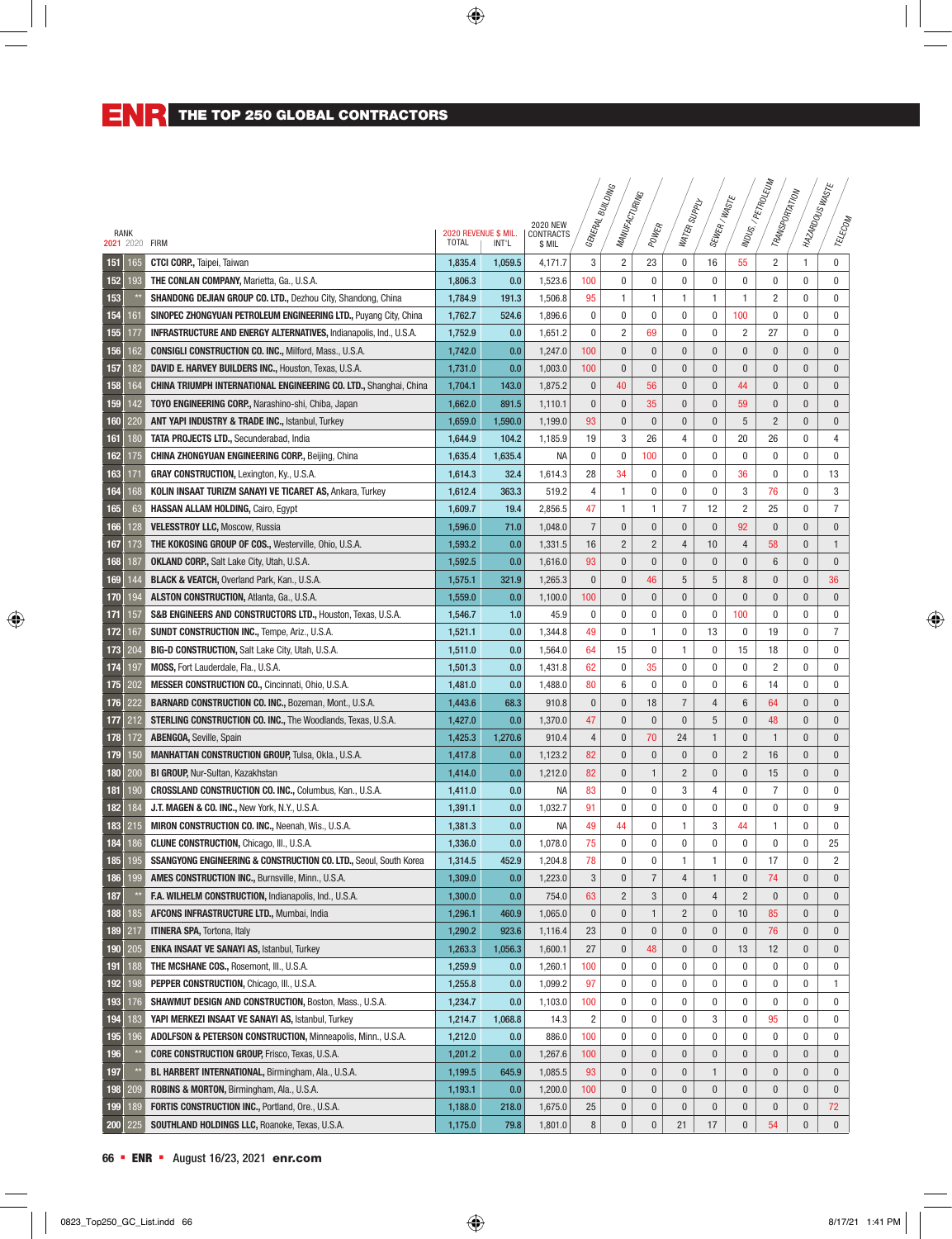|      |     |                                                                           |                                      |         |                     | . GENERAL BUILDING | MANUFACTURING    |                |                |                   |                   | INDUS / PETROLEUM<br>TRANSPORTATION | I MAZARDOUS WASTE |                  |
|------|-----|---------------------------------------------------------------------------|--------------------------------------|---------|---------------------|--------------------|------------------|----------------|----------------|-------------------|-------------------|-------------------------------------|-------------------|------------------|
|      |     |                                                                           |                                      |         | <b>2020 NEW</b>     |                    |                  |                | I Supply       | SEWER/WASTE       |                   |                                     |                   |                  |
| RANK |     | 2021 2020 FIRM                                                            | 2020 REVENUE \$ MIL.<br><b>TOTAL</b> | INT'L   | CONTRACTS<br>\$ MIL |                    |                  | POWER          | <b>WATER</b>   |                   |                   |                                     |                   | TELECOM          |
|      |     |                                                                           |                                      |         |                     |                    |                  |                |                |                   |                   | $\overline{2}$                      | $\mathbf{1}$      | $\pmb{0}$        |
| 151  | 165 | <b>CTCI CORP., Taipei, Taiwan</b>                                         | 1,835.4                              | 1,059.5 | 4,171.7             | 3<br>100           | 2<br>0           | 23<br>0        | 0<br>0         | 16<br>$\mathbf 0$ | 55<br>$\mathbf 0$ | $\mathbf 0$                         | $\mathbf 0$       | $\mathbf 0$      |
| 152  | 193 | THE CONLAN COMPANY, Marietta, Ga., U.S.A.                                 | 1,806.3                              | 0.0     | 1,523.6             |                    |                  |                |                |                   |                   |                                     |                   | $\mathbf 0$      |
| 153  |     | <b>SHANDONG DEJIAN GROUP CO. LTD., Dezhou City, Shandong, China</b>       | 1,784.9                              | 191.3   | 1,506.8             | 95                 | 1<br>0           | 1<br>0         | 1<br>0         | 1<br>$\mathbf 0$  | 1                 | $\overline{c}$                      | $\mathbf 0$       |                  |
| 154  | 161 | SINOPEC ZHONGYUAN PETROLEUM ENGINEERING LTD., Puyang City, China          | 1,762.7                              | 524.6   | 1,896.6             | 0                  |                  |                |                | $\mathbf 0$       | 100               | $\mathbf{0}$                        | $\mathbf 0$       | $\mathbf 0$      |
| 155  | 177 | <b>INFRASTRUCTURE AND ENERGY ALTERNATIVES, Indianapolis, Ind., U.S.A.</b> | 1,752.9                              | 0.0     | 1,651.2             | 0                  | $\overline{2}$   | 69             | 0              |                   | $\overline{2}$    | 27                                  | $\mathbf 0$       | $\mathbf 0$      |
| 156  | 162 | <b>CONSIGLI CONSTRUCTION CO. INC., Milford, Mass., U.S.A.</b>             | 1,742.0                              | 0.0     | 1,247.0             | 100                | 0                | $\pmb{0}$      | $\pmb{0}$      | $\pmb{0}$         | $\pmb{0}$         | $\pmb{0}$                           | $\bf{0}$          | $\bf{0}$         |
| 157  | 182 | DAVID E. HARVEY BUILDERS INC., Houston, Texas, U.S.A.                     | 1,731.0                              | 0.0     | 1,003.0             | 100                | 0                | $\pmb{0}$      | $\pmb{0}$      | $\pmb{0}$         | $\bf{0}$          | $\bf{0}$                            | $\bf{0}$          | $\mathbf 0$      |
| 158  | 164 | <b>CHINA TRIUMPH INTERNATIONAL ENGINEERING CO. LTD., Shanghai, China</b>  | 1,704.1                              | 143.0   | 1,875.2             | 0                  | 40               | 56             | 0              | $\mathbf{0}$      | 44                | $\bf{0}$                            | $\bf{0}$          | $\mathbf 0$      |
| 159  | 142 | TOYO ENGINEERING CORP., Narashino-shi, Chiba, Japan                       | 1,662.0                              | 891.5   | 1,110.1             | 0                  | 0                | 35             | 0              | $\mathbf{0}$      | 59                | $\mathbf{0}$                        | 0                 | $\mathbf 0$      |
| 160  | 220 | ANT YAPI INDUSTRY & TRADE INC., Istanbul, Turkey                          | 1,659.0                              | 1,590.0 | 1,199.0             | 93                 | 0                | 0              | 0              | $\mathbf{0}$      | 5                 | $\overline{c}$                      | $\bf{0}$          | $\mathbf 0$      |
| 161  | 180 | <b>TATA PROJECTS LTD., Secunderabad, India</b>                            | 1,644.9                              | 104.2   | 1,185.9             | 19                 | 3                | 26             | 4              | $\mathbf 0$       | 20                | 26                                  | $\mathbf 0$       | 4                |
| 162  | 175 | <b>CHINA ZHONGYUAN ENGINEERING CORP., Beijing, China</b>                  | 1,635.4                              | 1,635.4 | <b>NA</b>           | 0                  | 0                | 100            | 0              | $\mathbf 0$       | $\mathbf{0}$      | $\mathbf 0$                         | $\mathbf 0$       | $\mathbf 0$      |
| 163  | 171 | <b>GRAY CONSTRUCTION, Lexington, Ky., U.S.A.</b>                          | 1,614.3                              | 32.4    | 1,614.3             | 28                 | 34               | 0              | 0              | $\mathbf 0$       | 36                | $\mathbf{0}$                        | $\mathbf 0$       | 13               |
| 164  | 168 | <b>KOLIN INSAAT TURIZM SANAYI VE TICARET AS, Ankara, Turkey</b>           | 1,612.4                              | 363.3   | 519.2               | 4                  | 1                | 0              | 0              | $\mathbf 0$       | 3                 | 76                                  | 0                 | 3                |
| 165  | 63  | <b>HASSAN ALLAM HOLDING, Cairo, Eqypt</b>                                 | 1,609.7                              | 19.4    | 2,856.5             | 47                 | 1                | 1              | $\overline{7}$ | 12                | $\overline{c}$    | 25                                  | $\mathbf 0$       | $\overline{7}$   |
| 166  | 128 | <b>VELESSTROY LLC, Moscow, Russia</b>                                     | 1,596.0                              | 71.0    | 1,048.0             | $\overline{7}$     | $\mathbf{0}$     | $\mathbf{0}$   | $\mathbf{0}$   | $\mathbf{0}$      | 92                | $\mathbf{0}$                        | $\mathbf{0}$      | $\boldsymbol{0}$ |
| 167  | 173 | THE KOKOSING GROUP OF COS., Westerville, Ohio, U.S.A.                     | 1,593.2                              | 0.0     | 1,331.5             | 16                 | $\overline{c}$   | $\overline{c}$ | 4              | 10                | 4                 | 58                                  | $\bf{0}$          | $\mathbf{1}$     |
| 168  | 187 | <b>OKLAND CORP., Salt Lake City, Utah, U.S.A.</b>                         | 1,592.5                              | 0.0     | 1,616.0             | 93                 | $\mathbf{0}$     | $\pmb{0}$      | $\mathbf{0}$   | $\mathbf{0}$      | $\bf{0}$          | $6\,$                               | $\mathbf{0}$      | $\mathbf{0}$     |
| 169  | 144 | <b>BLACK &amp; VEATCH, Overland Park, Kan., U.S.A.</b>                    | 1,575.1                              | 321.9   | 1,265.3             | 0                  | 0                | 46             | 5              | 5                 | 8                 | $\pmb{0}$                           | $\pmb{0}$         | 36               |
| 170  | 194 | <b>ALSTON CONSTRUCTION, Atlanta, Ga., U.S.A.</b>                          | 1,559.0                              | 0.0     | 1,100.0             | 100                | $\mathbf{0}$     | $\pmb{0}$      | $\pmb{0}$      | $\mathbf{0}$      | $\pmb{0}$         | $\pmb{0}$                           | $\pmb{0}$         | $\mathbf 0$      |
| 171  | 157 | S&B ENGINEERS AND CONSTRUCTORS LTD., Houston, Texas, U.S.A.               | 1,546.7                              | 1.0     | 45.9                | 0                  | 0                | 0              | 0              | 0                 | 100               | 0                                   | 0                 | 0                |
| 172  | 167 | <b>SUNDT CONSTRUCTION INC., Tempe, Ariz., U.S.A.</b>                      | 1,521.1                              | 0.0     | 1,344.8             | 49                 | 0                | 1              | 0              | 13                | 0                 | 19                                  | 0                 | $\overline{7}$   |
| 173  | 204 | <b>BIG-D CONSTRUCTION, Salt Lake City, Utah, U.S.A.</b>                   | 1,511.0                              | 0.0     | 1,564.0             | 64                 | 15               | 0              | 1              | $\mathbf 0$       | 15                | 18                                  | $\mathbf 0$       | 0                |
| 174  | 197 | MOSS, Fort Lauderdale, Fla., U.S.A.                                       | 1,501.3                              | 0.0     | 1,431.8             | 62                 | 0                | 35             | 0              | $\mathbf 0$       | $\mathbf{0}$      | $\overline{c}$                      | 0                 | 0                |
| 175  | 202 | <b>MESSER CONSTRUCTION CO., Cincinnati, Ohio, U.S.A.</b>                  | 1,481.0                              | 0.0     | 1,488.0             | 80                 | 6                | 0              | 0              | $\mathbf 0$       | 6                 | 14                                  | 0                 | 0                |
| 176  | 222 | <b>BARNARD CONSTRUCTION CO. INC., Bozeman, Mont., U.S.A.</b>              | 1,443.6                              | 68.3    | 910.8               | 0                  | $\mathbf{0}$     | 18             | $\overline{7}$ | $\overline{4}$    | $6\phantom{1}6$   | 64                                  | $\bf{0}$          | $\mathbf 0$      |
| 177  | 212 | <b>STERLING CONSTRUCTION CO. INC., The Woodlands, Texas, U.S.A.</b>       | 1,427.0                              | 0.0     | 1,370.0             | 47                 | $\mathbf{0}$     | $\mathbf{0}$   | $\mathbf{0}$   | 5                 | $\mathbf{0}$      | 48                                  | $\mathbf{0}$      | $\bf{0}$         |
| 178  | 172 | <b>ABENGOA, Seville, Spain</b>                                            | 1,425.3                              | 1,270.6 | 910.4               | 4                  | 0                | 70             | 24             | $\mathbf{1}$      | $\bf{0}$          | $\mathbf{1}$                        | $\bf{0}$          | $\bf{0}$         |
| 179  | 150 | <b>MANHATTAN CONSTRUCTION GROUP, Tulsa, Okla., U.S.A.</b>                 | 1,417.8                              | 0.0     | 1,123.2             | 82                 | $\overline{0}$   | $\pmb{0}$      | $\pmb{0}$      | $\mathbf{0}$      | $\overline{2}$    | 16                                  | $\mathbf{0}$      | $\mathbf{0}$     |
| 180  | 200 | BI GROUP, Nur-Sultan, Kazakhstan                                          | 1,414.0                              | 0.0     | 1,212.0             | 82                 | $\overline{0}$   | $\mathbf{1}$   | $\overline{c}$ | $\mathbf{0}$      | $\mathbf{0}$      | 15                                  | $\mathbf{0}$      | $\mathbf{0}$     |
| 181  | 190 | CROSSLAND CONSTRUCTION CO. INC., Columbus, Kan., U.S.A.                   | 1,411.0                              | 0.0     | <b>NA</b>           | 83                 | 0                | 0              | 3              | $\overline{4}$    | 0                 | $\overline{7}$                      | 0                 | $\mathbf 0$      |
| 182  | 184 | J.T. MAGEN & CO. INC., New York, N.Y., U.S.A.                             | 1,391.1                              | 0.0     | 1,032.7             | 91                 | 0                | 0              | 0              | $\mathbf 0$       | 0                 | $\mathbf{0}$                        | 0                 | 9                |
| 183  | 215 | MIRON CONSTRUCTION CO. INC., Neenah, Wis., U.S.A.                         | 1,381.3                              | 0.0     | <b>NA</b>           | 49                 | 44               | 0              | 1              | 3                 | 44                | $\mathbf{1}$                        | $\mathbf 0$       | $\pmb{0}$        |
| 184  | 186 | <b>CLUNE CONSTRUCTION, Chicago, III., U.S.A.</b>                          | 1,336.0                              | 0.0     | 1,078.0             | 75                 | 0                | 0              | 0              | $\mathbf 0$       | $\pmb{0}$         | $\mathbf{0}$                        | 0                 | 25               |
| 185  | 195 | SSANGYONG ENGINEERING & CONSTRUCTION CO. LTD., Seoul, South Korea         | 1,314.5                              | 452.9   | 1,204.8             | 78                 | 0                | 0              | 1              | $\mathbf{1}$      | 0                 | 17                                  | 0                 | $\overline{c}$   |
| 186  | 199 | AMES CONSTRUCTION INC., Burnsville, Minn., U.S.A.                         | 1,309.0                              | 0.0     | 1,223.0             | 3                  | 0                | 7              | 4              | $\mathbf{1}$      | $\bf{0}$          | 74                                  | $\bf{0}$          | $\bf{0}$         |
| 187  |     | F.A. WILHELM CONSTRUCTION, Indianapolis, Ind., U.S.A.                     | 1,300.0                              | 0.0     | 754.0               | 63                 | $\overline{c}$   | 3              | 0              | $\overline{4}$    | $\overline{2}$    | $\bf{0}$                            | $\bf{0}$          | $\mathbf 0$      |
| 188  | 185 | <b>AFCONS INFRASTRUCTURE LTD., Mumbai, India</b>                          | 1,296.1                              | 460.9   | 1,065.0             | 0                  | 0                | 1              | $\overline{2}$ | $\bf{0}$          | 10                | 85                                  | $\bf{0}$          | $\mathbf 0$      |
| 189  | 217 | <b>ITINERA SPA, Tortona, Italy</b>                                        | 1,290.2                              | 923.6   | 1,116.4             | 23                 | 0                | 0              | 0              | $\bf{0}$          | $\bf{0}$          | 76                                  | $\bf{0}$          | $\bf{0}$         |
| 190  | 205 | <b>ENKA INSAAT VE SANAYI AS, Istanbul, Turkey</b>                         | 1,263.3                              | 1,056.3 | 1,600.1             | 27                 | 0                | 48             | $\pmb{0}$      | $\bf{0}$          | 13                | 12                                  | $\bf{0}$          | $\mathbf 0$      |
| 191  | 188 | THE MCSHANE COS., Rosemont, III., U.S.A.                                  | 1,259.9                              | 0.0     | 1,260.1             | 100                | 0                | 0              | 0              | 0                 | 0                 | 0                                   | 0                 | 0                |
| 192  | 198 | <b>PEPPER CONSTRUCTION, Chicago, III., U.S.A.</b>                         | 1,255.8                              | 0.0     | 1,099.2             | 97                 | 0                | 0              | 0              | 0                 | 0                 | 0                                   | 0                 | 1                |
| 193  | 176 | <b>SHAWMUT DESIGN AND CONSTRUCTION, Boston, Mass., U.S.A.</b>             | 1,234.7                              | 0.0     | 1,103.0             | 100                | 0                | 0              | 0              | 0                 | 0                 | 0                                   | 0                 | 0                |
| 194  | 183 | YAPI MERKEZI INSAAT VE SANAYI AS, Istanbul, Turkey                        | 1,214.7                              | 1,068.8 | 14.3                | 2                  | 0                | 0              | 0              | 3                 | 0                 | 95                                  | 0                 | 0                |
| 195  | 196 | ADOLFSON & PETERSON CONSTRUCTION, Minneapolis, Minn., U.S.A.              | 1,212.0                              | 0.0     | 886.0               | 100                | 0                | 0              | 0              | 0                 | 0                 | 0                                   | 0                 | 0                |
| 196  |     | <b>CORE CONSTRUCTION GROUP, Frisco, Texas, U.S.A.</b>                     | 1,201.2                              | 0.0     | 1,267.6             | 100                | 0                | 0              | 0              | $\bf{0}$          | $\mathbf 0$       | $\bf{0}$                            | $\bf{0}$          | $\mathbf 0$      |
| 197  |     | BL HARBERT INTERNATIONAL, Birmingham, Ala., U.S.A.                        | 1,199.5                              | 645.9   | 1,085.5             | 93                 | 0                | 0              | 0              | $\mathbf{1}$      | $\pmb{0}$         | $\pmb{0}$                           | $\pmb{0}$         | $\mathbf 0$      |
| 198  | 209 | <b>ROBINS &amp; MORTON, Birmingham, Ala., U.S.A.</b>                      | 1,193.1                              | 0.0     | 1,200.0             | 100                | 0                | $\pmb{0}$      | $\pmb{0}$      | $\pmb{0}$         | $\bf{0}$          | $\pmb{0}$                           | $\pmb{0}$         | $\mathbf 0$      |
| 199  | 189 | <b>FORTIS CONSTRUCTION INC., Portland, Ore., U.S.A.</b>                   | 1,188.0                              | 218.0   | 1,675.0             | 25                 | 0                | 0              | $\pmb{0}$      | $\pmb{0}$         | $\bf{0}$          | $\pmb{0}$                           | $\pmb{0}$         | 72               |
| 200  | 225 | SOUTHLAND HOLDINGS LLC, Roanoke, Texas, U.S.A.                            | 1,175.0                              | 79.8    | 1,801.0             | 8                  | $\boldsymbol{0}$ | $\mathbf 0$    | 21             | 17                | $\pmb{0}$         | 54                                  | $\pmb{0}$         | $\mathbf{0}$     |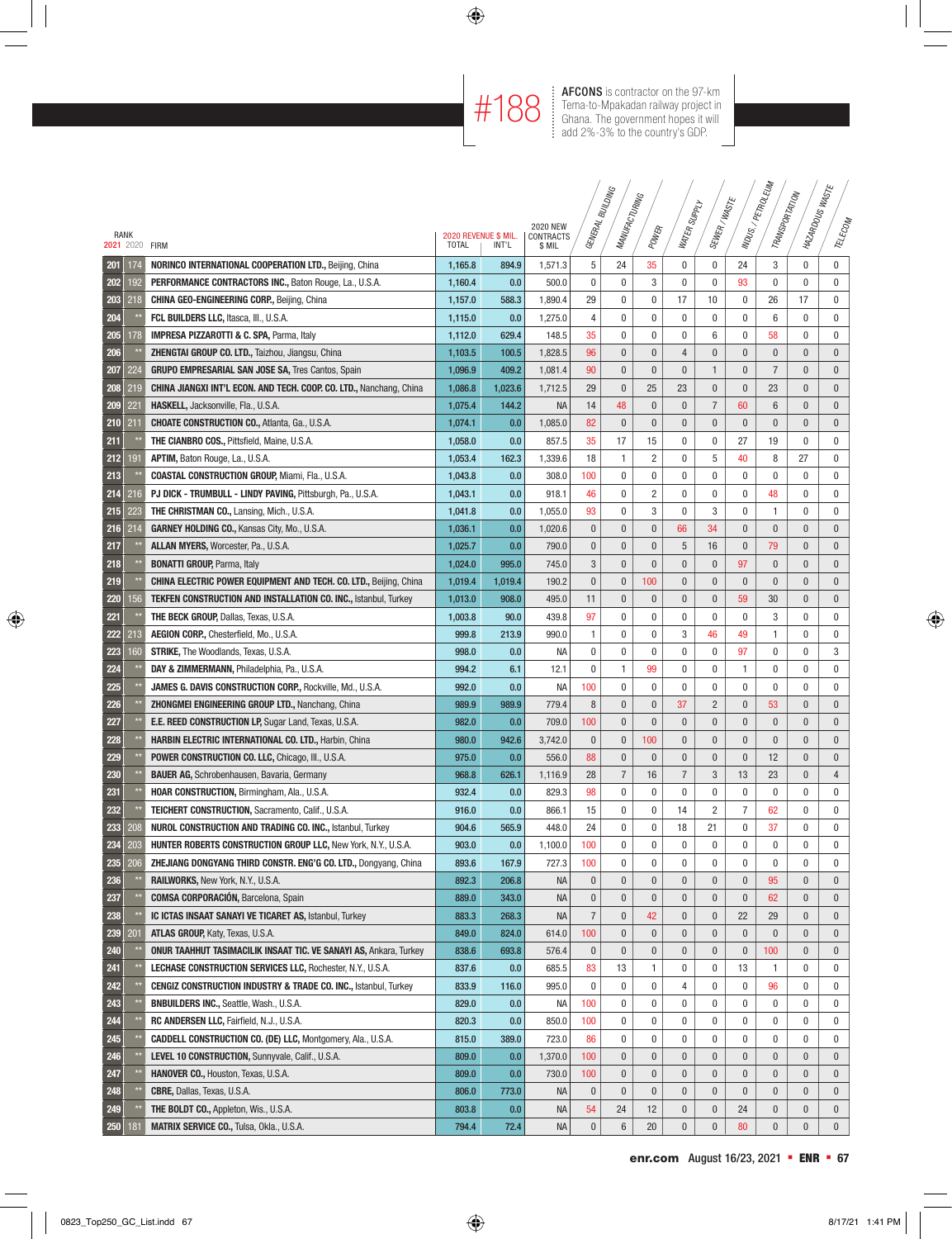#188 **AFCONS** is contractor on the 97-km<br>
Tema-to-Mpakadan railway project in<br>
Ghana. The government hopes it will Tema-to-Mpakadan railway project in Ghana. The government hopes it will add 2%-3% to the country's GDP.

|      |     |                                                                            |                      |         |                              | GENERAL BUILDING | MANUFACTURING  |                |                |                |                | MDUS:/PETROLEUM<br>TRANSPORTATION | MAZARDOUSWASTE |                |
|------|-----|----------------------------------------------------------------------------|----------------------|---------|------------------------------|------------------|----------------|----------------|----------------|----------------|----------------|-----------------------------------|----------------|----------------|
| RANK |     |                                                                            | 2020 REVENUE \$ MIL. |         | <b>2020 NEW</b><br>CONTRACTS |                  |                | POWER          | WATER SUPPLY   | SEWER/WASTE    |                |                                   |                | TELECOM        |
|      |     | 2021 2020 FIRM                                                             | <b>TOTAL</b>         | INT'L   | \$ MIL                       |                  |                |                |                |                |                |                                   |                |                |
| 201  | 174 | NORINCO INTERNATIONAL COOPERATION LTD., Beijing, China                     | 1,165.8              | 894.9   | 1,571.3                      | 5                | 24             | 35             | 0              | 0              | 24             | 3                                 | 0              | $\mathbf 0$    |
| 202  | 192 | PERFORMANCE CONTRACTORS INC., Baton Rouge, La., U.S.A.                     | 1,160.4              | 0.0     | 500.0                        | 0                | 0              | 3              | $\mathbf 0$    | $\mathbf 0$    | 93             | $\mathbf 0$                       | 0              | $\mathbf 0$    |
| 203  | 218 | <b>CHINA GEO-ENGINEERING CORP., Beijing, China</b>                         | 1,157.0              | 588.3   | 1,890.4                      | 29               | 0              | 0              | 17             | 10             | $\bf{0}$       | 26                                | 17             | 0              |
| 204  |     | FCL BUILDERS LLC, Itasca, III., U.S.A.                                     | 1,115.0              | 0.0     | 1,275.0                      | 4                | 0              | 0              | 0              | 0              | 0              | 6                                 | 0              | 0              |
| 205  | 178 | <b>IMPRESA PIZZAROTTI &amp; C. SPA, Parma, Italy</b>                       | 1,112.0              | 629.4   | 148.5                        | 35               | 0              | 0              | 0              | 6              | $\bf{0}$       | 58                                | 0              | 0              |
| 206  |     | ZHENGTAI GROUP CO. LTD., Taizhou, Jiangsu, China                           | 1,103.5              | 100.5   | 1,828.5                      | 96               | $\pmb{0}$      | $\pmb{0}$      | $\overline{4}$ | $\bf{0}$       | 0              | 0                                 | 0              | 0              |
| 207  | 224 | <b>GRUPO EMPRESARIAL SAN JOSE SA, Tres Cantos, Spain</b>                   | 1,096.9              | 409.2   | 1,081.4                      | 90               | 0              | $\bf{0}$       | $\bf{0}$       | $\mathbf{1}$   | $\mathbf 0$    | $\overline{7}$                    | 0              | $\bf{0}$       |
| 208  | 219 | CHINA JIANGXI INT'L ECON. AND TECH. COOP. CO. LTD., Nanchang, China        | 1,086.8              | 1,023.6 | 1,712.5                      | 29               | $\pmb{0}$      | 25             | 23             | $\bf{0}$       | 0              | 23                                | 0              | $\pmb{0}$      |
| 209  | 221 | HASKELL, Jacksonville, Fla., U.S.A.                                        | 1,075.4              | 144.2   | <b>NA</b>                    | 14               | 48             | $\bf{0}$       | $\bf{0}$       | $\overline{7}$ | 60             | 6                                 | 0              | 0              |
| 210  | 211 | <b>CHOATE CONSTRUCTION CO., Atlanta, Ga., U.S.A.</b>                       | 1,074.1              | 0.0     | 1,085.0                      | 82               | $\pmb{0}$      | $\pmb{0}$      | $\bf{0}$       | $\bf{0}$       | $\bf{0}$       | $\mathbf{0}$                      | 0              | 0              |
| 211  |     | THE CIANBRO COS., Pittsfield, Maine, U.S.A.                                | 1,058.0              | 0.0     | 857.5                        | 35               | 17             | 15             | $\mathbf 0$    | $\mathbf 0$    | 27             | 19                                | 0              | 0              |
| 212  | 191 | APTIM, Baton Rouge, La., U.S.A.                                            | 1,053.4              | 162.3   | 1,339.6                      | 18               | 1              | $\overline{c}$ | 0              | 5              | 40             | 8                                 | 27             | 0              |
| 213  |     | <b>COASTAL CONSTRUCTION GROUP, Miami, Fla., U.S.A.</b>                     | 1,043.8              | 0.0     | 308.0                        | 100              | 0              | $\mathbf 0$    | $\mathbf{0}$   | $\mathbf 0$    | $\pmb{0}$      | 0                                 | 0              | 0              |
| 214  | 216 | PJ DICK - TRUMBULL - LINDY PAVING, Pittsburgh, Pa., U.S.A.                 | 1,043.1              | 0.0     | 918.1                        | 46               | 0              | 2              | 0              | $\mathbf 0$    | 0              | 48                                | 0              | 0              |
| 215  | 223 | <b>THE CHRISTMAN CO., Lansing, Mich., U.S.A.</b>                           | 1,041.8              | 0.0     | 1,055.0                      | 93               | 0              | 3              | $\mathbf 0$    | 3              | $\mathbf{0}$   | $\mathbf{1}$                      | 0              | 0              |
| 216  | 214 | <b>GARNEY HOLDING CO., Kansas City, Mo., U.S.A.</b>                        | 1,036.1              | 0.0     | 1,020.6                      | $\mathbf{0}$     | $\mathbf{0}$   | $\bf{0}$       | 66             | 34             | $\mathbf{0}$   | $\mathbf{0}$                      | $\overline{0}$ | $\overline{0}$ |
| 217  |     | ALLAN MYERS, Worcester, Pa., U.S.A.                                        | 1,025.7              | 0.0     | 790.0                        | $\mathbf{0}$     | $\mathbf{0}$   | $\pmb{0}$      | 5              | 16             | 0              | 79                                | 0              | $\mathbf{0}$   |
| 218  |     | <b>BONATTI GROUP, Parma, Italy</b>                                         | 1,024.0              | 995.0   | 745.0                        | 3                | $\mathbf{0}$   | $\bf{0}$       | $\mathbf{0}$   | $\mathbf{0}$   | 97             | 0                                 | 0              | 0              |
| 219  |     | CHINA ELECTRIC POWER EQUIPMENT AND TECH. CO. LTD., Beijing, China          | 1,019.4              | 1,019.4 | 190.2                        | $\pmb{0}$        | $\bf{0}$       | 100            | $\pmb{0}$      | $\bf{0}$       | $\pmb{0}$      | $\pmb{0}$                         | 0              | $\mathbf{0}$   |
| 220  | 56  | TEKFEN CONSTRUCTION AND INSTALLATION CO. INC., Istanbul, Turkey            | 1,013.0              | 908.0   | 495.0                        | 11               | $\mathbf{0}$   | $\pmb{0}$      | $\pmb{0}$      | $\bf{0}$       | 59             | 30                                | $\overline{0}$ | $\pmb{0}$      |
| 221  |     | <b>THE BECK GROUP, Dallas, Texas, U.S.A.</b>                               | 1,003.8              | 90.0    | 439.8                        | 97               | 0              | 0              | 0              | 0              | 0              | 3                                 | 0              | 0              |
| 222  | 213 | AEGION CORP., Chesterfield, Mo., U.S.A.                                    | 999.8                | 213.9   | 990.0                        | 1                | 0              | 0              | 3              | 46             | 49             | 1                                 | 0              | 0              |
| 223  | 60  | <b>STRIKE, The Woodlands, Texas, U.S.A.</b>                                | 998.0                | 0.0     | NА                           | 0                | 0              | 0              | 0              | 0              | 97             | $\mathbf 0$                       | 0              | 3              |
| 224  |     | DAY & ZIMMERMANN, Philadelphia, Pa., U.S.A.                                | 994.2                | 6.1     | 12.1                         | 0                | 1              | 99             | 0              | 0              | 1              | 0                                 | 0              | 0              |
| 225  |     | <b>JAMES G. DAVIS CONSTRUCTION CORP., Rockville, Md., U.S.A.</b>           | 992.0                | 0.0     | NА                           | 100              | 0              | $\mathbf{0}$   | $\mathbf{0}$   | $\mathbf 0$    | 0              | 0                                 | 0              | 0              |
| 226  |     | <b>ZHONGMEI ENGINEERING GROUP LTD., Nanchang, China</b>                    | 989.9                | 989.9   | 779.4                        | 8                | $\mathbf{0}$   | $\pmb{0}$      | 37             | $\overline{c}$ | 0              | 53                                | 0              | 0              |
| 227  |     | <b>E.E. REED CONSTRUCTION LP, Sugar Land, Texas, U.S.A.</b>                | 982.0                | 0.0     | 709.0                        | 100              | $\mathbf{0}$   | $\pmb{0}$      | $\mathbf{0}$   | $\mathbf{0}$   | $\overline{0}$ | $\mathbf{0}$                      | 0              | $\mathbf{0}$   |
| 228  |     | <b>HARBIN ELECTRIC INTERNATIONAL CO. LTD., Harbin, China</b>               | 980.0                | 942.6   | 3,742.0                      | $\mathbf{0}$     | $\mathbf{0}$   | 100            | $\mathbf{0}$   | $\mathbf{0}$   | $\overline{0}$ | $\pmb{0}$                         | 0              | 0              |
| 229  |     | <b>POWER CONSTRUCTION CO. LLC, Chicago, III., U.S.A.</b>                   | 975.0                | 0.0     | 556.0                        | 88               | $\mathbf{0}$   | $\pmb{0}$      | $\mathbf{0}$   | $\mathbf{0}$   | $\mathbf{0}$   | 12                                | 0              | $\mathbf{0}$   |
| 230  |     | <b>BAUER AG, Schrobenhausen, Bavaria, Germany</b>                          | 968.8                | 626.1   | 1,116.9                      | 28               | $\overline{7}$ | 16             | $\overline{7}$ | 3              | 13             | 23                                | 0              | 4              |
| 231  |     | <b>HOAR CONSTRUCTION, Birmingham, Ala., U.S.A.</b>                         | 932.4                | 0.0     | 829.3                        | 98               | 0              | $\mathbf 0$    | $\mathbf 0$    | $\mathbf 0$    | $\mathbf{0}$   | $\mathbf{0}$                      | 0              | $\mathbf 0$    |
| 232  |     | <b>TEICHERT CONSTRUCTION, Sacramento, Calif., U.S.A.</b>                   | 916.0                | 0.0     | 866.1                        | 15               | 0              | 0              | 14             | $\overline{2}$ | $\overline{7}$ | 62                                | 0              | 0              |
| 233  | 208 | <b>NUROL CONSTRUCTION AND TRADING CO. INC., Istanbul, Turkey</b>           | 904.6                | 565.9   | 448.0                        | 24               | 0              | 0              | 18             | 21             | 0              | 37                                | 0              | 0              |
| 234  | 203 | <b>HUNTER ROBERTS CONSTRUCTION GROUP LLC, New York, N.Y., U.S.A.</b>       | 903.0                | 0.0     | 1,100.0                      | 100              | 0              | 0              | 0              | 0              | $\bf{0}$       | 0                                 | 0              | 0              |
| 235  | 206 | ZHEJIANG DONGYANG THIRD CONSTR. ENG'G CO. LTD., Dongyang, China            | 893.6                | 167.9   | 727.3                        | 100              | 0              | $\pmb{0}$      | 0              | $\pmb{0}$      | 0              | 0                                 | 0              | 0              |
| 236  |     | <b>RAILWORKS, New York, N.Y., U.S.A.</b>                                   | 892.3                | 206.8   | <b>NA</b>                    | 0                | 0              | $\mathbf 0$    | $\bf{0}$       | $\bf{0}$       | $\mathbf 0$    | 95                                | 0              | $\bf{0}$       |
| 237  |     | <b>COMSA CORPORACIÓN, Barcelona, Spain</b>                                 | 889.0                | 343.0   | ΝA                           | 0                | $\pmb{0}$      | 0              | $\pmb{0}$      | $\mathbf 0$    | $\pmb{0}$      | 62                                | 0              | 0              |
| 238  |     | IC ICTAS INSAAT SANAYI VE TICARET AS, Istanbul, Turkey                     | 883.3                | 268.3   | <b>NA</b>                    | $\overline{7}$   | $\pmb{0}$      | 42             | $\bf{0}$       | $\mathbf 0$    | 22             | 29                                | 0              | 0              |
| 239  | 201 | ATLAS GROUP, Katy, Texas, U.S.A.                                           | 849.0                | 824.0   | 614.0                        | 100              | 0              | $\mathbf 0$    | $\bf{0}$       | $\bf{0}$       | 0              | 0                                 | 0              | 0              |
| 240  |     | <b>ONUR TAAHHUT TASIMACILIK INSAAT TIC. VE SANAYI AS, Ankara, Turkey</b>   | 838.6                | 693.8   | 576.4                        | 0                | $\pmb{0}$      | $\pmb{0}$      | 0              | 0              | 0              | 100                               | 0              | 0              |
| 241  |     | <b>LECHASE CONSTRUCTION SERVICES LLC, Rochester, N.Y., U.S.A.</b>          | 837.6                | 0.0     | 685.5                        | 83               | 13             | 1              | 0              | 0              | 13             | 1                                 | 0              | 0              |
| 242  |     | <b>CENGIZ CONSTRUCTION INDUSTRY &amp; TRADE CO. INC., Istanbul, Turkey</b> | 833.9                | 116.0   | 995.0                        | 0                | 0              | 0              | 4              | 0              | 0              | 96                                | 0              | 0              |
| 243  |     | <b>BNBUILDERS INC., Seattle, Wash., U.S.A.</b>                             | 829.0                | 0.0     | ΝA                           | 100              | 0              | 0              | 0              | 0              | 0              | 0                                 | 0              | 0              |
| 244  |     | RC ANDERSEN LLC, Fairfield, N.J., U.S.A.                                   | 820.3                | 0.0     | 850.0                        | 100              | 0              | 0              | 0              | 0              | 0              | 0                                 | 0              | 0              |
| 245  |     | <b>CADDELL CONSTRUCTION CO. (DE) LLC, Montgomery, Ala., U.S.A.</b>         | 815.0                | 389.0   | 723.0                        | 86               | 0              | 0              | 0              | 0              | 0              | 0                                 | 0              | 0              |
| 246  |     | LEVEL 10 CONSTRUCTION, Sunnyvale, Calif., U.S.A.                           | 809.0                | 0.0     | 1,370.0                      | 100              | 0              | $\bf{0}$       | $\bf{0}$       | $\bf{0}$       | 0              | 0                                 | 0              | 0              |
| 247  |     | HANOVER CO., Houston, Texas, U.S.A.                                        | 809.0                | 0.0     | 730.0                        | 100              | $\pmb{0}$      | $\pmb{0}$      | 0              | 0              | 0              | 0                                 | 0              | 0              |
| 248  |     | <b>CBRE, Dallas, Texas, U.S.A.</b>                                         | 806.0                | 773.0   | <b>NA</b>                    | $\pmb{0}$        | $\pmb{0}$      | $\pmb{0}$      | $\bf{0}$       | $\bf{0}$       | 0              | 0                                 | 0              | 0              |
| 249  |     | THE BOLDT CO., Appleton, Wis., U.S.A.                                      | 803.8                | 0.0     | <b>NA</b>                    | 54               | 24             | 12             | $\bf{0}$       | $\bf{0}$       | 24             | 0                                 | 0              | $\bf{0}$       |
| 250  | 181 | <b>MATRIX SERVICE CO., Tulsa, Okla., U.S.A.</b>                            | 794.4                | 72.4    | NA                           | 0                | 6              | 20             | $\bf{0}$       | $\bf{0}$       | 80             | 0                                 | 0              | $\mathbf 0$    |